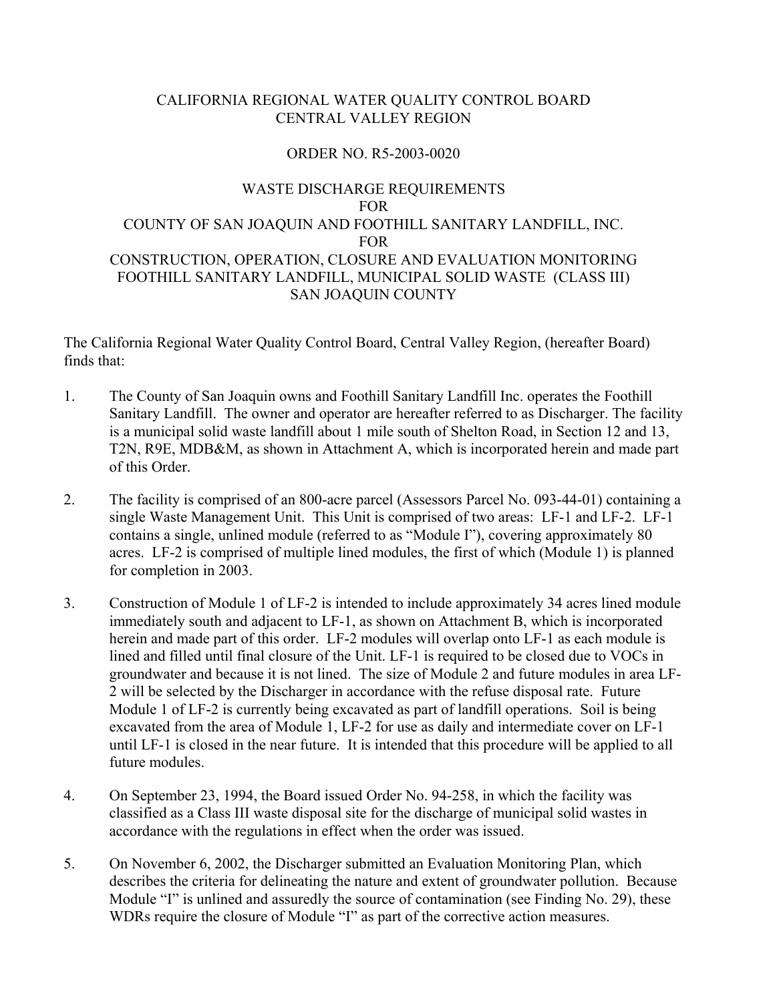# CALIFORNIA REGIONAL WATER QUALITY CONTROL BOARD CENTRAL VALLEY REGION

## ORDER NO. R5-2003-0020

# WASTE DISCHARGE REQUIREMENTS FOR COUNTY OF SAN JOAQUIN AND FOOTHILL SANITARY LANDFILL, INC. FOR CONSTRUCTION, OPERATION, CLOSURE AND EVALUATION MONITORING FOOTHILL SANITARY LANDFILL, MUNICIPAL SOLID WASTE (CLASS III) SAN JOAQUIN COUNTY

The California Regional Water Quality Control Board, Central Valley Region, (hereafter Board) finds that:

- 1. The County of San Joaquin owns and Foothill Sanitary Landfill Inc. operates the Foothill Sanitary Landfill. The owner and operator are hereafter referred to as Discharger. The facility is a municipal solid waste landfill about 1 mile south of Shelton Road, in Section 12 and 13, T2N, R9E, MDB&M, as shown in Attachment A, which is incorporated herein and made part of this Order.
- 2. The facility is comprised of an 800-acre parcel (Assessors Parcel No. 093-44-01) containing a single Waste Management Unit. This Unit is comprised of two areas: LF-1 and LF-2. LF-1 contains a single, unlined module (referred to as "Module I"), covering approximately 80 acres. LF-2 is comprised of multiple lined modules, the first of which (Module 1) is planned for completion in 2003.
- 3. Construction of Module 1 of LF-2 is intended to include approximately 34 acres lined module immediately south and adjacent to LF-1, as shown on Attachment B, which is incorporated herein and made part of this order. LF-2 modules will overlap onto LF-1 as each module is lined and filled until final closure of the Unit. LF-1 is required to be closed due to VOCs in groundwater and because it is not lined. The size of Module 2 and future modules in area LF-2 will be selected by the Discharger in accordance with the refuse disposal rate. Future Module 1 of LF-2 is currently being excavated as part of landfill operations. Soil is being excavated from the area of Module 1, LF-2 for use as daily and intermediate cover on LF-1 until LF-1 is closed in the near future. It is intended that this procedure will be applied to all future modules.
- 4. On September 23, 1994, the Board issued Order No. 94-258, in which the facility was classified as a Class III waste disposal site for the discharge of municipal solid wastes in accordance with the regulations in effect when the order was issued.
- 5. On November 6, 2002, the Discharger submitted an Evaluation Monitoring Plan, which describes the criteria for delineating the nature and extent of groundwater pollution. Because Module "I" is unlined and assuredly the source of contamination (see Finding No. 29), these WDRs require the closure of Module "I" as part of the corrective action measures.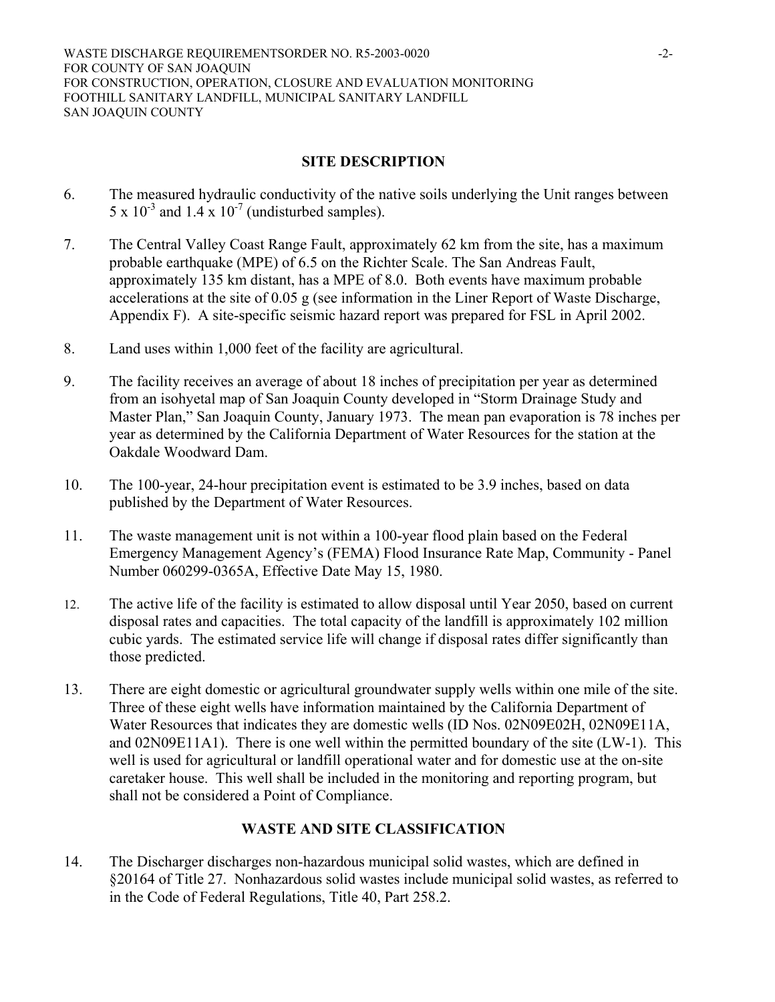WASTE DISCHARGE REQUIREMENTSORDER NO. R5-2003-0020 -2-FOR COUNTY OF SAN JOAQUIN FOR CONSTRUCTION, OPERATION, CLOSURE AND EVALUATION MONITORING FOOTHILL SANITARY LANDFILL, MUNICIPAL SANITARY LANDFILL SAN JOAQUIN COUNTY

# **SITE DESCRIPTION**

- 6. The measured hydraulic conductivity of the native soils underlying the Unit ranges between  $5 \times 10^{-3}$  and  $1.4 \times 10^{-7}$  (undisturbed samples).
- 7. The Central Valley Coast Range Fault, approximately 62 km from the site, has a maximum probable earthquake (MPE) of 6.5 on the Richter Scale. The San Andreas Fault, approximately 135 km distant, has a MPE of 8.0. Both events have maximum probable accelerations at the site of 0.05 g (see information in the Liner Report of Waste Discharge, Appendix F). A site-specific seismic hazard report was prepared for FSL in April 2002.
- 8. Land uses within 1,000 feet of the facility are agricultural.
- 9. The facility receives an average of about 18 inches of precipitation per year as determined from an isohyetal map of San Joaquin County developed in "Storm Drainage Study and Master Plan," San Joaquin County, January 1973. The mean pan evaporation is 78 inches per year as determined by the California Department of Water Resources for the station at the Oakdale Woodward Dam.
- 10. The 100-year, 24-hour precipitation event is estimated to be 3.9 inches, based on data published by the Department of Water Resources.
- 11. The waste management unit is not within a 100-year flood plain based on the Federal Emergency Management Agency's (FEMA) Flood Insurance Rate Map, Community - Panel Number 060299-0365A, Effective Date May 15, 1980.
- 12. The active life of the facility is estimated to allow disposal until Year 2050, based on current disposal rates and capacities. The total capacity of the landfill is approximately 102 million cubic yards. The estimated service life will change if disposal rates differ significantly than those predicted.
- 13. There are eight domestic or agricultural groundwater supply wells within one mile of the site. Three of these eight wells have information maintained by the California Department of Water Resources that indicates they are domestic wells (ID Nos. 02N09E02H, 02N09E11A, and 02N09E11A1). There is one well within the permitted boundary of the site (LW-1). This well is used for agricultural or landfill operational water and for domestic use at the on-site caretaker house. This well shall be included in the monitoring and reporting program, but shall not be considered a Point of Compliance.

# **WASTE AND SITE CLASSIFICATION**

14. The Discharger discharges non-hazardous municipal solid wastes, which are defined in §20164 of Title 27. Nonhazardous solid wastes include municipal solid wastes, as referred to in the Code of Federal Regulations, Title 40, Part 258.2.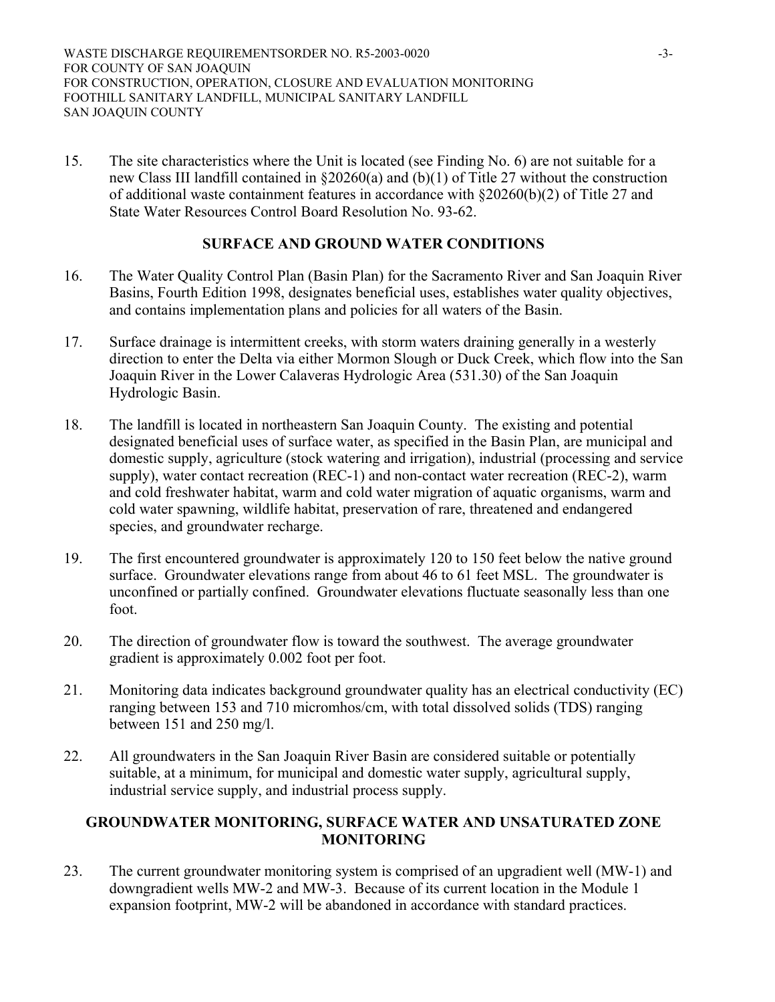15. The site characteristics where the Unit is located (see Finding No. 6) are not suitable for a new Class III landfill contained in §20260(a) and (b)(1) of Title 27 without the construction of additional waste containment features in accordance with §20260(b)(2) of Title 27 and State Water Resources Control Board Resolution No. 93-62.

# **SURFACE AND GROUND WATER CONDITIONS**

- 16. The Water Quality Control Plan (Basin Plan) for the Sacramento River and San Joaquin River Basins, Fourth Edition 1998, designates beneficial uses, establishes water quality objectives, and contains implementation plans and policies for all waters of the Basin.
- 17. Surface drainage is intermittent creeks, with storm waters draining generally in a westerly direction to enter the Delta via either Mormon Slough or Duck Creek, which flow into the San Joaquin River in the Lower Calaveras Hydrologic Area (531.30) of the San Joaquin Hydrologic Basin.
- 18. The landfill is located in northeastern San Joaquin County. The existing and potential designated beneficial uses of surface water, as specified in the Basin Plan, are municipal and domestic supply, agriculture (stock watering and irrigation), industrial (processing and service supply), water contact recreation (REC-1) and non-contact water recreation (REC-2), warm and cold freshwater habitat, warm and cold water migration of aquatic organisms, warm and cold water spawning, wildlife habitat, preservation of rare, threatened and endangered species, and groundwater recharge.
- 19. The first encountered groundwater is approximately 120 to 150 feet below the native ground surface. Groundwater elevations range from about 46 to 61 feet MSL. The groundwater is unconfined or partially confined. Groundwater elevations fluctuate seasonally less than one foot.
- 20. The direction of groundwater flow is toward the southwest. The average groundwater gradient is approximately 0.002 foot per foot.
- 21. Monitoring data indicates background groundwater quality has an electrical conductivity (EC) ranging between 153 and 710 micromhos/cm, with total dissolved solids (TDS) ranging between 151 and 250 mg/l.
- 22. All groundwaters in the San Joaquin River Basin are considered suitable or potentially suitable, at a minimum, for municipal and domestic water supply, agricultural supply, industrial service supply, and industrial process supply.

## **GROUNDWATER MONITORING, SURFACE WATER AND UNSATURATED ZONE MONITORING**

23. The current groundwater monitoring system is comprised of an upgradient well (MW-1) and downgradient wells MW-2 and MW-3. Because of its current location in the Module 1 expansion footprint, MW-2 will be abandoned in accordance with standard practices.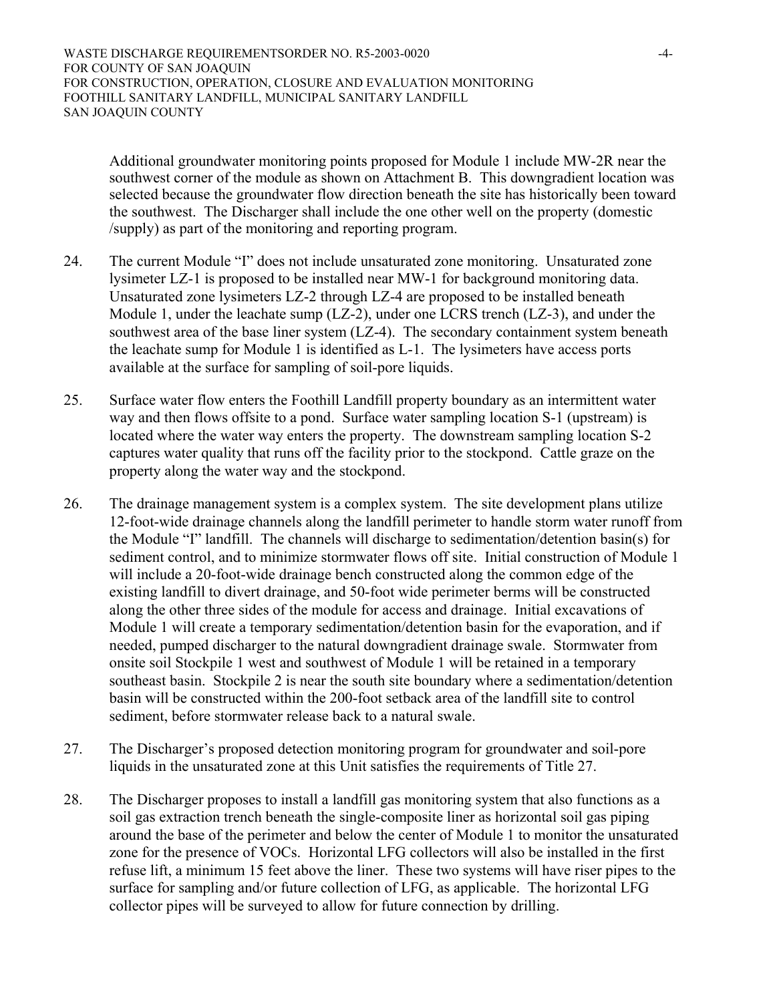WASTE DISCHARGE REQUIREMENTSORDER NO. R5-2003-0020 -4-FOR COUNTY OF SAN JOAQUIN FOR CONSTRUCTION, OPERATION, CLOSURE AND EVALUATION MONITORING FOOTHILL SANITARY LANDFILL, MUNICIPAL SANITARY LANDFILL SAN JOAQUIN COUNTY

Additional groundwater monitoring points proposed for Module 1 include MW-2R near the southwest corner of the module as shown on Attachment B. This downgradient location was selected because the groundwater flow direction beneath the site has historically been toward the southwest. The Discharger shall include the one other well on the property (domestic /supply) as part of the monitoring and reporting program.

- 24. The current Module "I" does not include unsaturated zone monitoring. Unsaturated zone lysimeter LZ-1 is proposed to be installed near MW-1 for background monitoring data. Unsaturated zone lysimeters LZ-2 through LZ-4 are proposed to be installed beneath Module 1, under the leachate sump (LZ-2), under one LCRS trench (LZ-3), and under the southwest area of the base liner system (LZ-4). The secondary containment system beneath the leachate sump for Module 1 is identified as L-1. The lysimeters have access ports available at the surface for sampling of soil-pore liquids.
- 25. Surface water flow enters the Foothill Landfill property boundary as an intermittent water way and then flows offsite to a pond. Surface water sampling location S-1 (upstream) is located where the water way enters the property. The downstream sampling location S-2 captures water quality that runs off the facility prior to the stockpond. Cattle graze on the property along the water way and the stockpond.
- 26. The drainage management system is a complex system. The site development plans utilize 12-foot-wide drainage channels along the landfill perimeter to handle storm water runoff from the Module "I" landfill. The channels will discharge to sedimentation/detention basin(s) for sediment control, and to minimize stormwater flows off site. Initial construction of Module 1 will include a 20-foot-wide drainage bench constructed along the common edge of the existing landfill to divert drainage, and 50-foot wide perimeter berms will be constructed along the other three sides of the module for access and drainage. Initial excavations of Module 1 will create a temporary sedimentation/detention basin for the evaporation, and if needed, pumped discharger to the natural downgradient drainage swale. Stormwater from onsite soil Stockpile 1 west and southwest of Module 1 will be retained in a temporary southeast basin. Stockpile 2 is near the south site boundary where a sedimentation/detention basin will be constructed within the 200-foot setback area of the landfill site to control sediment, before stormwater release back to a natural swale.
- 27. The Discharger's proposed detection monitoring program for groundwater and soil-pore liquids in the unsaturated zone at this Unit satisfies the requirements of Title 27.
- 28. The Discharger proposes to install a landfill gas monitoring system that also functions as a soil gas extraction trench beneath the single-composite liner as horizontal soil gas piping around the base of the perimeter and below the center of Module 1 to monitor the unsaturated zone for the presence of VOCs. Horizontal LFG collectors will also be installed in the first refuse lift, a minimum 15 feet above the liner. These two systems will have riser pipes to the surface for sampling and/or future collection of LFG, as applicable. The horizontal LFG collector pipes will be surveyed to allow for future connection by drilling.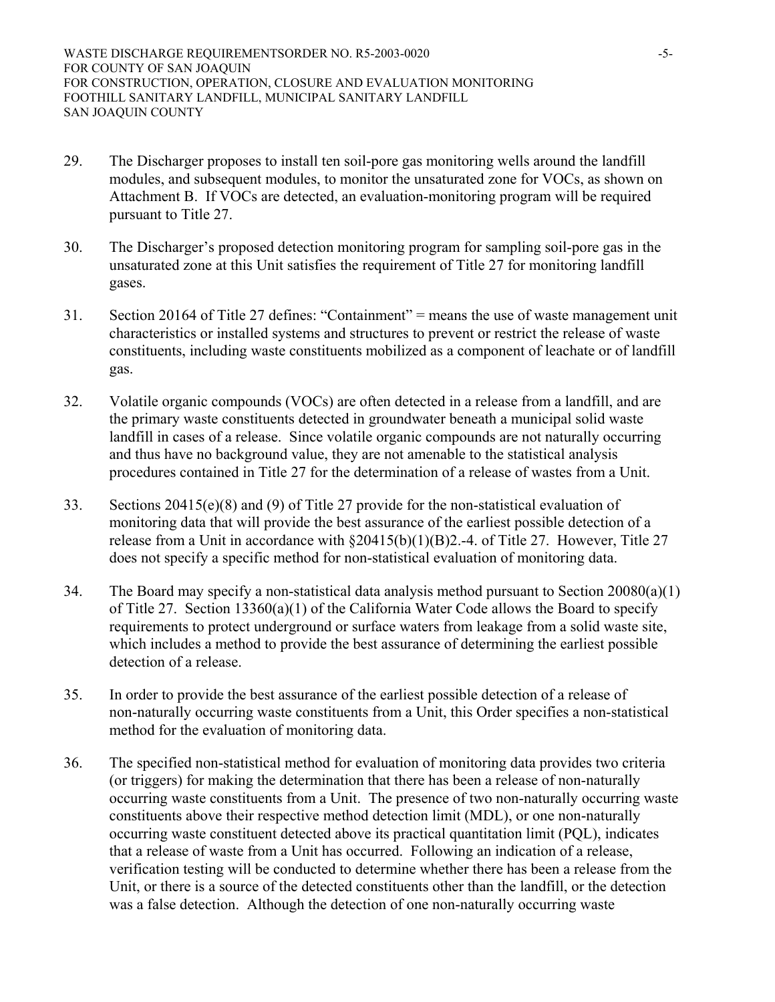- 29. The Discharger proposes to install ten soil-pore gas monitoring wells around the landfill modules, and subsequent modules, to monitor the unsaturated zone for VOCs, as shown on Attachment B. If VOCs are detected, an evaluation-monitoring program will be required pursuant to Title 27.
- 30. The Discharger's proposed detection monitoring program for sampling soil-pore gas in the unsaturated zone at this Unit satisfies the requirement of Title 27 for monitoring landfill gases.
- 31. Section 20164 of Title 27 defines: "Containment" = means the use of waste management unit characteristics or installed systems and structures to prevent or restrict the release of waste constituents, including waste constituents mobilized as a component of leachate or of landfill gas.
- 32. Volatile organic compounds (VOCs) are often detected in a release from a landfill, and are the primary waste constituents detected in groundwater beneath a municipal solid waste landfill in cases of a release. Since volatile organic compounds are not naturally occurring and thus have no background value, they are not amenable to the statistical analysis procedures contained in Title 27 for the determination of a release of wastes from a Unit.
- 33. Sections  $20415(e)(8)$  and (9) of Title 27 provide for the non-statistical evaluation of monitoring data that will provide the best assurance of the earliest possible detection of a release from a Unit in accordance with §20415(b)(1)(B)2.-4. of Title 27. However, Title 27 does not specify a specific method for non-statistical evaluation of monitoring data.
- 34. The Board may specify a non-statistical data analysis method pursuant to Section 20080(a)(1) of Title 27. Section 13360(a)(1) of the California Water Code allows the Board to specify requirements to protect underground or surface waters from leakage from a solid waste site, which includes a method to provide the best assurance of determining the earliest possible detection of a release.
- 35. In order to provide the best assurance of the earliest possible detection of a release of non-naturally occurring waste constituents from a Unit, this Order specifies a non-statistical method for the evaluation of monitoring data.
- 36. The specified non-statistical method for evaluation of monitoring data provides two criteria (or triggers) for making the determination that there has been a release of non-naturally occurring waste constituents from a Unit. The presence of two non-naturally occurring waste constituents above their respective method detection limit (MDL), or one non-naturally occurring waste constituent detected above its practical quantitation limit (PQL), indicates that a release of waste from a Unit has occurred. Following an indication of a release, verification testing will be conducted to determine whether there has been a release from the Unit, or there is a source of the detected constituents other than the landfill, or the detection was a false detection. Although the detection of one non-naturally occurring waste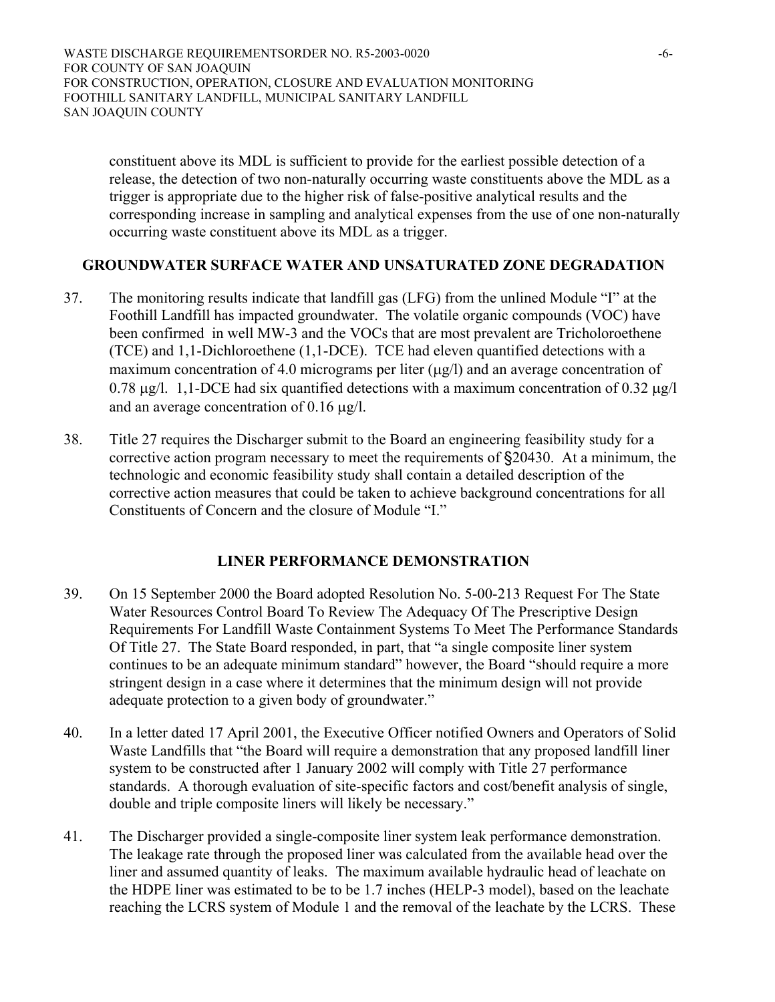WASTE DISCHARGE REQUIREMENTSORDER NO. R5-2003-0020 -6-FOR COUNTY OF SAN JOAQUIN FOR CONSTRUCTION, OPERATION, CLOSURE AND EVALUATION MONITORING FOOTHILL SANITARY LANDFILL, MUNICIPAL SANITARY LANDFILL SAN JOAQUIN COUNTY

constituent above its MDL is sufficient to provide for the earliest possible detection of a release, the detection of two non-naturally occurring waste constituents above the MDL as a trigger is appropriate due to the higher risk of false-positive analytical results and the corresponding increase in sampling and analytical expenses from the use of one non-naturally occurring waste constituent above its MDL as a trigger.

## **GROUNDWATER SURFACE WATER AND UNSATURATED ZONE DEGRADATION**

- 37. The monitoring results indicate that landfill gas (LFG) from the unlined Module "I" at the Foothill Landfill has impacted groundwater. The volatile organic compounds (VOC) have been confirmed in well MW-3 and the VOCs that are most prevalent are Tricholoroethene (TCE) and 1,1-Dichloroethene (1,1-DCE). TCE had eleven quantified detections with a maximum concentration of 4.0 micrograms per liter  $(\mu g/l)$  and an average concentration of 0.78  $\mu$ g/l. 1,1-DCE had six quantified detections with a maximum concentration of 0.32  $\mu$ g/l and an average concentration of 0.16 µg/l.
- 38. Title 27 requires the Discharger submit to the Board an engineering feasibility study for a corrective action program necessary to meet the requirements of §20430. At a minimum, the technologic and economic feasibility study shall contain a detailed description of the corrective action measures that could be taken to achieve background concentrations for all Constituents of Concern and the closure of Module "I."

## **LINER PERFORMANCE DEMONSTRATION**

- 39. On 15 September 2000 the Board adopted Resolution No. 5-00-213 Request For The State Water Resources Control Board To Review The Adequacy Of The Prescriptive Design Requirements For Landfill Waste Containment Systems To Meet The Performance Standards Of Title 27. The State Board responded, in part, that "a single composite liner system continues to be an adequate minimum standard" however, the Board "should require a more stringent design in a case where it determines that the minimum design will not provide adequate protection to a given body of groundwater."
- 40. In a letter dated 17 April 2001, the Executive Officer notified Owners and Operators of Solid Waste Landfills that "the Board will require a demonstration that any proposed landfill liner system to be constructed after 1 January 2002 will comply with Title 27 performance standards. A thorough evaluation of site-specific factors and cost/benefit analysis of single, double and triple composite liners will likely be necessary."
- 41. The Discharger provided a single-composite liner system leak performance demonstration. The leakage rate through the proposed liner was calculated from the available head over the liner and assumed quantity of leaks. The maximum available hydraulic head of leachate on the HDPE liner was estimated to be to be 1.7 inches (HELP-3 model), based on the leachate reaching the LCRS system of Module 1 and the removal of the leachate by the LCRS. These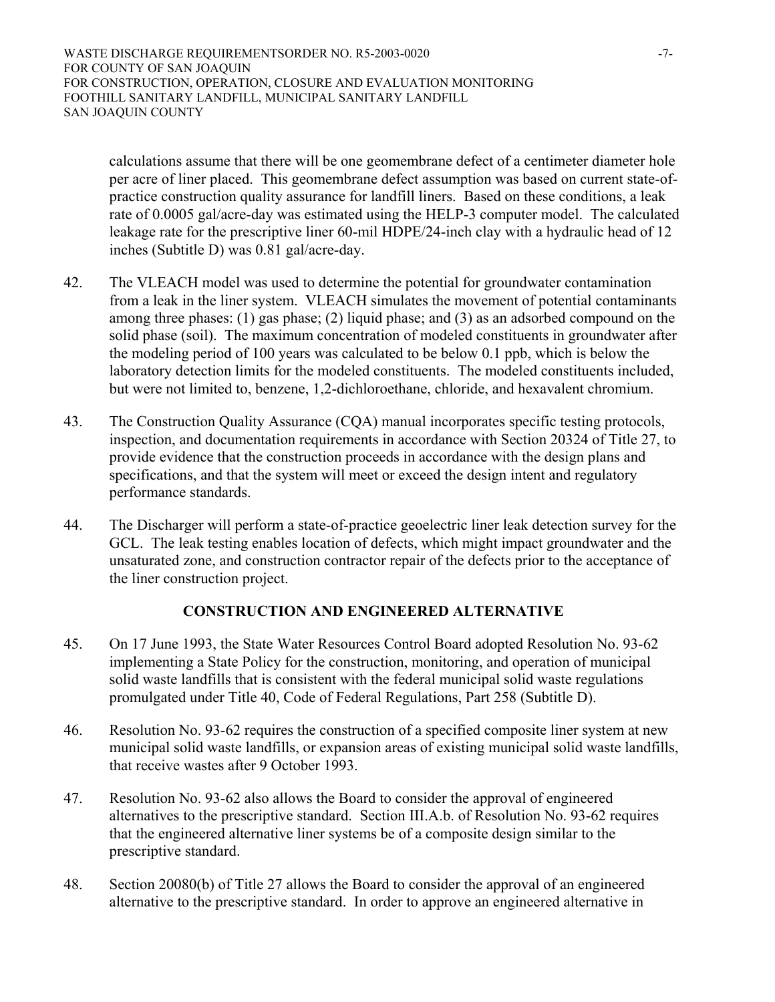WASTE DISCHARGE REQUIREMENTSORDER NO. R5-2003-0020 -7-FOR COUNTY OF SAN JOAQUIN FOR CONSTRUCTION, OPERATION, CLOSURE AND EVALUATION MONITORING FOOTHILL SANITARY LANDFILL, MUNICIPAL SANITARY LANDFILL SAN JOAQUIN COUNTY

calculations assume that there will be one geomembrane defect of a centimeter diameter hole per acre of liner placed. This geomembrane defect assumption was based on current state-ofpractice construction quality assurance for landfill liners. Based on these conditions, a leak rate of 0.0005 gal/acre-day was estimated using the HELP-3 computer model. The calculated leakage rate for the prescriptive liner 60-mil HDPE/24-inch clay with a hydraulic head of 12 inches (Subtitle D) was 0.81 gal/acre-day.

- 42. The VLEACH model was used to determine the potential for groundwater contamination from a leak in the liner system. VLEACH simulates the movement of potential contaminants among three phases: (1) gas phase; (2) liquid phase; and (3) as an adsorbed compound on the solid phase (soil). The maximum concentration of modeled constituents in groundwater after the modeling period of 100 years was calculated to be below 0.1 ppb, which is below the laboratory detection limits for the modeled constituents. The modeled constituents included, but were not limited to, benzene, 1,2-dichloroethane, chloride, and hexavalent chromium.
- 43. The Construction Quality Assurance (CQA) manual incorporates specific testing protocols, inspection, and documentation requirements in accordance with Section 20324 of Title 27, to provide evidence that the construction proceeds in accordance with the design plans and specifications, and that the system will meet or exceed the design intent and regulatory performance standards.
- 44. The Discharger will perform a state-of-practice geoelectric liner leak detection survey for the GCL. The leak testing enables location of defects, which might impact groundwater and the unsaturated zone, and construction contractor repair of the defects prior to the acceptance of the liner construction project.

## **CONSTRUCTION AND ENGINEERED ALTERNATIVE**

- 45. On 17 June 1993, the State Water Resources Control Board adopted Resolution No. 93-62 implementing a State Policy for the construction, monitoring, and operation of municipal solid waste landfills that is consistent with the federal municipal solid waste regulations promulgated under Title 40, Code of Federal Regulations, Part 258 (Subtitle D).
- 46. Resolution No. 93-62 requires the construction of a specified composite liner system at new municipal solid waste landfills, or expansion areas of existing municipal solid waste landfills, that receive wastes after 9 October 1993.
- 47. Resolution No. 93-62 also allows the Board to consider the approval of engineered alternatives to the prescriptive standard. Section III.A.b. of Resolution No. 93-62 requires that the engineered alternative liner systems be of a composite design similar to the prescriptive standard.
- 48. Section 20080(b) of Title 27 allows the Board to consider the approval of an engineered alternative to the prescriptive standard. In order to approve an engineered alternative in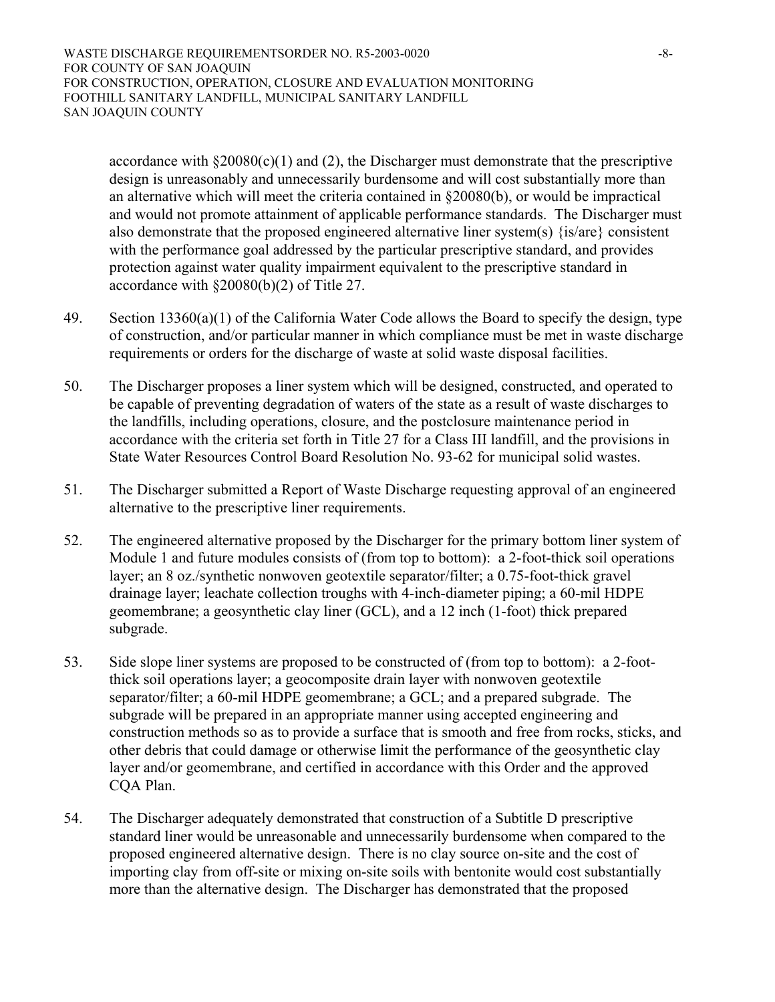WASTE DISCHARGE REQUIREMENTSORDER NO. R5-2003-0020 -8-8-FOR COUNTY OF SAN JOAQUIN FOR CONSTRUCTION, OPERATION, CLOSURE AND EVALUATION MONITORING FOOTHILL SANITARY LANDFILL, MUNICIPAL SANITARY LANDFILL SAN JOAQUIN COUNTY

accordance with  $\&20080(c)(1)$  and (2), the Discharger must demonstrate that the prescriptive design is unreasonably and unnecessarily burdensome and will cost substantially more than an alternative which will meet the criteria contained in §20080(b), or would be impractical and would not promote attainment of applicable performance standards. The Discharger must also demonstrate that the proposed engineered alternative liner system(s) {is/are} consistent with the performance goal addressed by the particular prescriptive standard, and provides protection against water quality impairment equivalent to the prescriptive standard in accordance with §20080(b)(2) of Title 27.

- 49. Section  $13360(a)(1)$  of the California Water Code allows the Board to specify the design, type of construction, and/or particular manner in which compliance must be met in waste discharge requirements or orders for the discharge of waste at solid waste disposal facilities.
- 50. The Discharger proposes a liner system which will be designed, constructed, and operated to be capable of preventing degradation of waters of the state as a result of waste discharges to the landfills, including operations, closure, and the postclosure maintenance period in accordance with the criteria set forth in Title 27 for a Class III landfill, and the provisions in State Water Resources Control Board Resolution No. 93-62 for municipal solid wastes.
- 51. The Discharger submitted a Report of Waste Discharge requesting approval of an engineered alternative to the prescriptive liner requirements.
- 52. The engineered alternative proposed by the Discharger for the primary bottom liner system of Module 1 and future modules consists of (from top to bottom): a 2-foot-thick soil operations layer; an 8 oz./synthetic nonwoven geotextile separator/filter; a 0.75-foot-thick gravel drainage layer; leachate collection troughs with 4-inch-diameter piping; a 60-mil HDPE geomembrane; a geosynthetic clay liner (GCL), and a 12 inch (1-foot) thick prepared subgrade.
- 53. Side slope liner systems are proposed to be constructed of (from top to bottom): a 2-footthick soil operations layer; a geocomposite drain layer with nonwoven geotextile separator/filter; a 60-mil HDPE geomembrane; a GCL; and a prepared subgrade. The subgrade will be prepared in an appropriate manner using accepted engineering and construction methods so as to provide a surface that is smooth and free from rocks, sticks, and other debris that could damage or otherwise limit the performance of the geosynthetic clay layer and/or geomembrane, and certified in accordance with this Order and the approved CQA Plan.
- 54. The Discharger adequately demonstrated that construction of a Subtitle D prescriptive standard liner would be unreasonable and unnecessarily burdensome when compared to the proposed engineered alternative design. There is no clay source on-site and the cost of importing clay from off-site or mixing on-site soils with bentonite would cost substantially more than the alternative design. The Discharger has demonstrated that the proposed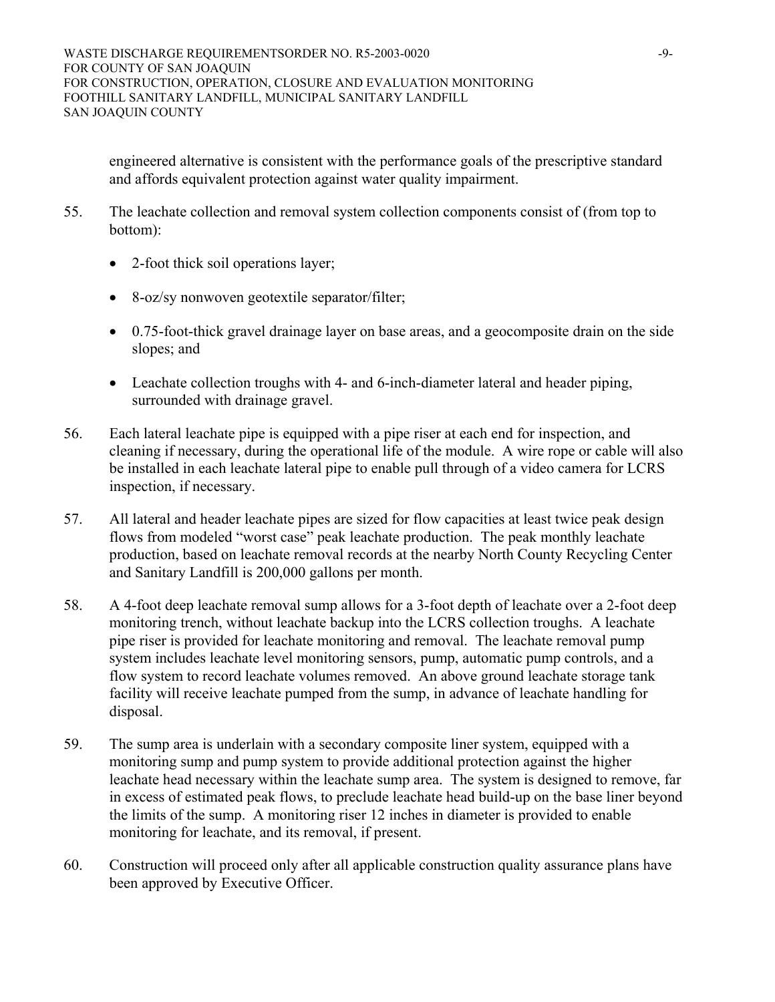engineered alternative is consistent with the performance goals of the prescriptive standard and affords equivalent protection against water quality impairment.

- 55. The leachate collection and removal system collection components consist of (from top to bottom):
	- 2-foot thick soil operations layer;
	- 8-oz/sy nonwoven geotextile separator/filter;
	- 0.75-foot-thick gravel drainage layer on base areas, and a geocomposite drain on the side slopes; and
	- Leachate collection troughs with 4- and 6-inch-diameter lateral and header piping, surrounded with drainage gravel.
- 56. Each lateral leachate pipe is equipped with a pipe riser at each end for inspection, and cleaning if necessary, during the operational life of the module. A wire rope or cable will also be installed in each leachate lateral pipe to enable pull through of a video camera for LCRS inspection, if necessary.
- 57. All lateral and header leachate pipes are sized for flow capacities at least twice peak design flows from modeled "worst case" peak leachate production. The peak monthly leachate production, based on leachate removal records at the nearby North County Recycling Center and Sanitary Landfill is 200,000 gallons per month.
- 58. A 4-foot deep leachate removal sump allows for a 3-foot depth of leachate over a 2-foot deep monitoring trench, without leachate backup into the LCRS collection troughs. A leachate pipe riser is provided for leachate monitoring and removal. The leachate removal pump system includes leachate level monitoring sensors, pump, automatic pump controls, and a flow system to record leachate volumes removed. An above ground leachate storage tank facility will receive leachate pumped from the sump, in advance of leachate handling for disposal.
- 59. The sump area is underlain with a secondary composite liner system, equipped with a monitoring sump and pump system to provide additional protection against the higher leachate head necessary within the leachate sump area. The system is designed to remove, far in excess of estimated peak flows, to preclude leachate head build-up on the base liner beyond the limits of the sump. A monitoring riser 12 inches in diameter is provided to enable monitoring for leachate, and its removal, if present.
- 60. Construction will proceed only after all applicable construction quality assurance plans have been approved by Executive Officer.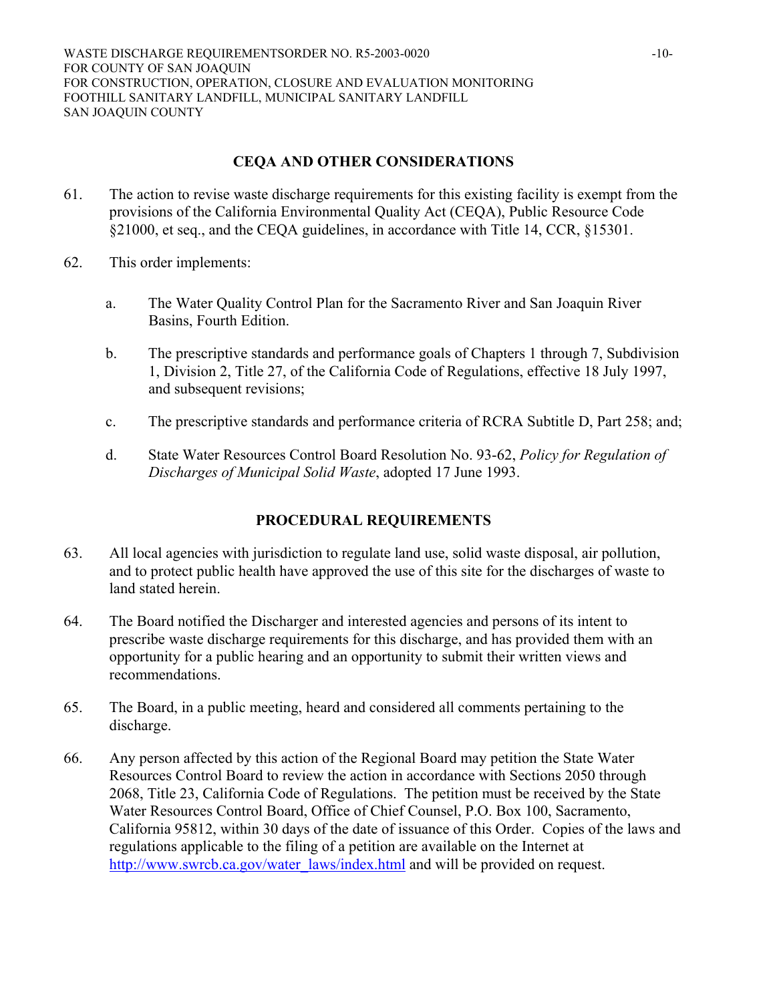# **CEQA AND OTHER CONSIDERATIONS**

- 61. The action to revise waste discharge requirements for this existing facility is exempt from the provisions of the California Environmental Quality Act (CEQA), Public Resource Code §21000, et seq., and the CEQA guidelines, in accordance with Title 14, CCR, §15301.
- 62. This order implements:
	- a. The Water Quality Control Plan for the Sacramento River and San Joaquin River Basins, Fourth Edition.
	- b. The prescriptive standards and performance goals of Chapters 1 through 7, Subdivision 1, Division 2, Title 27, of the California Code of Regulations, effective 18 July 1997, and subsequent revisions;
	- c. The prescriptive standards and performance criteria of RCRA Subtitle D, Part 258; and;
	- d. State Water Resources Control Board Resolution No. 93-62, *Policy for Regulation of Discharges of Municipal Solid Waste*, adopted 17 June 1993.

# **PROCEDURAL REQUIREMENTS**

- 63. All local agencies with jurisdiction to regulate land use, solid waste disposal, air pollution, and to protect public health have approved the use of this site for the discharges of waste to land stated herein.
- 64. The Board notified the Discharger and interested agencies and persons of its intent to prescribe waste discharge requirements for this discharge, and has provided them with an opportunity for a public hearing and an opportunity to submit their written views and recommendations.
- 65. The Board, in a public meeting, heard and considered all comments pertaining to the discharge.
- 66. Any person affected by this action of the Regional Board may petition the State Water Resources Control Board to review the action in accordance with Sections 2050 through 2068, Title 23, California Code of Regulations. The petition must be received by the State Water Resources Control Board, Office of Chief Counsel, P.O. Box 100, Sacramento, California 95812, within 30 days of the date of issuance of this Order. Copies of the laws and regulations applicable to the filing of a petition are available on the Internet at [http://www.swrcb.ca.gov/water\\_laws/index.html](http://www.swrcb.ca.gov/water_laws/index.html) and will be provided on request.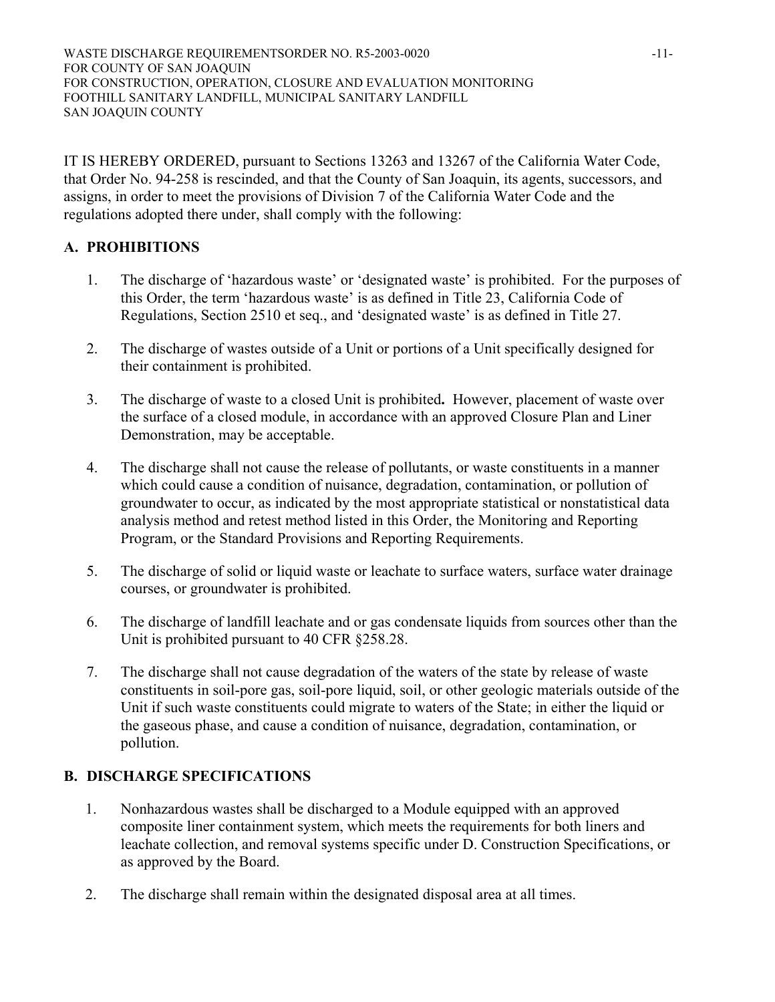IT IS HEREBY ORDERED, pursuant to Sections 13263 and 13267 of the California Water Code, that Order No. 94-258 is rescinded, and that the County of San Joaquin, its agents, successors, and assigns, in order to meet the provisions of Division 7 of the California Water Code and the regulations adopted there under, shall comply with the following:

# **A. PROHIBITIONS**

- 1. The discharge of 'hazardous waste' or 'designated waste' is prohibited. For the purposes of this Order, the term 'hazardous waste' is as defined in Title 23, California Code of Regulations, Section 2510 et seq., and 'designated waste' is as defined in Title 27.
- 2. The discharge of wastes outside of a Unit or portions of a Unit specifically designed for their containment is prohibited.
- 3. The discharge of waste to a closed Unit is prohibited**.** However, placement of waste over the surface of a closed module, in accordance with an approved Closure Plan and Liner Demonstration, may be acceptable.
- 4. The discharge shall not cause the release of pollutants, or waste constituents in a manner which could cause a condition of nuisance, degradation, contamination, or pollution of groundwater to occur, as indicated by the most appropriate statistical or nonstatistical data analysis method and retest method listed in this Order, the Monitoring and Reporting Program, or the Standard Provisions and Reporting Requirements.
- 5. The discharge of solid or liquid waste or leachate to surface waters, surface water drainage courses, or groundwater is prohibited.
- 6. The discharge of landfill leachate and or gas condensate liquids from sources other than the Unit is prohibited pursuant to 40 CFR §258.28.
- 7. The discharge shall not cause degradation of the waters of the state by release of waste constituents in soil-pore gas, soil-pore liquid, soil, or other geologic materials outside of the Unit if such waste constituents could migrate to waters of the State; in either the liquid or the gaseous phase, and cause a condition of nuisance, degradation, contamination, or pollution.

# **B. DISCHARGE SPECIFICATIONS**

- 1. Nonhazardous wastes shall be discharged to a Module equipped with an approved composite liner containment system, which meets the requirements for both liners and leachate collection, and removal systems specific under D. Construction Specifications, or as approved by the Board.
- 2. The discharge shall remain within the designated disposal area at all times.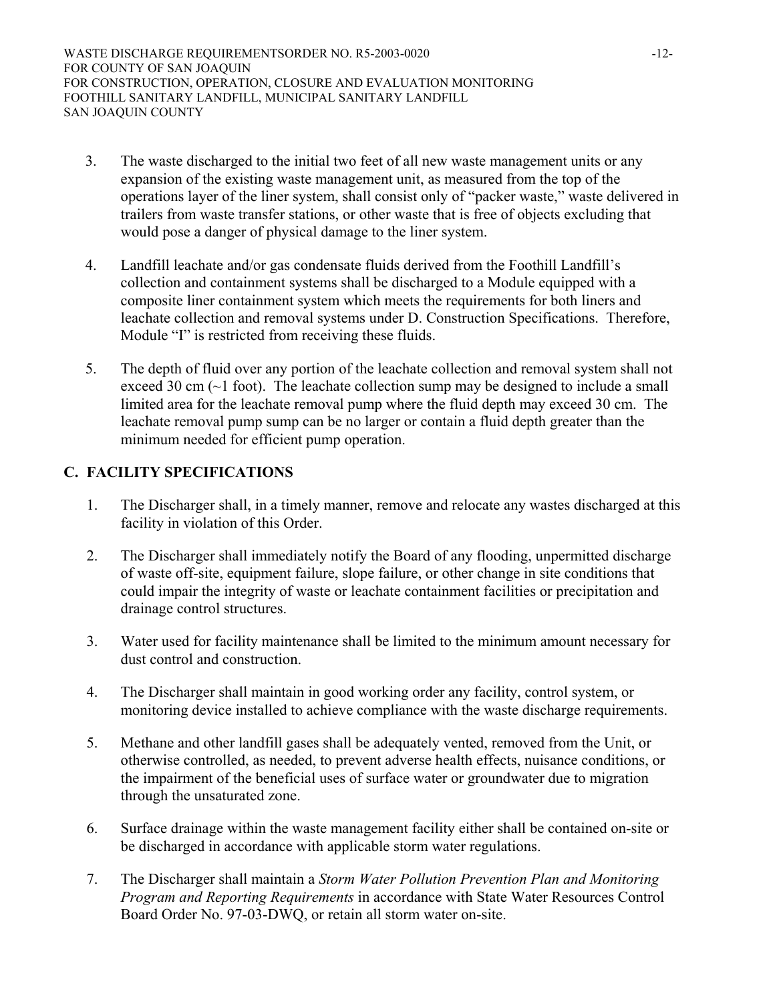WASTE DISCHARGE REQUIREMENTSORDER NO. R5-2003-0020 -12-FOR COUNTY OF SAN JOAQUIN FOR CONSTRUCTION, OPERATION, CLOSURE AND EVALUATION MONITORING FOOTHILL SANITARY LANDFILL, MUNICIPAL SANITARY LANDFILL SAN JOAQUIN COUNTY

- 3. The waste discharged to the initial two feet of all new waste management units or any expansion of the existing waste management unit, as measured from the top of the operations layer of the liner system, shall consist only of "packer waste," waste delivered in trailers from waste transfer stations, or other waste that is free of objects excluding that would pose a danger of physical damage to the liner system.
- 4. Landfill leachate and/or gas condensate fluids derived from the Foothill Landfill's collection and containment systems shall be discharged to a Module equipped with a composite liner containment system which meets the requirements for both liners and leachate collection and removal systems under D. Construction Specifications. Therefore, Module "I" is restricted from receiving these fluids.
- 5. The depth of fluid over any portion of the leachate collection and removal system shall not exceed 30 cm (~1 foot). The leachate collection sump may be designed to include a small limited area for the leachate removal pump where the fluid depth may exceed 30 cm. The leachate removal pump sump can be no larger or contain a fluid depth greater than the minimum needed for efficient pump operation.

# **C. FACILITY SPECIFICATIONS**

- 1. The Discharger shall, in a timely manner, remove and relocate any wastes discharged at this facility in violation of this Order.
- 2. The Discharger shall immediately notify the Board of any flooding, unpermitted discharge of waste off-site, equipment failure, slope failure, or other change in site conditions that could impair the integrity of waste or leachate containment facilities or precipitation and drainage control structures.
- 3. Water used for facility maintenance shall be limited to the minimum amount necessary for dust control and construction.
- 4. The Discharger shall maintain in good working order any facility, control system, or monitoring device installed to achieve compliance with the waste discharge requirements.
- 5. Methane and other landfill gases shall be adequately vented, removed from the Unit, or otherwise controlled, as needed, to prevent adverse health effects, nuisance conditions, or the impairment of the beneficial uses of surface water or groundwater due to migration through the unsaturated zone.
- 6. Surface drainage within the waste management facility either shall be contained on-site or be discharged in accordance with applicable storm water regulations.
- 7. The Discharger shall maintain a *Storm Water Pollution Prevention Plan and Monitoring Program and Reporting Requirements* in accordance with State Water Resources Control Board Order No. 97-03-DWQ, or retain all storm water on-site.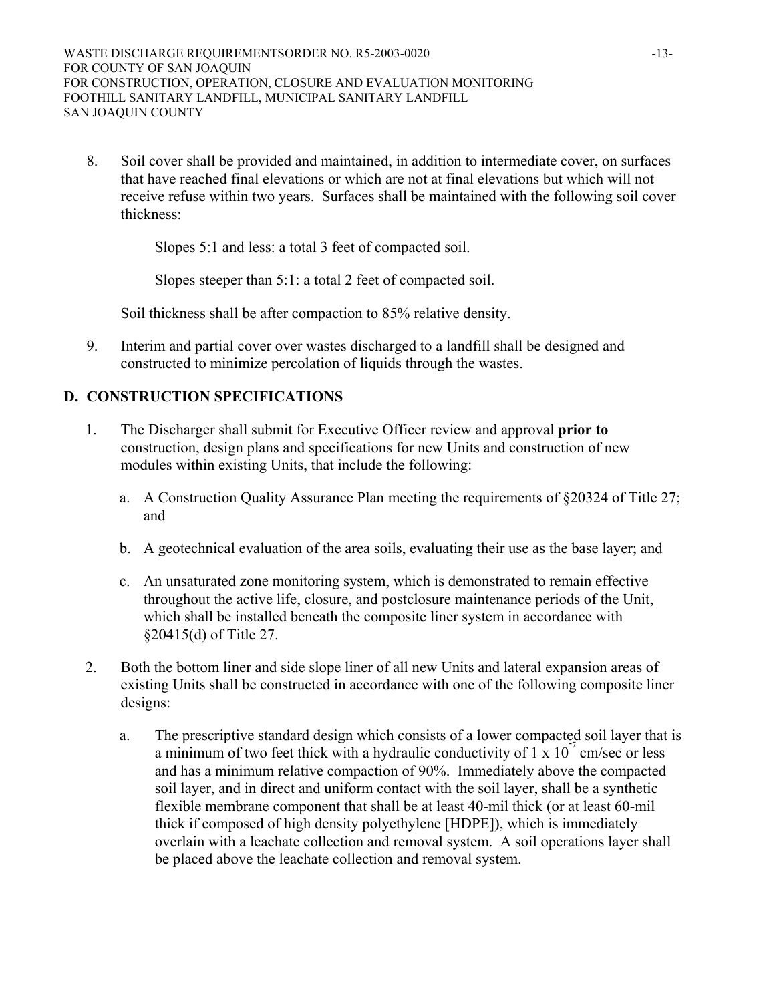8. Soil cover shall be provided and maintained, in addition to intermediate cover, on surfaces that have reached final elevations or which are not at final elevations but which will not receive refuse within two years. Surfaces shall be maintained with the following soil cover thickness:

Slopes 5:1 and less: a total 3 feet of compacted soil.

Slopes steeper than 5:1: a total 2 feet of compacted soil.

Soil thickness shall be after compaction to 85% relative density.

9. Interim and partial cover over wastes discharged to a landfill shall be designed and constructed to minimize percolation of liquids through the wastes.

## **D. CONSTRUCTION SPECIFICATIONS**

- 1. The Discharger shall submit for Executive Officer review and approval **prior to** construction, design plans and specifications for new Units and construction of new modules within existing Units, that include the following:
	- a. A Construction Quality Assurance Plan meeting the requirements of §20324 of Title 27; and
	- b. A geotechnical evaluation of the area soils, evaluating their use as the base layer; and
	- c. An unsaturated zone monitoring system, which is demonstrated to remain effective throughout the active life, closure, and postclosure maintenance periods of the Unit, which shall be installed beneath the composite liner system in accordance with §20415(d) of Title 27.
- 2. Both the bottom liner and side slope liner of all new Units and lateral expansion areas of existing Units shall be constructed in accordance with one of the following composite liner designs:
	- a. The prescriptive standard design which consists of a lower compacted soil layer that is a minimum of two feet thick with a hydraulic conductivity of  $1 \times 10^{-7}$  cm/sec or less and has a minimum relative compaction of 90%. Immediately above the compacted soil layer, and in direct and uniform contact with the soil layer, shall be a synthetic flexible membrane component that shall be at least 40-mil thick (or at least 60-mil thick if composed of high density polyethylene [HDPE]), which is immediately overlain with a leachate collection and removal system. A soil operations layer shall be placed above the leachate collection and removal system.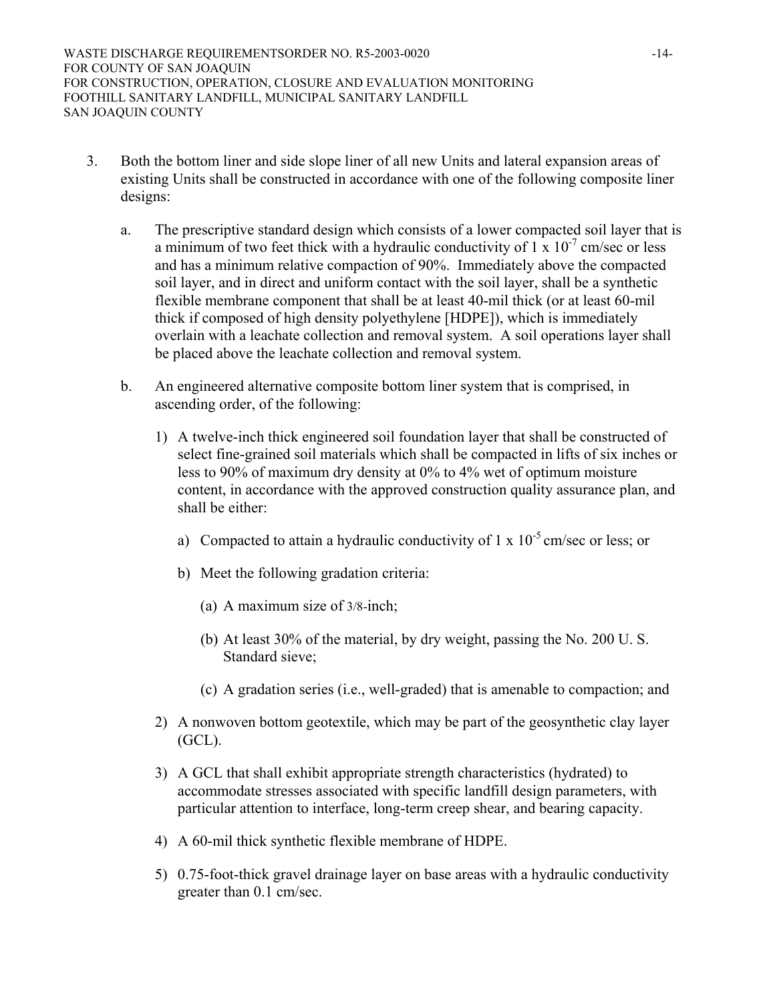- 3. Both the bottom liner and side slope liner of all new Units and lateral expansion areas of existing Units shall be constructed in accordance with one of the following composite liner designs:
	- a. The prescriptive standard design which consists of a lower compacted soil layer that is a minimum of two feet thick with a hydraulic conductivity of  $1 \times 10^{-7}$  cm/sec or less and has a minimum relative compaction of 90%. Immediately above the compacted soil layer, and in direct and uniform contact with the soil layer, shall be a synthetic flexible membrane component that shall be at least 40-mil thick (or at least 60-mil thick if composed of high density polyethylene [HDPE]), which is immediately overlain with a leachate collection and removal system. A soil operations layer shall be placed above the leachate collection and removal system.
	- b. An engineered alternative composite bottom liner system that is comprised, in ascending order, of the following:
		- 1) A twelve-inch thick engineered soil foundation layer that shall be constructed of select fine-grained soil materials which shall be compacted in lifts of six inches or less to 90% of maximum dry density at 0% to 4% wet of optimum moisture content, in accordance with the approved construction quality assurance plan, and shall be either:
			- a) Compacted to attain a hydraulic conductivity of  $1 \times 10^{-5}$  cm/sec or less; or
			- b) Meet the following gradation criteria:
				- (a) A maximum size of 3/8-inch;
				- (b) At least 30% of the material, by dry weight, passing the No. 200 U. S. Standard sieve;
				- (c) A gradation series (i.e., well-graded) that is amenable to compaction; and
		- 2) A nonwoven bottom geotextile, which may be part of the geosynthetic clay layer (GCL).
		- 3) A GCL that shall exhibit appropriate strength characteristics (hydrated) to accommodate stresses associated with specific landfill design parameters, with particular attention to interface, long-term creep shear, and bearing capacity.
		- 4) A 60-mil thick synthetic flexible membrane of HDPE.
		- 5) 0.75-foot-thick gravel drainage layer on base areas with a hydraulic conductivity greater than 0.1 cm/sec.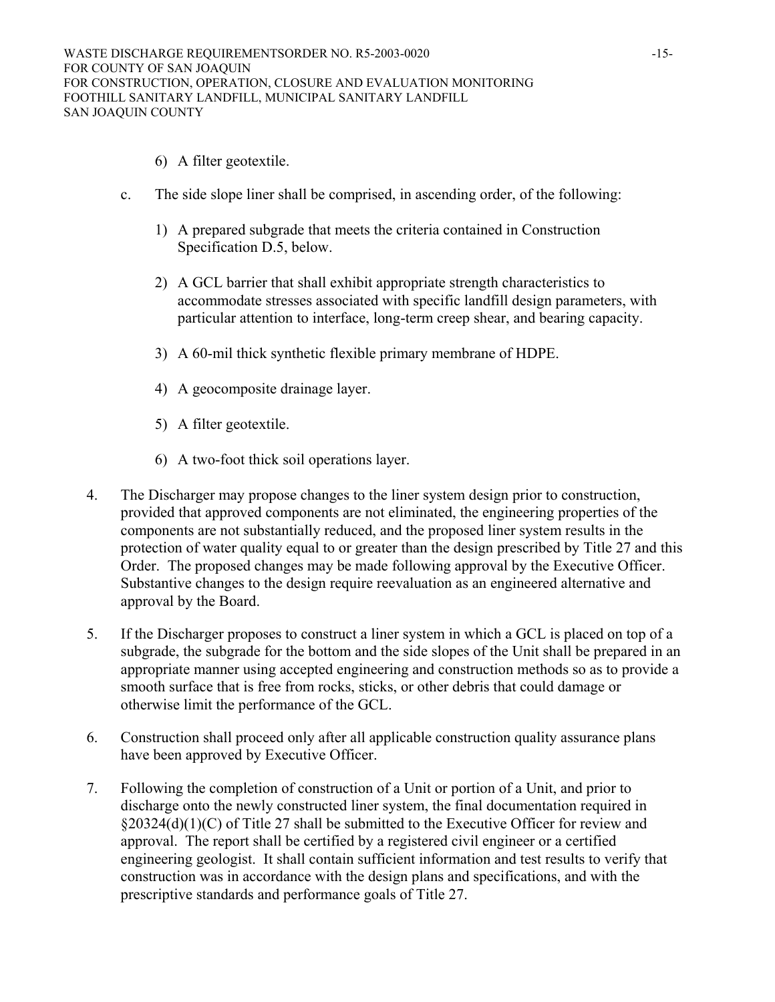- 6) A filter geotextile.
- c. The side slope liner shall be comprised, in ascending order, of the following:
	- 1) A prepared subgrade that meets the criteria contained in Construction Specification D.5, below.
	- 2) A GCL barrier that shall exhibit appropriate strength characteristics to accommodate stresses associated with specific landfill design parameters, with particular attention to interface, long-term creep shear, and bearing capacity.
	- 3) A 60-mil thick synthetic flexible primary membrane of HDPE.
	- 4) A geocomposite drainage layer.
	- 5) A filter geotextile.
	- 6) A two-foot thick soil operations layer.
- 4. The Discharger may propose changes to the liner system design prior to construction, provided that approved components are not eliminated, the engineering properties of the components are not substantially reduced, and the proposed liner system results in the protection of water quality equal to or greater than the design prescribed by Title 27 and this Order. The proposed changes may be made following approval by the Executive Officer. Substantive changes to the design require reevaluation as an engineered alternative and approval by the Board.
- 5. If the Discharger proposes to construct a liner system in which a GCL is placed on top of a subgrade, the subgrade for the bottom and the side slopes of the Unit shall be prepared in an appropriate manner using accepted engineering and construction methods so as to provide a smooth surface that is free from rocks, sticks, or other debris that could damage or otherwise limit the performance of the GCL.
- 6. Construction shall proceed only after all applicable construction quality assurance plans have been approved by Executive Officer.
- 7. Following the completion of construction of a Unit or portion of a Unit, and prior to discharge onto the newly constructed liner system, the final documentation required in §20324(d)(1)(C) of Title 27 shall be submitted to the Executive Officer for review and approval. The report shall be certified by a registered civil engineer or a certified engineering geologist. It shall contain sufficient information and test results to verify that construction was in accordance with the design plans and specifications, and with the prescriptive standards and performance goals of Title 27.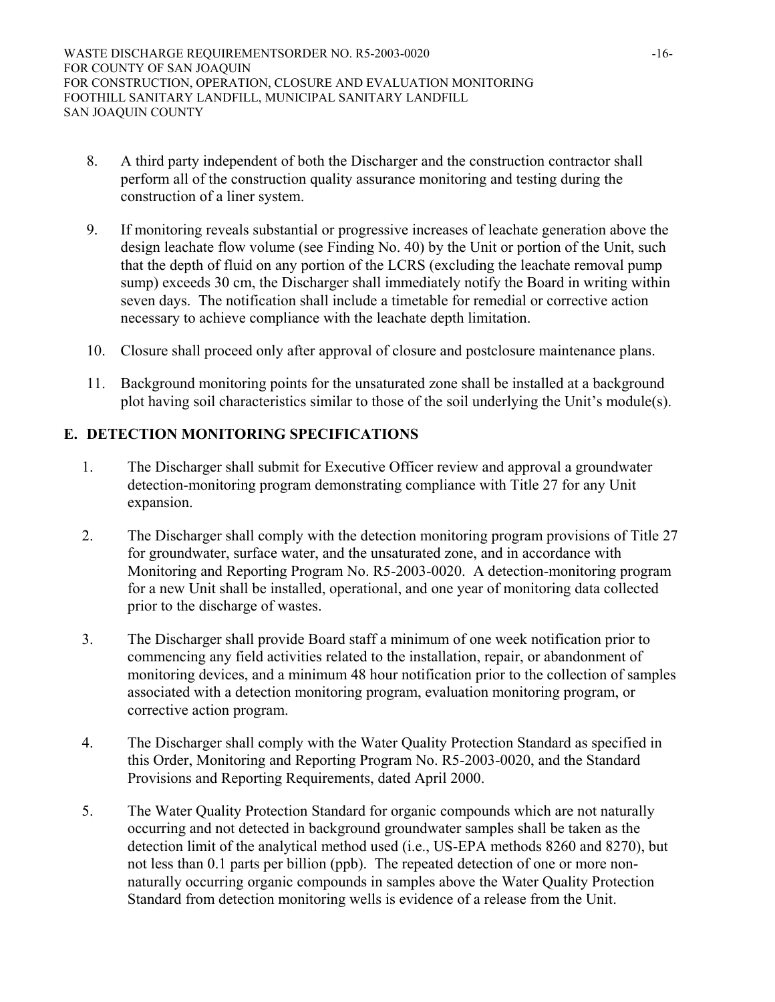- 8. A third party independent of both the Discharger and the construction contractor shall perform all of the construction quality assurance monitoring and testing during the construction of a liner system.
- 9. If monitoring reveals substantial or progressive increases of leachate generation above the design leachate flow volume (see Finding No. 40) by the Unit or portion of the Unit, such that the depth of fluid on any portion of the LCRS (excluding the leachate removal pump sump) exceeds 30 cm, the Discharger shall immediately notify the Board in writing within seven days. The notification shall include a timetable for remedial or corrective action necessary to achieve compliance with the leachate depth limitation.
- 10. Closure shall proceed only after approval of closure and postclosure maintenance plans.
- 11. Background monitoring points for the unsaturated zone shall be installed at a background plot having soil characteristics similar to those of the soil underlying the Unit's module(s).

# **E. DETECTION MONITORING SPECIFICATIONS**

- 1. The Discharger shall submit for Executive Officer review and approval a groundwater detection-monitoring program demonstrating compliance with Title 27 for any Unit expansion.
- 2. The Discharger shall comply with the detection monitoring program provisions of Title 27 for groundwater, surface water, and the unsaturated zone, and in accordance with Monitoring and Reporting Program No. R5-2003-0020. A detection-monitoring program for a new Unit shall be installed, operational, and one year of monitoring data collected prior to the discharge of wastes.
- 3. The Discharger shall provide Board staff a minimum of one week notification prior to commencing any field activities related to the installation, repair, or abandonment of monitoring devices, and a minimum 48 hour notification prior to the collection of samples associated with a detection monitoring program, evaluation monitoring program, or corrective action program.
- 4. The Discharger shall comply with the Water Quality Protection Standard as specified in this Order, Monitoring and Reporting Program No. R5-2003-0020, and the Standard Provisions and Reporting Requirements, dated April 2000.
- 5. The Water Quality Protection Standard for organic compounds which are not naturally occurring and not detected in background groundwater samples shall be taken as the detection limit of the analytical method used (i.e., US-EPA methods 8260 and 8270), but not less than 0.1 parts per billion (ppb). The repeated detection of one or more nonnaturally occurring organic compounds in samples above the Water Quality Protection Standard from detection monitoring wells is evidence of a release from the Unit.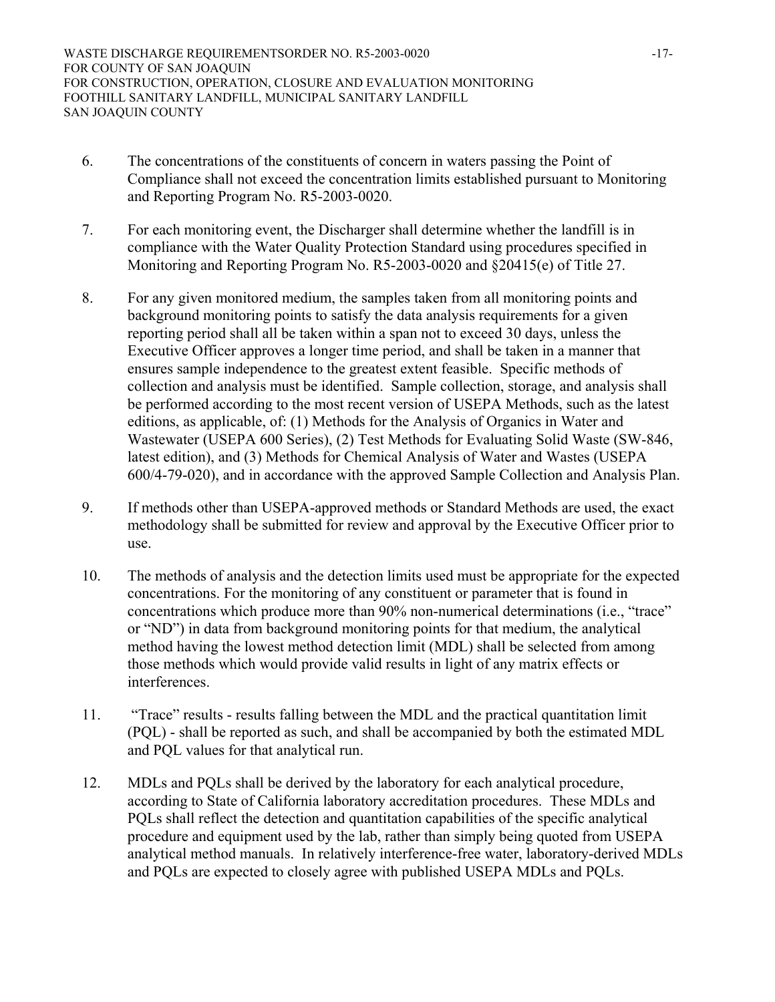- 6. The concentrations of the constituents of concern in waters passing the Point of Compliance shall not exceed the concentration limits established pursuant to Monitoring and Reporting Program No. R5-2003-0020.
- 7. For each monitoring event, the Discharger shall determine whether the landfill is in compliance with the Water Quality Protection Standard using procedures specified in Monitoring and Reporting Program No. R5-2003-0020 and §20415(e) of Title 27.
- 8. For any given monitored medium, the samples taken from all monitoring points and background monitoring points to satisfy the data analysis requirements for a given reporting period shall all be taken within a span not to exceed 30 days, unless the Executive Officer approves a longer time period, and shall be taken in a manner that ensures sample independence to the greatest extent feasible. Specific methods of collection and analysis must be identified. Sample collection, storage, and analysis shall be performed according to the most recent version of USEPA Methods, such as the latest editions, as applicable, of: (1) Methods for the Analysis of Organics in Water and Wastewater (USEPA 600 Series), (2) Test Methods for Evaluating Solid Waste (SW-846, latest edition), and (3) Methods for Chemical Analysis of Water and Wastes (USEPA 600/4-79-020), and in accordance with the approved Sample Collection and Analysis Plan.
- 9. If methods other than USEPA-approved methods or Standard Methods are used, the exact methodology shall be submitted for review and approval by the Executive Officer prior to use.
- 10. The methods of analysis and the detection limits used must be appropriate for the expected concentrations. For the monitoring of any constituent or parameter that is found in concentrations which produce more than 90% non-numerical determinations (i.e., "trace" or "ND") in data from background monitoring points for that medium, the analytical method having the lowest method detection limit (MDL) shall be selected from among those methods which would provide valid results in light of any matrix effects or interferences.
- 11. "Trace" results results falling between the MDL and the practical quantitation limit (PQL) - shall be reported as such, and shall be accompanied by both the estimated MDL and PQL values for that analytical run.
- 12. MDLs and PQLs shall be derived by the laboratory for each analytical procedure, according to State of California laboratory accreditation procedures. These MDLs and PQLs shall reflect the detection and quantitation capabilities of the specific analytical procedure and equipment used by the lab, rather than simply being quoted from USEPA analytical method manuals. In relatively interference-free water, laboratory-derived MDLs and PQLs are expected to closely agree with published USEPA MDLs and PQLs.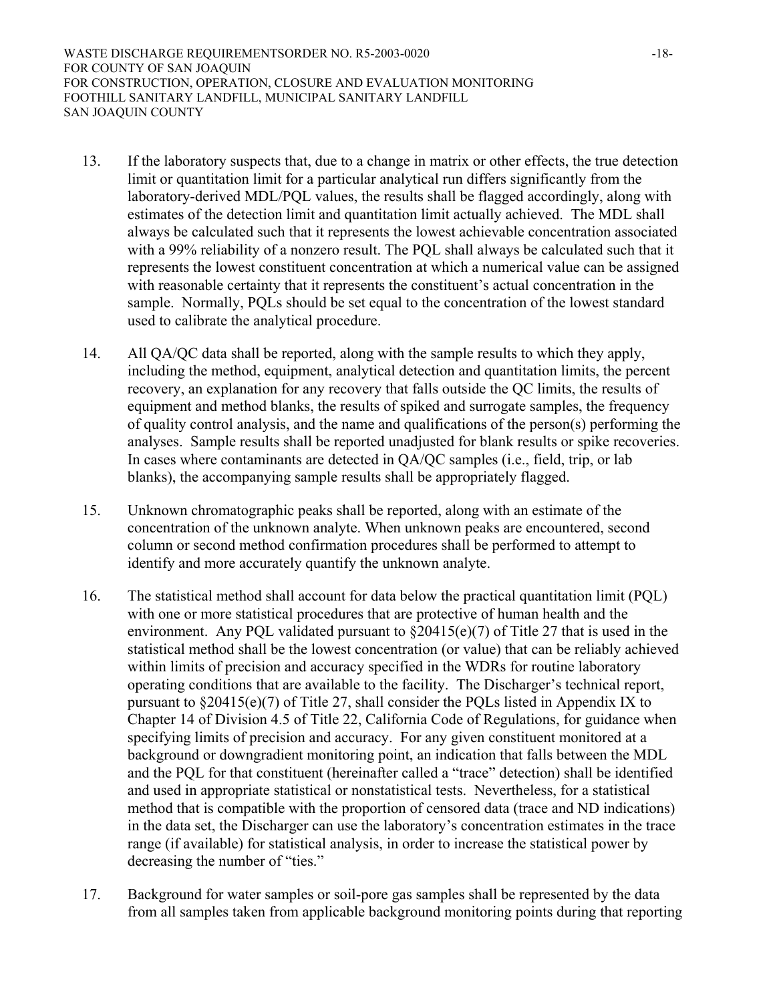WASTE DISCHARGE REQUIREMENTSORDER NO. R5-2003-0020 -18-FOR COUNTY OF SAN JOAQUIN FOR CONSTRUCTION, OPERATION, CLOSURE AND EVALUATION MONITORING FOOTHILL SANITARY LANDFILL, MUNICIPAL SANITARY LANDFILL SAN JOAQUIN COUNTY

- 13. If the laboratory suspects that, due to a change in matrix or other effects, the true detection limit or quantitation limit for a particular analytical run differs significantly from the laboratory-derived MDL/PQL values, the results shall be flagged accordingly, along with estimates of the detection limit and quantitation limit actually achieved. The MDL shall always be calculated such that it represents the lowest achievable concentration associated with a 99% reliability of a nonzero result. The PQL shall always be calculated such that it represents the lowest constituent concentration at which a numerical value can be assigned with reasonable certainty that it represents the constituent's actual concentration in the sample. Normally, PQLs should be set equal to the concentration of the lowest standard used to calibrate the analytical procedure.
- 14. All QA/QC data shall be reported, along with the sample results to which they apply, including the method, equipment, analytical detection and quantitation limits, the percent recovery, an explanation for any recovery that falls outside the QC limits, the results of equipment and method blanks, the results of spiked and surrogate samples, the frequency of quality control analysis, and the name and qualifications of the person(s) performing the analyses. Sample results shall be reported unadjusted for blank results or spike recoveries. In cases where contaminants are detected in QA/QC samples (i.e., field, trip, or lab blanks), the accompanying sample results shall be appropriately flagged.
- 15. Unknown chromatographic peaks shall be reported, along with an estimate of the concentration of the unknown analyte. When unknown peaks are encountered, second column or second method confirmation procedures shall be performed to attempt to identify and more accurately quantify the unknown analyte.
- 16. The statistical method shall account for data below the practical quantitation limit (PQL) with one or more statistical procedures that are protective of human health and the environment. Any PQL validated pursuant to §20415(e)(7) of Title 27 that is used in the statistical method shall be the lowest concentration (or value) that can be reliably achieved within limits of precision and accuracy specified in the WDRs for routine laboratory operating conditions that are available to the facility. The Discharger's technical report, pursuant to §20415(e)(7) of Title 27, shall consider the PQLs listed in Appendix IX to Chapter 14 of Division 4.5 of Title 22, California Code of Regulations, for guidance when specifying limits of precision and accuracy. For any given constituent monitored at a background or downgradient monitoring point, an indication that falls between the MDL and the PQL for that constituent (hereinafter called a "trace" detection) shall be identified and used in appropriate statistical or nonstatistical tests. Nevertheless, for a statistical method that is compatible with the proportion of censored data (trace and ND indications) in the data set, the Discharger can use the laboratory's concentration estimates in the trace range (if available) for statistical analysis, in order to increase the statistical power by decreasing the number of "ties."
- 17. Background for water samples or soil-pore gas samples shall be represented by the data from all samples taken from applicable background monitoring points during that reporting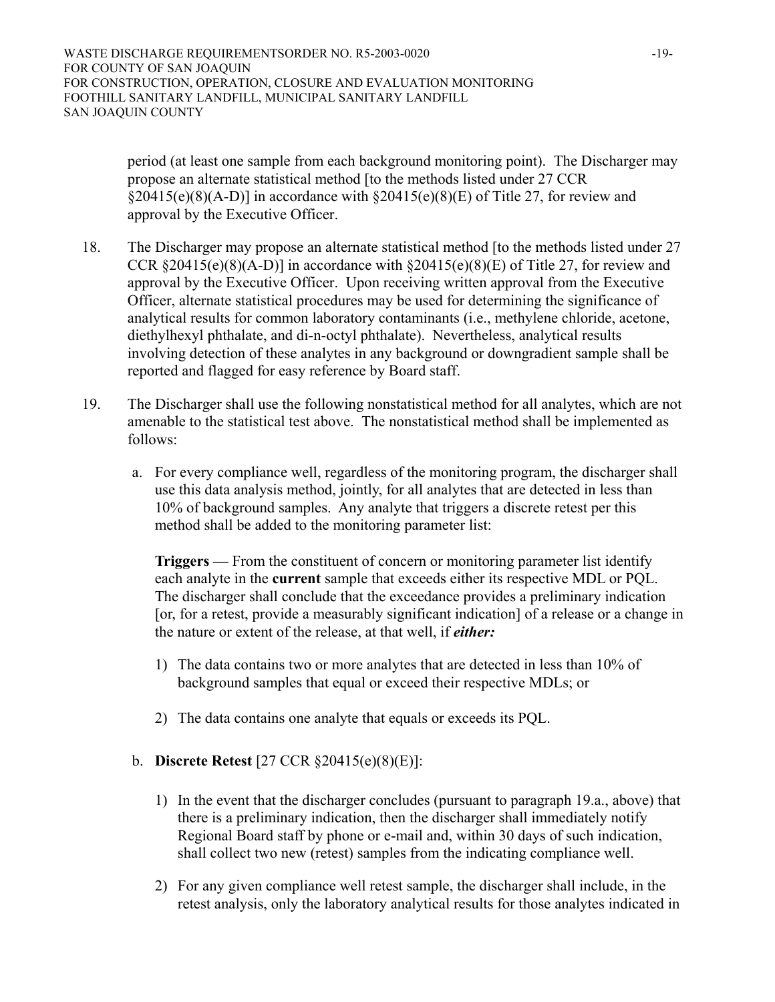period (at least one sample from each background monitoring point). The Discharger may propose an alternate statistical method [to the methods listed under 27 CCR  $\S20415(e)(8)(A-D)$ ] in accordance with  $\S20415(e)(8)(E)$  of Title 27, for review and approval by the Executive Officer.

- 18. The Discharger may propose an alternate statistical method [to the methods listed under 27 CCR  $\S 20415(e)(8)(A-D)$ ] in accordance with  $\S 20415(e)(8)(E)$  of Title 27, for review and approval by the Executive Officer. Upon receiving written approval from the Executive Officer, alternate statistical procedures may be used for determining the significance of analytical results for common laboratory contaminants (i.e., methylene chloride, acetone, diethylhexyl phthalate, and di-n-octyl phthalate). Nevertheless, analytical results involving detection of these analytes in any background or downgradient sample shall be reported and flagged for easy reference by Board staff.
- 19. The Discharger shall use the following nonstatistical method for all analytes, which are not amenable to the statistical test above. The nonstatistical method shall be implemented as follows:
	- a. For every compliance well, regardless of the monitoring program, the discharger shall use this data analysis method, jointly, for all analytes that are detected in less than 10% of background samples. Any analyte that triggers a discrete retest per this method shall be added to the monitoring parameter list:

**Triggers —** From the constituent of concern or monitoring parameter list identify each analyte in the **current** sample that exceeds either its respective MDL or PQL. The discharger shall conclude that the exceedance provides a preliminary indication [or, for a retest, provide a measurably significant indication] of a release or a change in the nature or extent of the release, at that well, if *either:* 

- 1) The data contains two or more analytes that are detected in less than 10% of background samples that equal or exceed their respective MDLs; or
- 2) The data contains one analyte that equals or exceeds its PQL.

# b. **Discrete Retest** [27 CCR §20415(e)(8)(E)]:

- 1) In the event that the discharger concludes (pursuant to paragraph 19.a., above) that there is a preliminary indication, then the discharger shall immediately notify Regional Board staff by phone or e-mail and, within 30 days of such indication, shall collect two new (retest) samples from the indicating compliance well.
- 2) For any given compliance well retest sample, the discharger shall include, in the retest analysis, only the laboratory analytical results for those analytes indicated in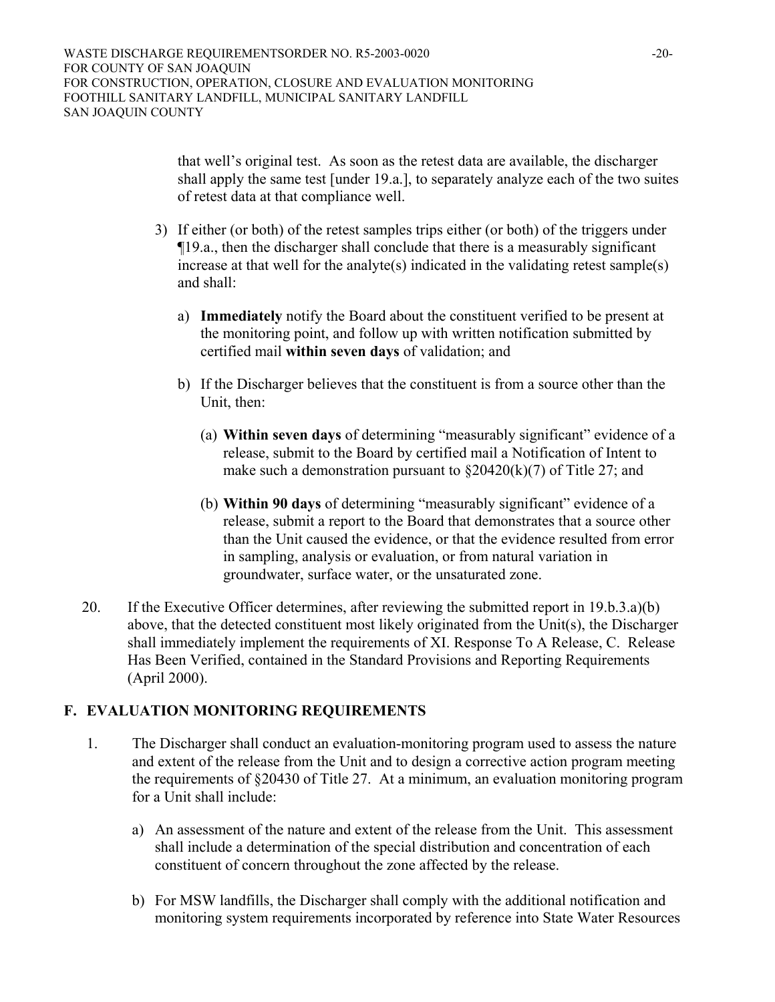that well's original test. As soon as the retest data are available, the discharger shall apply the same test [under 19.a.], to separately analyze each of the two suites of retest data at that compliance well.

- 3) If either (or both) of the retest samples trips either (or both) of the triggers under ¶19.a., then the discharger shall conclude that there is a measurably significant increase at that well for the analyte(s) indicated in the validating retest sample(s) and shall:
	- a) **Immediately** notify the Board about the constituent verified to be present at the monitoring point, and follow up with written notification submitted by certified mail **within seven days** of validation; and
	- b) If the Discharger believes that the constituent is from a source other than the Unit, then:
		- (a) **Within seven days** of determining "measurably significant" evidence of a release, submit to the Board by certified mail a Notification of Intent to make such a demonstration pursuant to  $\frac{20420(k)}{7}$  of Title 27; and
		- (b) **Within 90 days** of determining "measurably significant" evidence of a release, submit a report to the Board that demonstrates that a source other than the Unit caused the evidence, or that the evidence resulted from error in sampling, analysis or evaluation, or from natural variation in groundwater, surface water, or the unsaturated zone.
- 20. If the Executive Officer determines, after reviewing the submitted report in 19.b.3.a)(b) above, that the detected constituent most likely originated from the Unit(s), the Discharger shall immediately implement the requirements of XI. Response To A Release, C. Release Has Been Verified, contained in the Standard Provisions and Reporting Requirements (April 2000).

# **F. EVALUATION MONITORING REQUIREMENTS**

- 1. The Discharger shall conduct an evaluation-monitoring program used to assess the nature and extent of the release from the Unit and to design a corrective action program meeting the requirements of §20430 of Title 27. At a minimum, an evaluation monitoring program for a Unit shall include:
	- a) An assessment of the nature and extent of the release from the Unit. This assessment shall include a determination of the special distribution and concentration of each constituent of concern throughout the zone affected by the release.
	- b) For MSW landfills, the Discharger shall comply with the additional notification and monitoring system requirements incorporated by reference into State Water Resources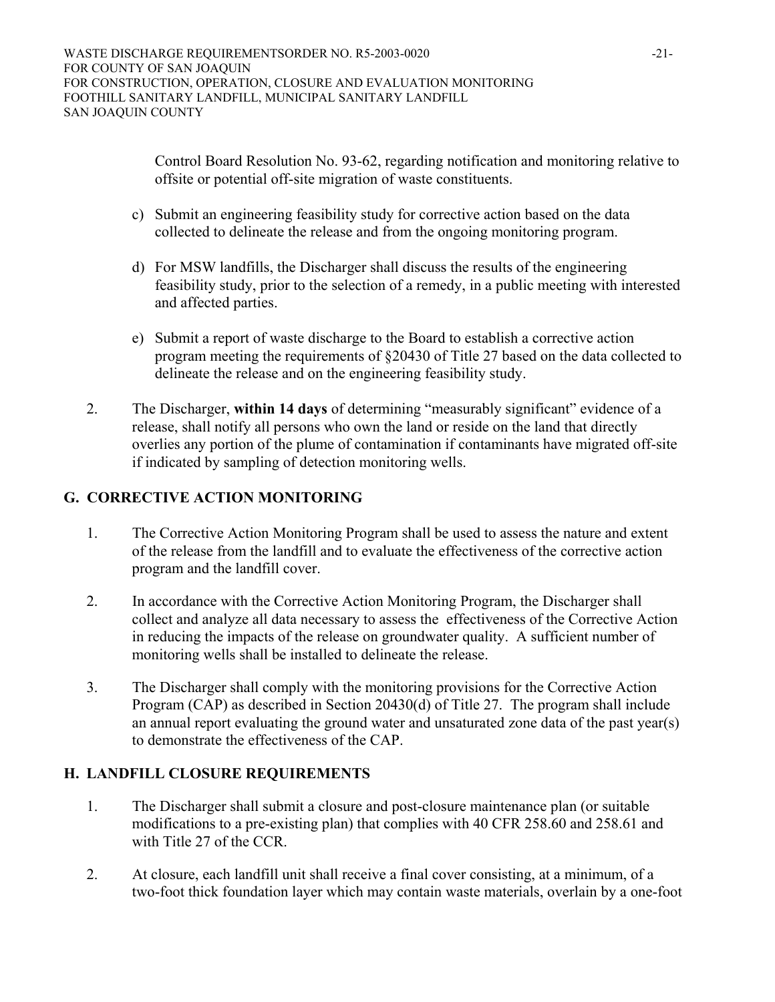Control Board Resolution No. 93-62, regarding notification and monitoring relative to offsite or potential off-site migration of waste constituents.

- c) Submit an engineering feasibility study for corrective action based on the data collected to delineate the release and from the ongoing monitoring program.
- d) For MSW landfills, the Discharger shall discuss the results of the engineering feasibility study, prior to the selection of a remedy, in a public meeting with interested and affected parties.
- e) Submit a report of waste discharge to the Board to establish a corrective action program meeting the requirements of §20430 of Title 27 based on the data collected to delineate the release and on the engineering feasibility study.
- 2. The Discharger, **within 14 days** of determining "measurably significant" evidence of a release, shall notify all persons who own the land or reside on the land that directly overlies any portion of the plume of contamination if contaminants have migrated off-site if indicated by sampling of detection monitoring wells.

# **G. CORRECTIVE ACTION MONITORING**

- 1. The Corrective Action Monitoring Program shall be used to assess the nature and extent of the release from the landfill and to evaluate the effectiveness of the corrective action program and the landfill cover.
- 2. In accordance with the Corrective Action Monitoring Program, the Discharger shall collect and analyze all data necessary to assess the effectiveness of the Corrective Action in reducing the impacts of the release on groundwater quality. A sufficient number of monitoring wells shall be installed to delineate the release.
- 3. The Discharger shall comply with the monitoring provisions for the Corrective Action Program (CAP) as described in Section 20430(d) of Title 27. The program shall include an annual report evaluating the ground water and unsaturated zone data of the past year(s) to demonstrate the effectiveness of the CAP.

# **H. LANDFILL CLOSURE REQUIREMENTS**

- 1. The Discharger shall submit a closure and post-closure maintenance plan (or suitable modifications to a pre-existing plan) that complies with 40 CFR 258.60 and 258.61 and with Title 27 of the CCR.
- 2. At closure, each landfill unit shall receive a final cover consisting, at a minimum, of a two-foot thick foundation layer which may contain waste materials, overlain by a one-foot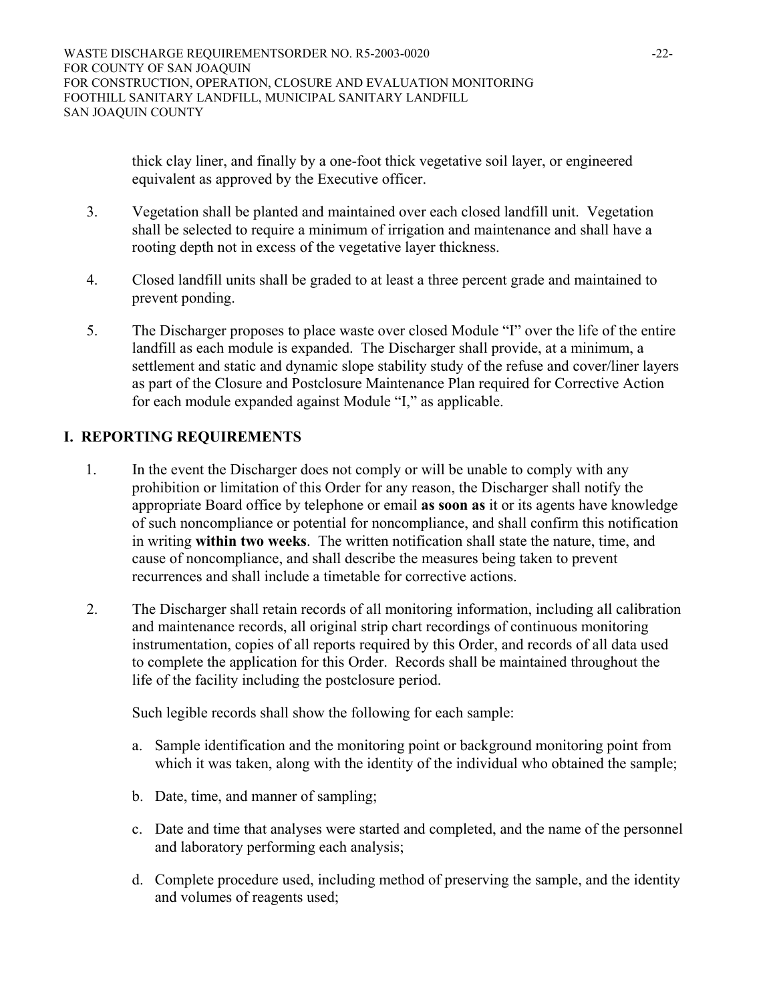thick clay liner, and finally by a one-foot thick vegetative soil layer, or engineered equivalent as approved by the Executive officer.

- 3. Vegetation shall be planted and maintained over each closed landfill unit. Vegetation shall be selected to require a minimum of irrigation and maintenance and shall have a rooting depth not in excess of the vegetative layer thickness.
- 4. Closed landfill units shall be graded to at least a three percent grade and maintained to prevent ponding.
- 5. The Discharger proposes to place waste over closed Module "I" over the life of the entire landfill as each module is expanded. The Discharger shall provide, at a minimum, a settlement and static and dynamic slope stability study of the refuse and cover/liner layers as part of the Closure and Postclosure Maintenance Plan required for Corrective Action for each module expanded against Module "I," as applicable.

# **I. REPORTING REQUIREMENTS**

- 1. In the event the Discharger does not comply or will be unable to comply with any prohibition or limitation of this Order for any reason, the Discharger shall notify the appropriate Board office by telephone or email **as soon as** it or its agents have knowledge of such noncompliance or potential for noncompliance, and shall confirm this notification in writing **within two weeks**. The written notification shall state the nature, time, and cause of noncompliance, and shall describe the measures being taken to prevent recurrences and shall include a timetable for corrective actions.
- 2. The Discharger shall retain records of all monitoring information, including all calibration and maintenance records, all original strip chart recordings of continuous monitoring instrumentation, copies of all reports required by this Order, and records of all data used to complete the application for this Order. Records shall be maintained throughout the life of the facility including the postclosure period.

Such legible records shall show the following for each sample:

- a. Sample identification and the monitoring point or background monitoring point from which it was taken, along with the identity of the individual who obtained the sample;
- b. Date, time, and manner of sampling;
- c. Date and time that analyses were started and completed, and the name of the personnel and laboratory performing each analysis;
- d. Complete procedure used, including method of preserving the sample, and the identity and volumes of reagents used;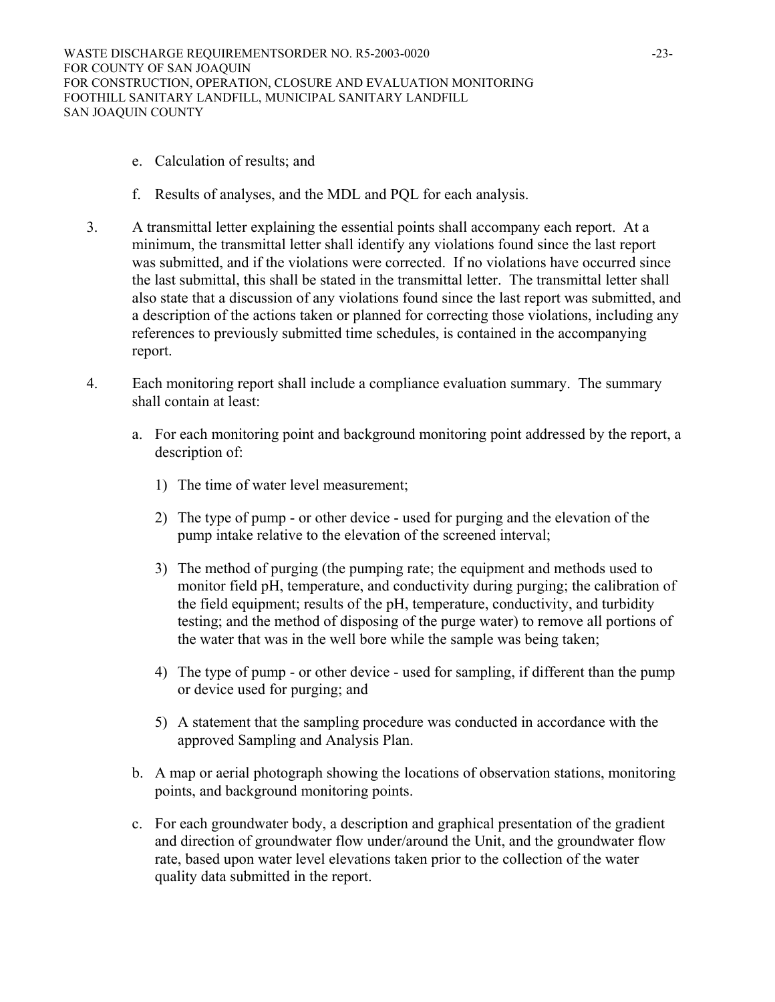- e. Calculation of results; and
- f. Results of analyses, and the MDL and PQL for each analysis.
- 3. A transmittal letter explaining the essential points shall accompany each report. At a minimum, the transmittal letter shall identify any violations found since the last report was submitted, and if the violations were corrected. If no violations have occurred since the last submittal, this shall be stated in the transmittal letter. The transmittal letter shall also state that a discussion of any violations found since the last report was submitted, and a description of the actions taken or planned for correcting those violations, including any references to previously submitted time schedules, is contained in the accompanying report.
- 4. Each monitoring report shall include a compliance evaluation summary. The summary shall contain at least:
	- a. For each monitoring point and background monitoring point addressed by the report, a description of:
		- 1) The time of water level measurement;
		- 2) The type of pump or other device used for purging and the elevation of the pump intake relative to the elevation of the screened interval;
		- 3) The method of purging (the pumping rate; the equipment and methods used to monitor field pH, temperature, and conductivity during purging; the calibration of the field equipment; results of the pH, temperature, conductivity, and turbidity testing; and the method of disposing of the purge water) to remove all portions of the water that was in the well bore while the sample was being taken;
		- 4) The type of pump or other device used for sampling, if different than the pump or device used for purging; and
		- 5) A statement that the sampling procedure was conducted in accordance with the approved Sampling and Analysis Plan.
	- b. A map or aerial photograph showing the locations of observation stations, monitoring points, and background monitoring points.
	- c. For each groundwater body, a description and graphical presentation of the gradient and direction of groundwater flow under/around the Unit, and the groundwater flow rate, based upon water level elevations taken prior to the collection of the water quality data submitted in the report.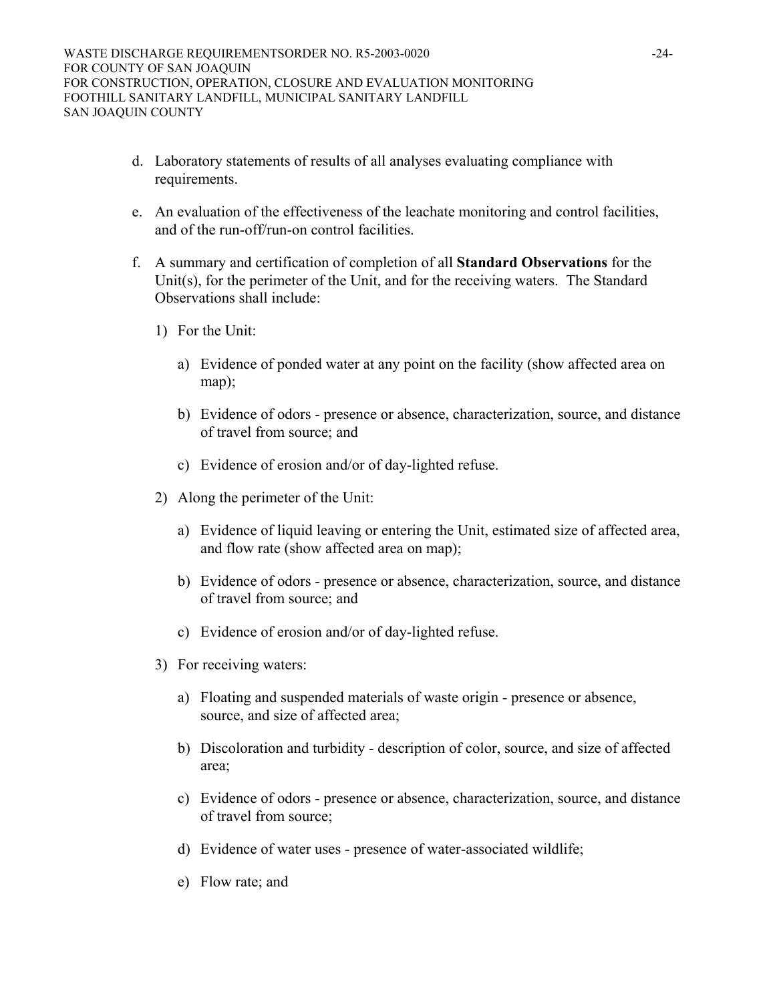- d. Laboratory statements of results of all analyses evaluating compliance with requirements.
- e. An evaluation of the effectiveness of the leachate monitoring and control facilities, and of the run-off/run-on control facilities.
- f. A summary and certification of completion of all **Standard Observations** for the Unit(s), for the perimeter of the Unit, and for the receiving waters. The Standard Observations shall include:
	- 1) For the Unit:
		- a) Evidence of ponded water at any point on the facility (show affected area on map);
		- b) Evidence of odors presence or absence, characterization, source, and distance of travel from source; and
		- c) Evidence of erosion and/or of day-lighted refuse.
	- 2) Along the perimeter of the Unit:
		- a) Evidence of liquid leaving or entering the Unit, estimated size of affected area, and flow rate (show affected area on map);
		- b) Evidence of odors presence or absence, characterization, source, and distance of travel from source; and
		- c) Evidence of erosion and/or of day-lighted refuse.
	- 3) For receiving waters:
		- a) Floating and suspended materials of waste origin presence or absence, source, and size of affected area;
		- b) Discoloration and turbidity description of color, source, and size of affected area;
		- c) Evidence of odors presence or absence, characterization, source, and distance of travel from source;
		- d) Evidence of water uses presence of water-associated wildlife;
		- e) Flow rate; and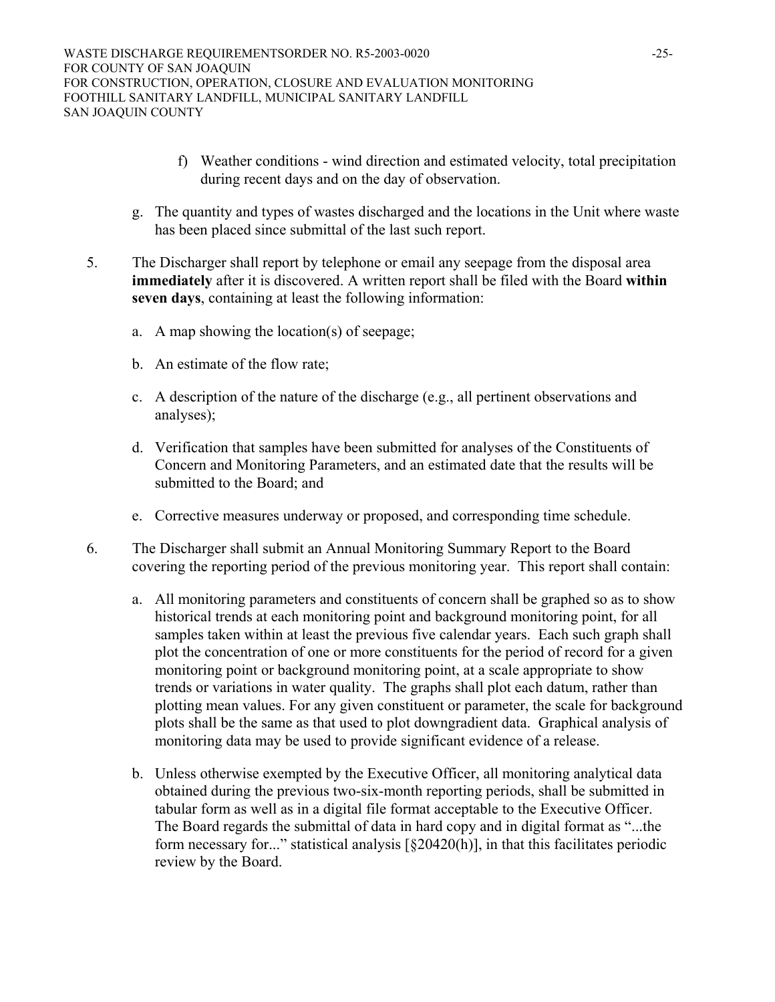- f) Weather conditions wind direction and estimated velocity, total precipitation during recent days and on the day of observation.
- g. The quantity and types of wastes discharged and the locations in the Unit where waste has been placed since submittal of the last such report.
- 5. The Discharger shall report by telephone or email any seepage from the disposal area **immediately** after it is discovered. A written report shall be filed with the Board **within seven days**, containing at least the following information:
	- a. A map showing the location(s) of seepage;
	- b. An estimate of the flow rate;
	- c. A description of the nature of the discharge (e.g., all pertinent observations and analyses);
	- d. Verification that samples have been submitted for analyses of the Constituents of Concern and Monitoring Parameters, and an estimated date that the results will be submitted to the Board; and
	- e. Corrective measures underway or proposed, and corresponding time schedule.
- 6. The Discharger shall submit an Annual Monitoring Summary Report to the Board covering the reporting period of the previous monitoring year. This report shall contain:
	- a. All monitoring parameters and constituents of concern shall be graphed so as to show historical trends at each monitoring point and background monitoring point, for all samples taken within at least the previous five calendar years. Each such graph shall plot the concentration of one or more constituents for the period of record for a given monitoring point or background monitoring point, at a scale appropriate to show trends or variations in water quality. The graphs shall plot each datum, rather than plotting mean values. For any given constituent or parameter, the scale for background plots shall be the same as that used to plot downgradient data. Graphical analysis of monitoring data may be used to provide significant evidence of a release.
	- b. Unless otherwise exempted by the Executive Officer, all monitoring analytical data obtained during the previous two-six-month reporting periods, shall be submitted in tabular form as well as in a digital file format acceptable to the Executive Officer. The Board regards the submittal of data in hard copy and in digital format as "...the form necessary for..." statistical analysis [§20420(h)], in that this facilitates periodic review by the Board.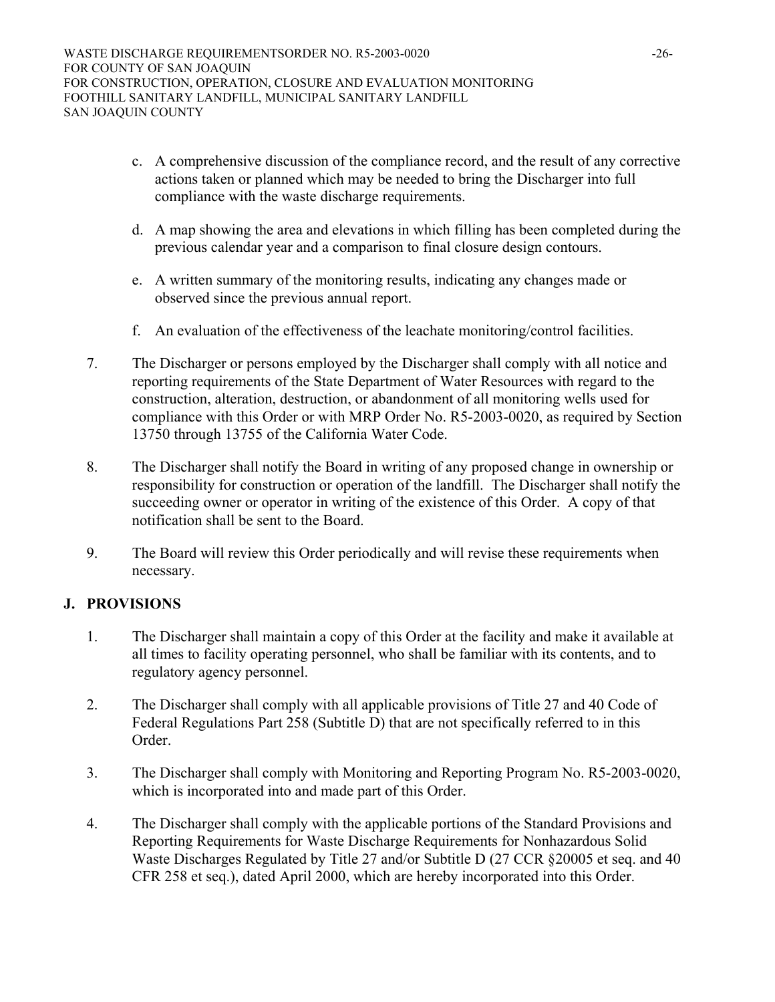- c. A comprehensive discussion of the compliance record, and the result of any corrective actions taken or planned which may be needed to bring the Discharger into full compliance with the waste discharge requirements.
- d. A map showing the area and elevations in which filling has been completed during the previous calendar year and a comparison to final closure design contours.
- e. A written summary of the monitoring results, indicating any changes made or observed since the previous annual report.
- f. An evaluation of the effectiveness of the leachate monitoring/control facilities.
- 7. The Discharger or persons employed by the Discharger shall comply with all notice and reporting requirements of the State Department of Water Resources with regard to the construction, alteration, destruction, or abandonment of all monitoring wells used for compliance with this Order or with MRP Order No. R5-2003-0020, as required by Section 13750 through 13755 of the California Water Code.
- 8. The Discharger shall notify the Board in writing of any proposed change in ownership or responsibility for construction or operation of the landfill. The Discharger shall notify the succeeding owner or operator in writing of the existence of this Order. A copy of that notification shall be sent to the Board.
- 9. The Board will review this Order periodically and will revise these requirements when necessary.

# **J. PROVISIONS**

- 1. The Discharger shall maintain a copy of this Order at the facility and make it available at all times to facility operating personnel, who shall be familiar with its contents, and to regulatory agency personnel.
- 2. The Discharger shall comply with all applicable provisions of Title 27 and 40 Code of Federal Regulations Part 258 (Subtitle D) that are not specifically referred to in this Order.
- 3. The Discharger shall comply with Monitoring and Reporting Program No. R5-2003-0020, which is incorporated into and made part of this Order.
- 4. The Discharger shall comply with the applicable portions of the Standard Provisions and Reporting Requirements for Waste Discharge Requirements for Nonhazardous Solid Waste Discharges Regulated by Title 27 and/or Subtitle D (27 CCR §20005 et seq. and 40 CFR 258 et seq.), dated April 2000, which are hereby incorporated into this Order.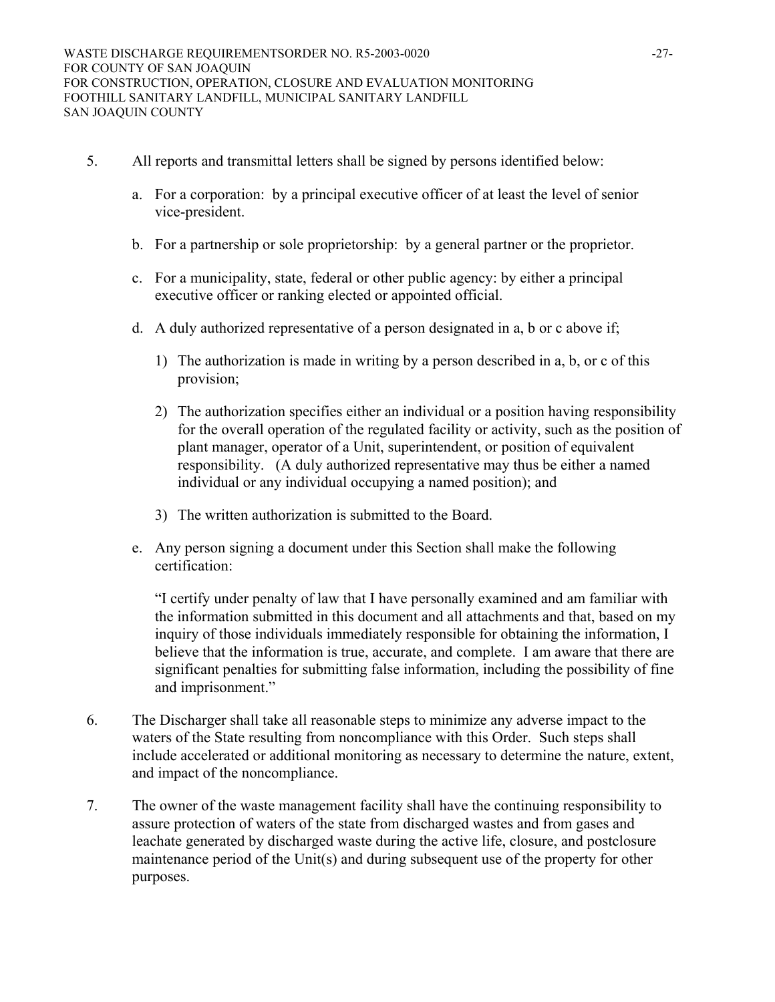- 5. All reports and transmittal letters shall be signed by persons identified below:
	- a. For a corporation: by a principal executive officer of at least the level of senior vice-president.
	- b. For a partnership or sole proprietorship: by a general partner or the proprietor.
	- c. For a municipality, state, federal or other public agency: by either a principal executive officer or ranking elected or appointed official.
	- d. A duly authorized representative of a person designated in a, b or c above if;
		- 1) The authorization is made in writing by a person described in a, b, or c of this provision;
		- 2) The authorization specifies either an individual or a position having responsibility for the overall operation of the regulated facility or activity, such as the position of plant manager, operator of a Unit, superintendent, or position of equivalent responsibility. (A duly authorized representative may thus be either a named individual or any individual occupying a named position); and
		- 3) The written authorization is submitted to the Board.
	- e. Any person signing a document under this Section shall make the following certification:

"I certify under penalty of law that I have personally examined and am familiar with the information submitted in this document and all attachments and that, based on my inquiry of those individuals immediately responsible for obtaining the information, I believe that the information is true, accurate, and complete. I am aware that there are significant penalties for submitting false information, including the possibility of fine and imprisonment."

- 6. The Discharger shall take all reasonable steps to minimize any adverse impact to the waters of the State resulting from noncompliance with this Order. Such steps shall include accelerated or additional monitoring as necessary to determine the nature, extent, and impact of the noncompliance.
- 7. The owner of the waste management facility shall have the continuing responsibility to assure protection of waters of the state from discharged wastes and from gases and leachate generated by discharged waste during the active life, closure, and postclosure maintenance period of the Unit(s) and during subsequent use of the property for other purposes.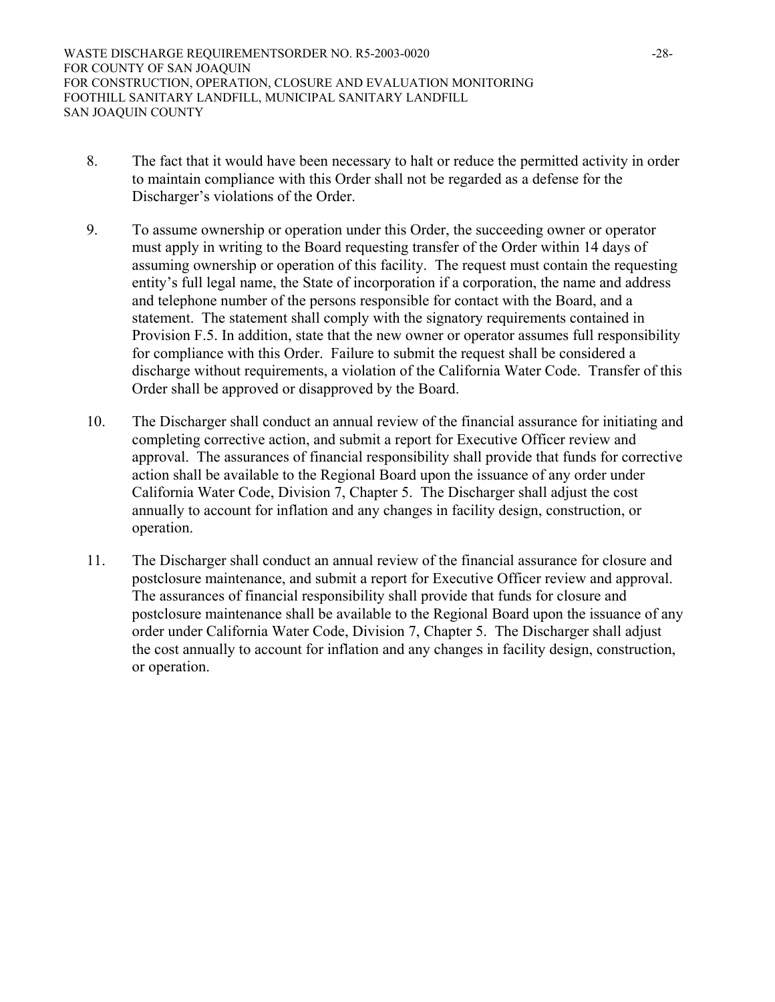- 8. The fact that it would have been necessary to halt or reduce the permitted activity in order to maintain compliance with this Order shall not be regarded as a defense for the Discharger's violations of the Order.
- 9. To assume ownership or operation under this Order, the succeeding owner or operator must apply in writing to the Board requesting transfer of the Order within 14 days of assuming ownership or operation of this facility. The request must contain the requesting entity's full legal name, the State of incorporation if a corporation, the name and address and telephone number of the persons responsible for contact with the Board, and a statement. The statement shall comply with the signatory requirements contained in Provision F.5. In addition, state that the new owner or operator assumes full responsibility for compliance with this Order. Failure to submit the request shall be considered a discharge without requirements, a violation of the California Water Code. Transfer of this Order shall be approved or disapproved by the Board.
- 10. The Discharger shall conduct an annual review of the financial assurance for initiating and completing corrective action, and submit a report for Executive Officer review and approval. The assurances of financial responsibility shall provide that funds for corrective action shall be available to the Regional Board upon the issuance of any order under California Water Code, Division 7, Chapter 5. The Discharger shall adjust the cost annually to account for inflation and any changes in facility design, construction, or operation.
- 11. The Discharger shall conduct an annual review of the financial assurance for closure and postclosure maintenance, and submit a report for Executive Officer review and approval. The assurances of financial responsibility shall provide that funds for closure and postclosure maintenance shall be available to the Regional Board upon the issuance of any order under California Water Code, Division 7, Chapter 5. The Discharger shall adjust the cost annually to account for inflation and any changes in facility design, construction, or operation.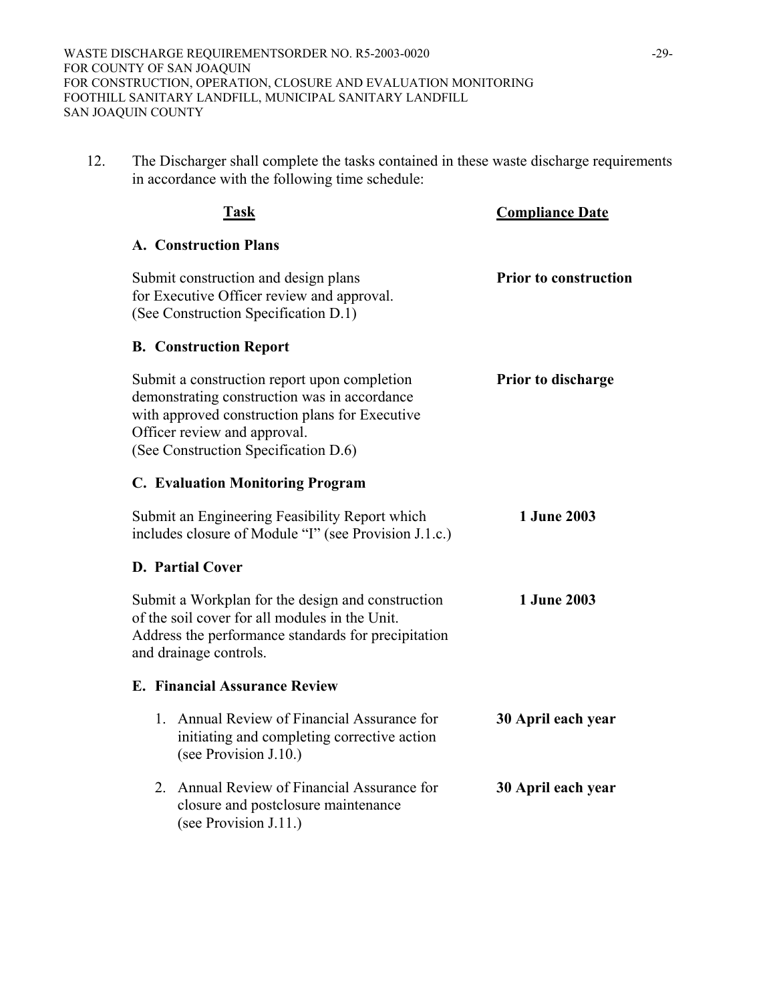12. The Discharger shall complete the tasks contained in these waste discharge requirements in accordance with the following time schedule:

|    | <b>Task</b>                                                                                                                                                                                                            | <b>Compliance Date</b>       |
|----|------------------------------------------------------------------------------------------------------------------------------------------------------------------------------------------------------------------------|------------------------------|
|    | <b>A. Construction Plans</b>                                                                                                                                                                                           |                              |
|    | Submit construction and design plans<br>for Executive Officer review and approval.<br>(See Construction Specification D.1)                                                                                             | <b>Prior to construction</b> |
|    | <b>B. Construction Report</b>                                                                                                                                                                                          |                              |
|    | Submit a construction report upon completion<br>demonstrating construction was in accordance<br>with approved construction plans for Executive<br>Officer review and approval.<br>(See Construction Specification D.6) | Prior to discharge           |
|    | <b>C. Evaluation Monitoring Program</b>                                                                                                                                                                                |                              |
|    | Submit an Engineering Feasibility Report which<br>includes closure of Module "I" (see Provision J.1.c.)                                                                                                                | 1 June 2003                  |
|    | <b>D. Partial Cover</b>                                                                                                                                                                                                |                              |
|    | Submit a Workplan for the design and construction<br>of the soil cover for all modules in the Unit.<br>Address the performance standards for precipitation<br>and drainage controls.                                   | 1 June 2003                  |
|    | <b>E. Financial Assurance Review</b>                                                                                                                                                                                   |                              |
|    | 1. Annual Review of Financial Assurance for<br>initiating and completing corrective action<br>(see Provision J.10.)                                                                                                    | 30 April each year           |
| 2. | Annual Review of Financial Assurance for<br>closure and postclosure maintenance<br>(see Provision J.11.)                                                                                                               | 30 April each year           |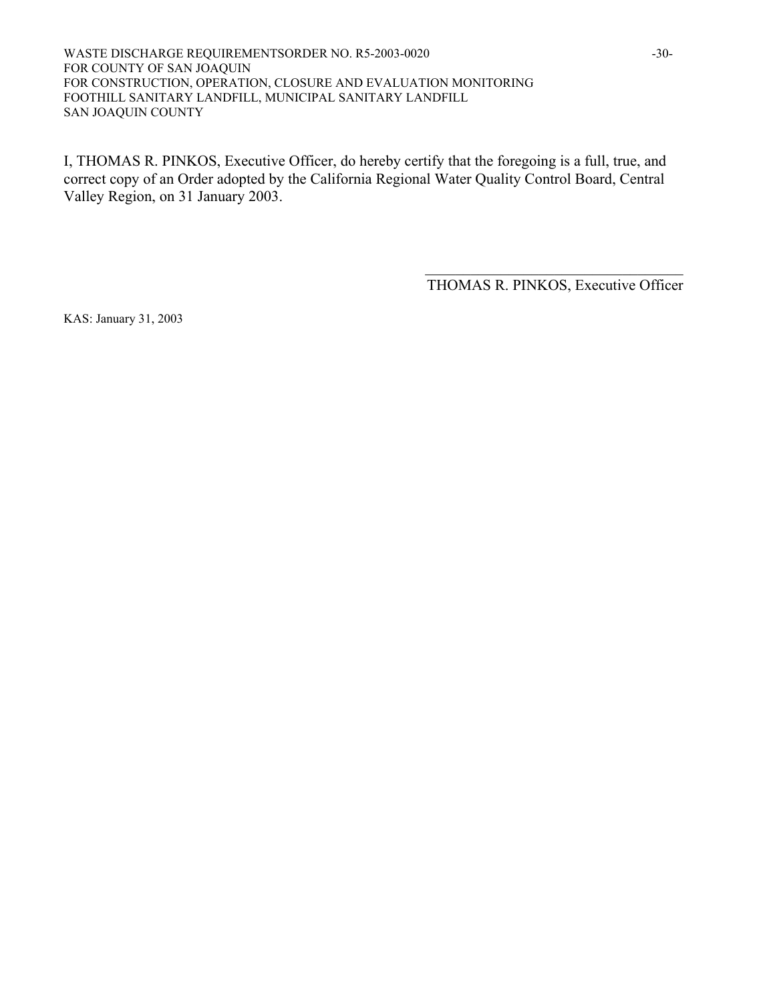WASTE DISCHARGE REQUIREMENTSORDER NO. R5-2003-0020 -30-FOR COUNTY OF SAN JOAQUIN FOR CONSTRUCTION, OPERATION, CLOSURE AND EVALUATION MONITORING FOOTHILL SANITARY LANDFILL, MUNICIPAL SANITARY LANDFILL SAN JOAQUIN COUNTY

I, THOMAS R. PINKOS, Executive Officer, do hereby certify that the foregoing is a full, true, and correct copy of an Order adopted by the California Regional Water Quality Control Board, Central Valley Region, on 31 January 2003.

> $\mathcal{L}_\text{max}$  , where  $\mathcal{L}_\text{max}$  and  $\mathcal{L}_\text{max}$  and  $\mathcal{L}_\text{max}$ THOMAS R. PINKOS, Executive Officer

KAS: January 31, 2003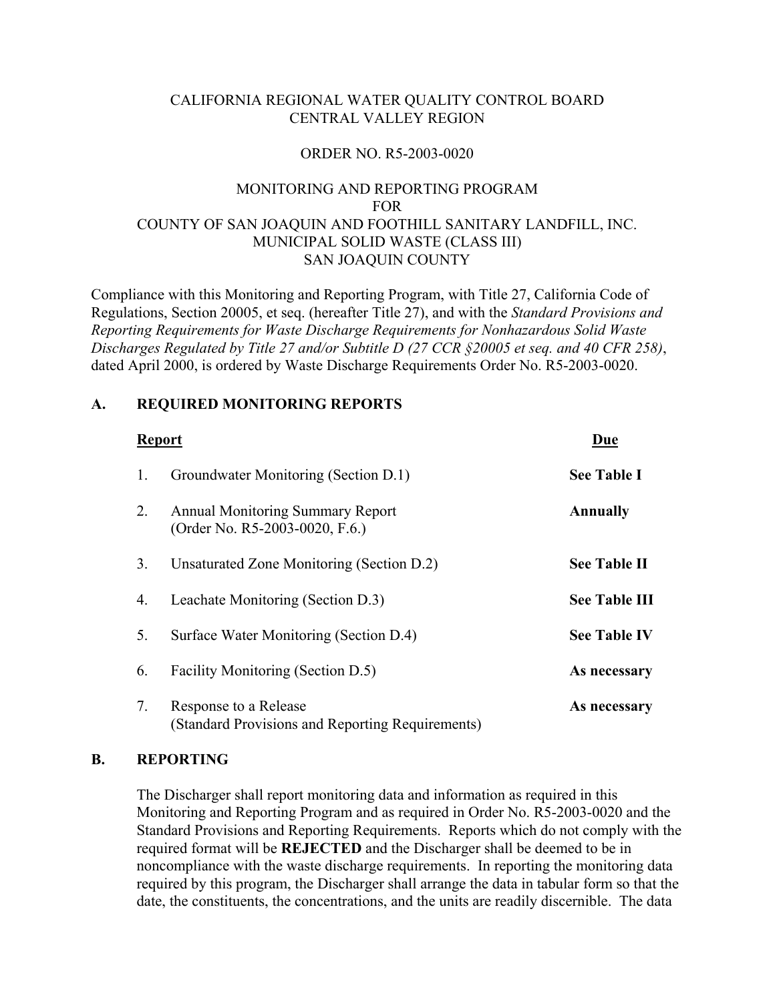# CALIFORNIA REGIONAL WATER QUALITY CONTROL BOARD CENTRAL VALLEY REGION

## ORDER NO. R5-2003-0020

# MONITORING AND REPORTING PROGRAM FOR COUNTY OF SAN JOAQUIN AND FOOTHILL SANITARY LANDFILL, INC. MUNICIPAL SOLID WASTE (CLASS III) SAN JOAQUIN COUNTY

Compliance with this Monitoring and Reporting Program, with Title 27, California Code of Regulations, Section 20005, et seq. (hereafter Title 27), and with the *Standard Provisions and Reporting Requirements for Waste Discharge Requirements for Nonhazardous Solid Waste Discharges Regulated by Title 27 and/or Subtitle D (27 CCR §20005 et seq. and 40 CFR 258)*, dated April 2000, is ordered by Waste Discharge Requirements Order No. R5-2003-0020.

## **A. REQUIRED MONITORING REPORTS**

|    | <b>Report</b>                                                             | Due                  |
|----|---------------------------------------------------------------------------|----------------------|
| 1. | Groundwater Monitoring (Section D.1)                                      | <b>See Table I</b>   |
| 2. | <b>Annual Monitoring Summary Report</b><br>(Order No. R5-2003-0020, F.6.) | <b>Annually</b>      |
| 3. | Unsaturated Zone Monitoring (Section D.2)                                 | <b>See Table II</b>  |
| 4. | Leachate Monitoring (Section D.3)                                         | <b>See Table III</b> |
| 5. | Surface Water Monitoring (Section D.4)                                    | <b>See Table IV</b>  |
| 6. | Facility Monitoring (Section D.5)                                         | As necessary         |
| 7. | Response to a Release<br>(Standard Provisions and Reporting Requirements) | As necessary         |

## **B. REPORTING**

 The Discharger shall report monitoring data and information as required in this Monitoring and Reporting Program and as required in Order No. R5-2003-0020 and the Standard Provisions and Reporting Requirements. Reports which do not comply with the required format will be **REJECTED** and the Discharger shall be deemed to be in noncompliance with the waste discharge requirements. In reporting the monitoring data required by this program, the Discharger shall arrange the data in tabular form so that the date, the constituents, the concentrations, and the units are readily discernible. The data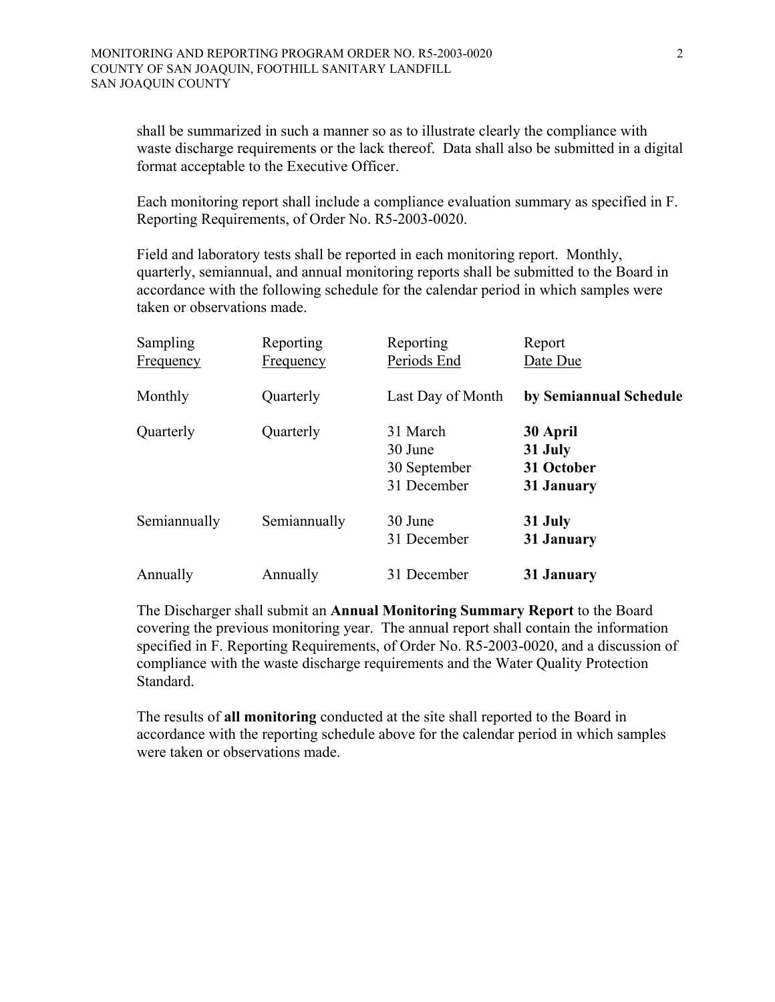shall be summarized in such a manner so as to illustrate clearly the compliance with waste discharge requirements or the lack thereof. Data shall also be submitted in a digital format acceptable to the Executive Officer.

 Each monitoring report shall include a compliance evaluation summary as specified in F. Reporting Requirements, of Order No. R5-2003-0020.

 Field and laboratory tests shall be reported in each monitoring report. Monthly, quarterly, semiannual, and annual monitoring reports shall be submitted to the Board in accordance with the following schedule for the calendar period in which samples were taken or observations made.

| Sampling<br><b>Frequency</b> | Reporting<br>Frequency | Reporting<br>Periods End                           | Report<br>Date Due                              |
|------------------------------|------------------------|----------------------------------------------------|-------------------------------------------------|
| Monthly                      | Quarterly              | Last Day of Month                                  | by Semiannual Schedule                          |
| Quarterly                    | Quarterly              | 31 March<br>30 June<br>30 September<br>31 December | 30 April<br>31 July<br>31 October<br>31 January |
| Semiannually                 | Semiannually           | 30 June<br>31 December                             | 31 July<br>31 January                           |
| Annually                     | Annually               | 31 December                                        | 31 January                                      |

 The Discharger shall submit an **Annual Monitoring Summary Report** to the Board covering the previous monitoring year. The annual report shall contain the information specified in F. Reporting Requirements, of Order No. R5-2003-0020, and a discussion of compliance with the waste discharge requirements and the Water Quality Protection Standard.

 The results of **all monitoring** conducted at the site shall reported to the Board in accordance with the reporting schedule above for the calendar period in which samples were taken or observations made.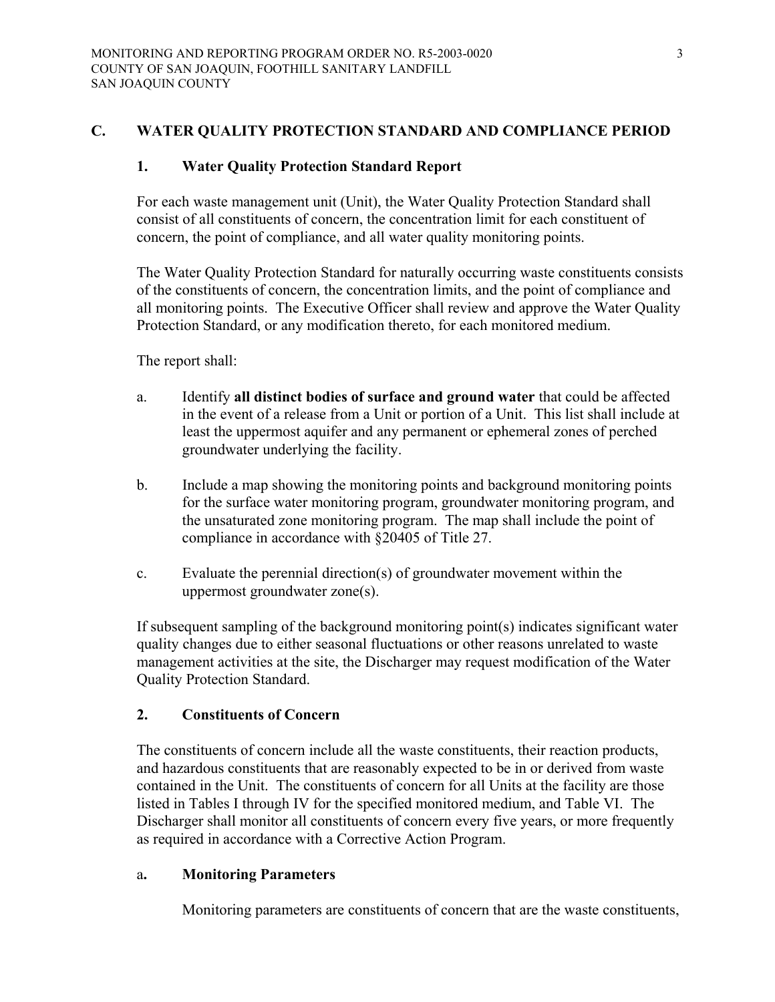## **C. WATER QUALITY PROTECTION STANDARD AND COMPLIANCE PERIOD**

## **1. Water Quality Protection Standard Report**

For each waste management unit (Unit), the Water Quality Protection Standard shall consist of all constituents of concern, the concentration limit for each constituent of concern, the point of compliance, and all water quality monitoring points.

The Water Quality Protection Standard for naturally occurring waste constituents consists of the constituents of concern, the concentration limits, and the point of compliance and all monitoring points. The Executive Officer shall review and approve the Water Quality Protection Standard, or any modification thereto, for each monitored medium.

The report shall:

- a. Identify **all distinct bodies of surface and ground water** that could be affected in the event of a release from a Unit or portion of a Unit. This list shall include at least the uppermost aquifer and any permanent or ephemeral zones of perched groundwater underlying the facility.
- b. Include a map showing the monitoring points and background monitoring points for the surface water monitoring program, groundwater monitoring program, and the unsaturated zone monitoring program. The map shall include the point of compliance in accordance with §20405 of Title 27.
- c. Evaluate the perennial direction(s) of groundwater movement within the uppermost groundwater zone(s).

If subsequent sampling of the background monitoring point(s) indicates significant water quality changes due to either seasonal fluctuations or other reasons unrelated to waste management activities at the site, the Discharger may request modification of the Water Quality Protection Standard.

## **2. Constituents of Concern**

The constituents of concern include all the waste constituents, their reaction products, and hazardous constituents that are reasonably expected to be in or derived from waste contained in the Unit. The constituents of concern for all Units at the facility are those listed in Tables I through IV for the specified monitored medium, and Table VI. The Discharger shall monitor all constituents of concern every five years, or more frequently as required in accordance with a Corrective Action Program.

## a**. Monitoring Parameters**

Monitoring parameters are constituents of concern that are the waste constituents,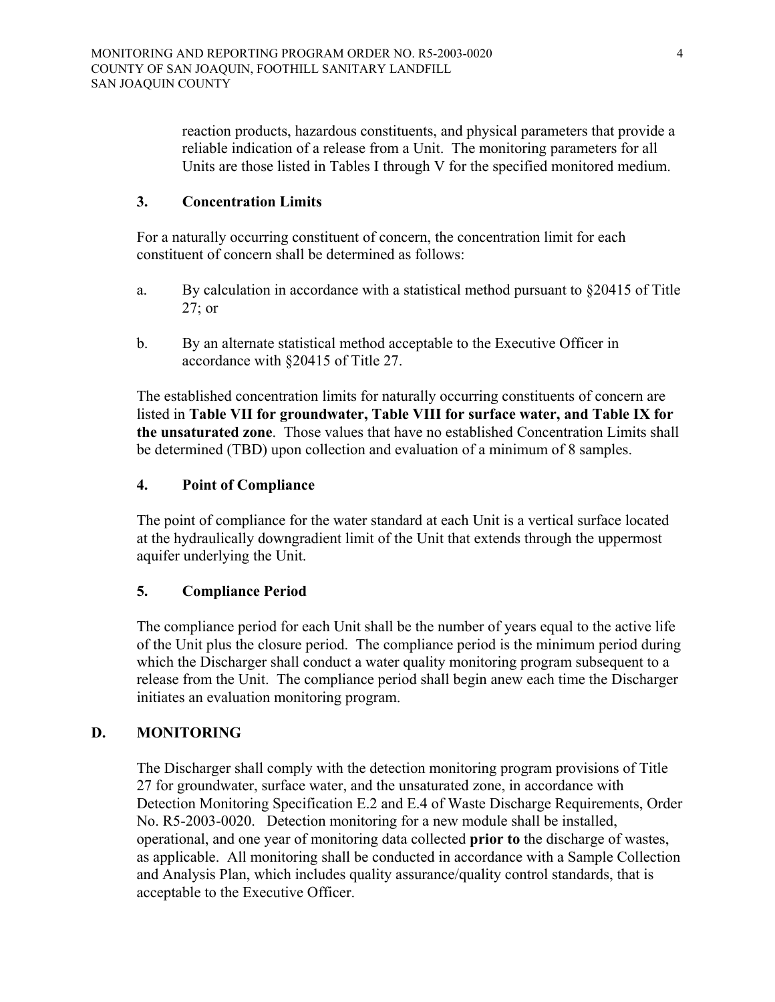reaction products, hazardous constituents, and physical parameters that provide a reliable indication of a release from a Unit. The monitoring parameters for all Units are those listed in Tables I through V for the specified monitored medium.

## **3. Concentration Limits**

For a naturally occurring constituent of concern, the concentration limit for each constituent of concern shall be determined as follows:

- a. By calculation in accordance with a statistical method pursuant to §20415 of Title 27; or
- b. By an alternate statistical method acceptable to the Executive Officer in accordance with §20415 of Title 27.

The established concentration limits for naturally occurring constituents of concern are listed in **Table VII for groundwater, Table VIII for surface water, and Table IX for the unsaturated zone**. Those values that have no established Concentration Limits shall be determined (TBD) upon collection and evaluation of a minimum of 8 samples.

## **4. Point of Compliance**

The point of compliance for the water standard at each Unit is a vertical surface located at the hydraulically downgradient limit of the Unit that extends through the uppermost aquifer underlying the Unit.

# **5. Compliance Period**

The compliance period for each Unit shall be the number of years equal to the active life of the Unit plus the closure period. The compliance period is the minimum period during which the Discharger shall conduct a water quality monitoring program subsequent to a release from the Unit. The compliance period shall begin anew each time the Discharger initiates an evaluation monitoring program.

# **D. MONITORING**

The Discharger shall comply with the detection monitoring program provisions of Title 27 for groundwater, surface water, and the unsaturated zone, in accordance with Detection Monitoring Specification E.2 and E.4 of Waste Discharge Requirements, Order No. R5-2003-0020. Detection monitoring for a new module shall be installed, operational, and one year of monitoring data collected **prior to** the discharge of wastes, as applicable. All monitoring shall be conducted in accordance with a Sample Collection and Analysis Plan, which includes quality assurance/quality control standards, that is acceptable to the Executive Officer.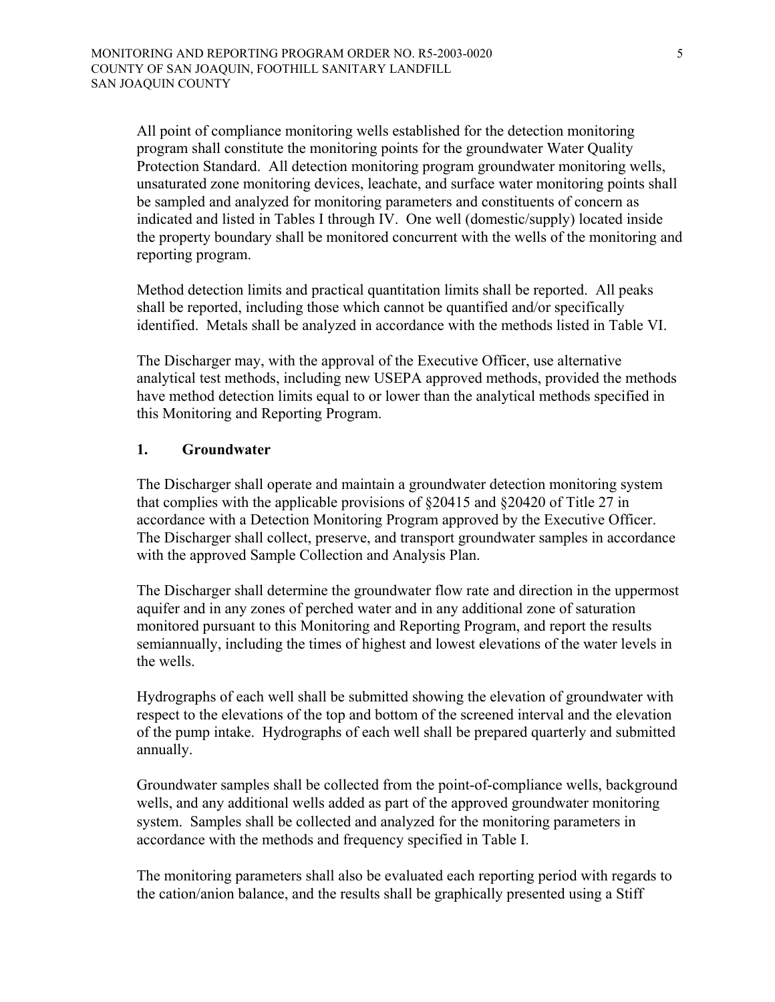All point of compliance monitoring wells established for the detection monitoring program shall constitute the monitoring points for the groundwater Water Quality Protection Standard. All detection monitoring program groundwater monitoring wells, unsaturated zone monitoring devices, leachate, and surface water monitoring points shall be sampled and analyzed for monitoring parameters and constituents of concern as indicated and listed in Tables I through IV. One well (domestic/supply) located inside the property boundary shall be monitored concurrent with the wells of the monitoring and reporting program.

Method detection limits and practical quantitation limits shall be reported. All peaks shall be reported, including those which cannot be quantified and/or specifically identified. Metals shall be analyzed in accordance with the methods listed in Table VI.

The Discharger may, with the approval of the Executive Officer, use alternative analytical test methods, including new USEPA approved methods, provided the methods have method detection limits equal to or lower than the analytical methods specified in this Monitoring and Reporting Program.

## **1. Groundwater**

The Discharger shall operate and maintain a groundwater detection monitoring system that complies with the applicable provisions of §20415 and §20420 of Title 27 in accordance with a Detection Monitoring Program approved by the Executive Officer. The Discharger shall collect, preserve, and transport groundwater samples in accordance with the approved Sample Collection and Analysis Plan.

The Discharger shall determine the groundwater flow rate and direction in the uppermost aquifer and in any zones of perched water and in any additional zone of saturation monitored pursuant to this Monitoring and Reporting Program, and report the results semiannually, including the times of highest and lowest elevations of the water levels in the wells.

Hydrographs of each well shall be submitted showing the elevation of groundwater with respect to the elevations of the top and bottom of the screened interval and the elevation of the pump intake. Hydrographs of each well shall be prepared quarterly and submitted annually.

Groundwater samples shall be collected from the point-of-compliance wells, background wells, and any additional wells added as part of the approved groundwater monitoring system. Samples shall be collected and analyzed for the monitoring parameters in accordance with the methods and frequency specified in Table I.

The monitoring parameters shall also be evaluated each reporting period with regards to the cation/anion balance, and the results shall be graphically presented using a Stiff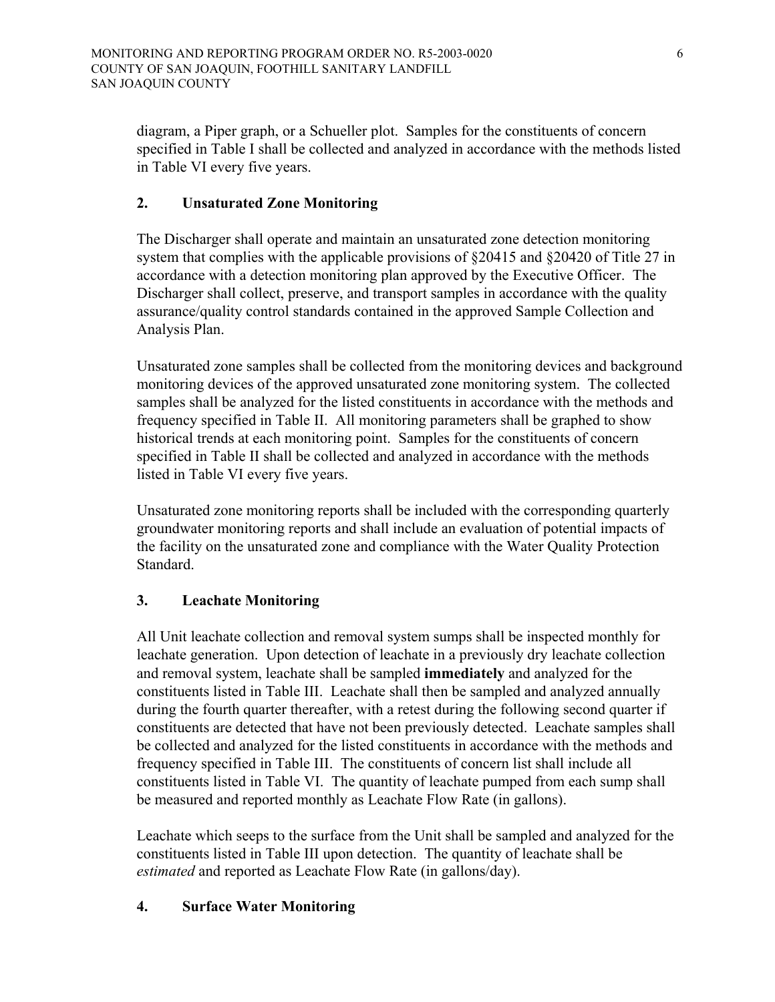diagram, a Piper graph, or a Schueller plot. Samples for the constituents of concern specified in Table I shall be collected and analyzed in accordance with the methods listed in Table VI every five years.

# **2. Unsaturated Zone Monitoring**

The Discharger shall operate and maintain an unsaturated zone detection monitoring system that complies with the applicable provisions of §20415 and §20420 of Title 27 in accordance with a detection monitoring plan approved by the Executive Officer. The Discharger shall collect, preserve, and transport samples in accordance with the quality assurance/quality control standards contained in the approved Sample Collection and Analysis Plan.

Unsaturated zone samples shall be collected from the monitoring devices and background monitoring devices of the approved unsaturated zone monitoring system. The collected samples shall be analyzed for the listed constituents in accordance with the methods and frequency specified in Table II. All monitoring parameters shall be graphed to show historical trends at each monitoring point. Samples for the constituents of concern specified in Table II shall be collected and analyzed in accordance with the methods listed in Table VI every five years.

Unsaturated zone monitoring reports shall be included with the corresponding quarterly groundwater monitoring reports and shall include an evaluation of potential impacts of the facility on the unsaturated zone and compliance with the Water Quality Protection Standard.

# **3. Leachate Monitoring**

All Unit leachate collection and removal system sumps shall be inspected monthly for leachate generation. Upon detection of leachate in a previously dry leachate collection and removal system, leachate shall be sampled **immediately** and analyzed for the constituents listed in Table III. Leachate shall then be sampled and analyzed annually during the fourth quarter thereafter, with a retest during the following second quarter if constituents are detected that have not been previously detected. Leachate samples shall be collected and analyzed for the listed constituents in accordance with the methods and frequency specified in Table III. The constituents of concern list shall include all constituents listed in Table VI. The quantity of leachate pumped from each sump shall be measured and reported monthly as Leachate Flow Rate (in gallons).

Leachate which seeps to the surface from the Unit shall be sampled and analyzed for the constituents listed in Table III upon detection. The quantity of leachate shall be *estimated* and reported as Leachate Flow Rate (in gallons/day).

# **4. Surface Water Monitoring**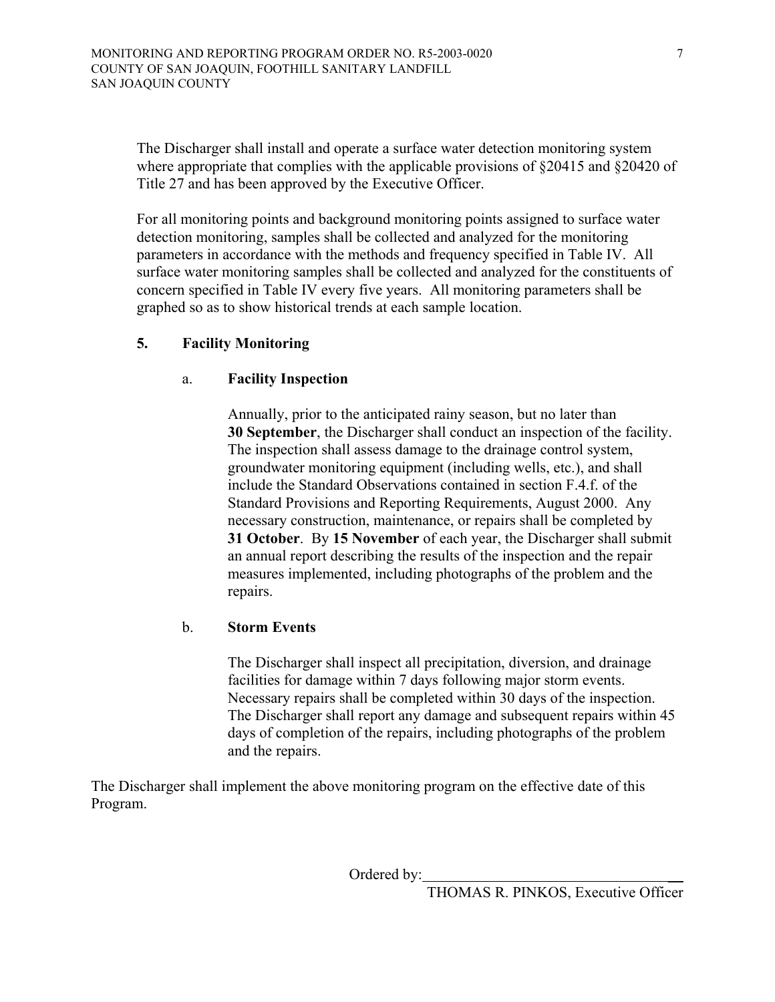The Discharger shall install and operate a surface water detection monitoring system where appropriate that complies with the applicable provisions of  $\S 20415$  and  $\S 20420$  of Title 27 and has been approved by the Executive Officer.

For all monitoring points and background monitoring points assigned to surface water detection monitoring, samples shall be collected and analyzed for the monitoring parameters in accordance with the methods and frequency specified in Table IV. All surface water monitoring samples shall be collected and analyzed for the constituents of concern specified in Table IV every five years. All monitoring parameters shall be graphed so as to show historical trends at each sample location.

## **5. Facility Monitoring**

## a. **Facility Inspection**

Annually, prior to the anticipated rainy season, but no later than **30 September**, the Discharger shall conduct an inspection of the facility. The inspection shall assess damage to the drainage control system, groundwater monitoring equipment (including wells, etc.), and shall include the Standard Observations contained in section  $F_4$  f of the Standard Provisions and Reporting Requirements, August 2000. Any necessary construction, maintenance, or repairs shall be completed by **31 October**. By **15 November** of each year, the Discharger shall submit an annual report describing the results of the inspection and the repair measures implemented, including photographs of the problem and the repairs.

## b. **Storm Events**

The Discharger shall inspect all precipitation, diversion, and drainage facilities for damage within 7 days following major storm events. Necessary repairs shall be completed within 30 days of the inspection. The Discharger shall report any damage and subsequent repairs within 45 days of completion of the repairs, including photographs of the problem and the repairs.

The Discharger shall implement the above monitoring program on the effective date of this Program.

Ordered by: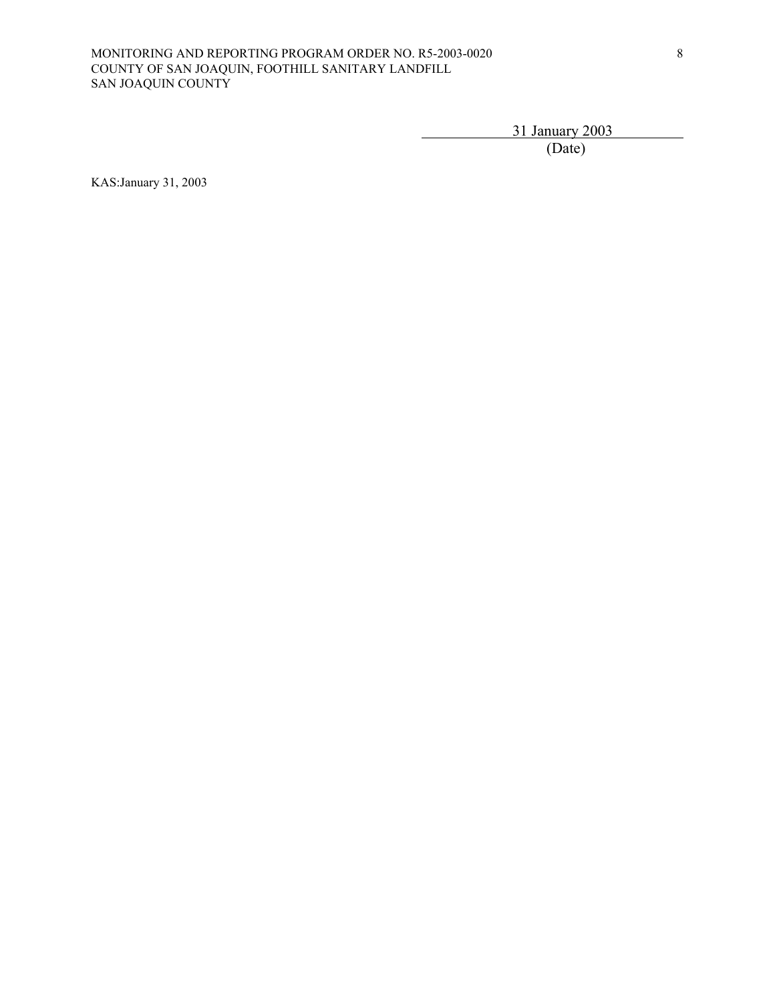#### MONITORING AND REPORTING PROGRAM ORDER NO. R5-2003-0020 COUNTY OF SAN JOAQUIN, FOOTHILL SANITARY LANDFILL SAN JOAQUIN COUNTY

31 January 2003

(Date)

KAS:January 31, 2003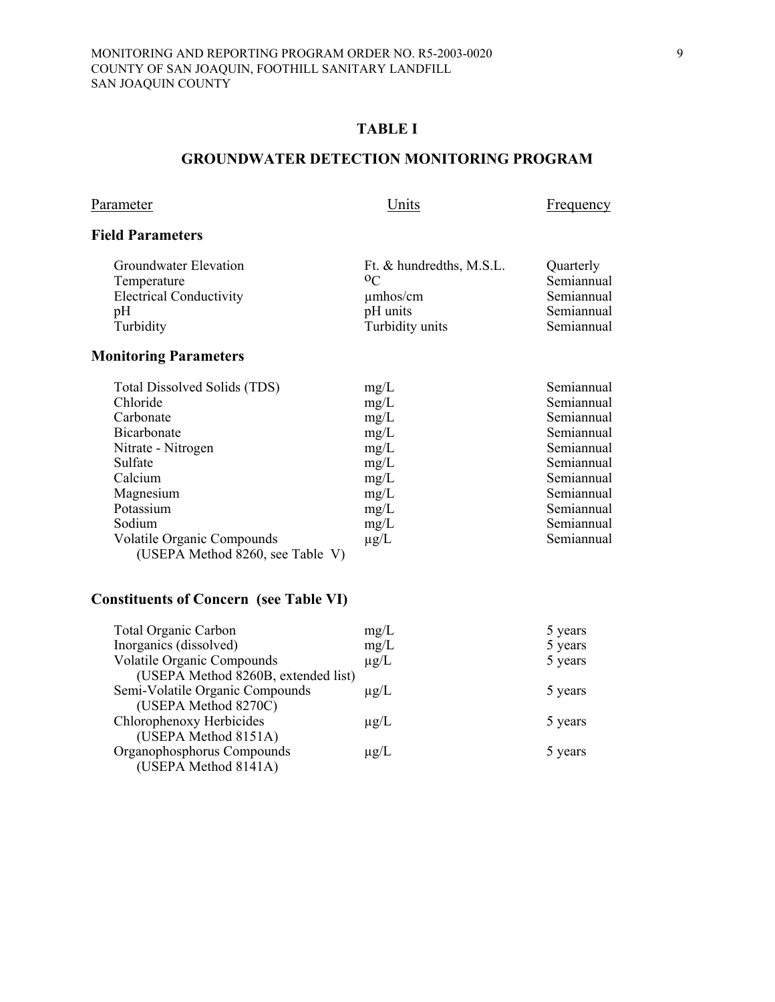### **GROUNDWATER DETECTION MONITORING PROGRAM**

Parameter Units Erequency

## **Field Parameters**

| Groundwater Elevation          | Ft. & hundredths, M.S.L. | Quarterly  |
|--------------------------------|--------------------------|------------|
| Temperature                    | 0 <sup>C</sup>           | Semiannual |
| <b>Electrical Conductivity</b> | $\mu$ mhos/cm            | Semiannual |
| pΗ                             | pH units                 | Semiannual |
| Turbidity                      | Turbidity units          | Semiannual |
|                                |                          |            |

# **Monitoring Parameters**

| Total Dissolved Solids (TDS)     | mg/L      | Semiannual |
|----------------------------------|-----------|------------|
| Chloride                         | mg/L      | Semiannual |
| Carbonate                        | mg/L      | Semiannual |
| <b>Bicarbonate</b>               | mg/L      | Semiannual |
| Nitrate - Nitrogen               | mg/L      | Semiannual |
| Sulfate                          | mg/L      | Semiannual |
| Calcium                          | mg/L      | Semiannual |
| Magnesium                        | mg/L      | Semiannual |
| Potassium                        | mg/L      | Semiannual |
| Sodium                           | mg/L      | Semiannual |
| Volatile Organic Compounds       | $\mu$ g/L | Semiannual |
| (USEPA Method 8260, see Table V) |           |            |

## **Constituents of Concern (see Table VI)**

| <b>Total Organic Carbon</b>         | mg/L      | 5 years |
|-------------------------------------|-----------|---------|
| Inorganics (dissolved)              | mg/L      | 5 years |
| <b>Volatile Organic Compounds</b>   | $\mu$ g/L | 5 years |
| (USEPA Method 8260B, extended list) |           |         |
| Semi-Volatile Organic Compounds     | $\mu$ g/L | 5 years |
| (USEPA Method 8270C)                |           |         |
| Chlorophenoxy Herbicides            | $\mu$ g/L | 5 years |
| (USEPA Method 8151A)                |           |         |
| Organophosphorus Compounds          | $\mu$ g/L | 5 years |
| (USEPA Method 8141A)                |           |         |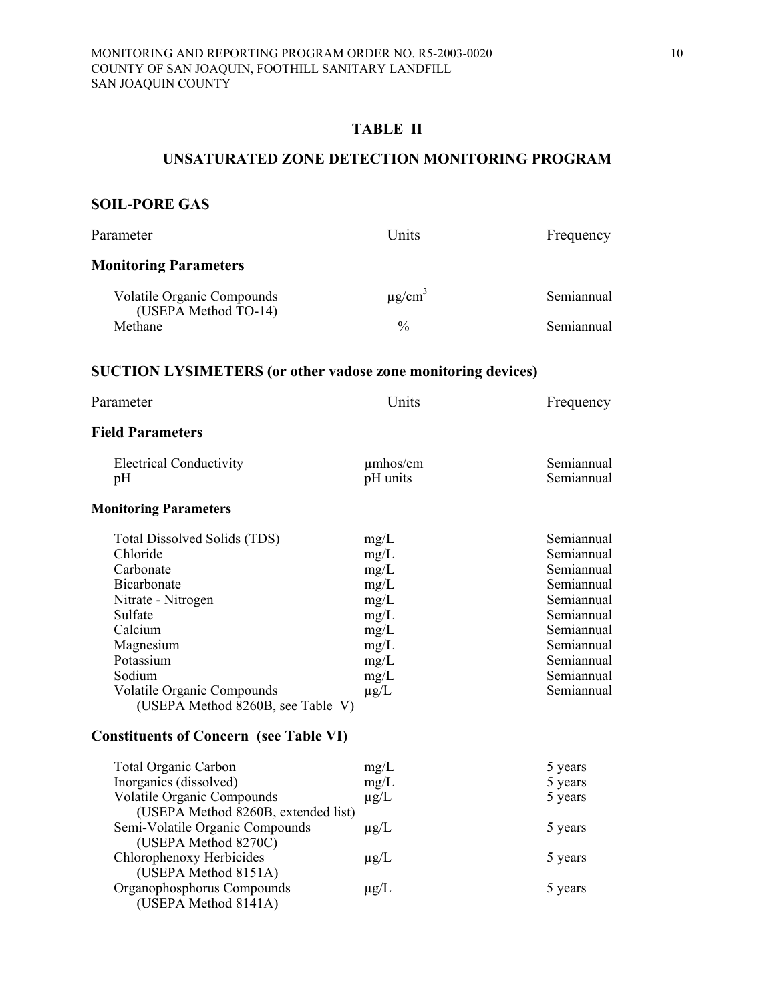## **TABLE II**

#### **UNSATURATED ZONE DETECTION MONITORING PROGRAM**

## **SOIL-PORE GAS**

| Parameter                                                                                                                                                                                                                                                                              | Units                                                                                     | Frequency                                                                                                                                              |
|----------------------------------------------------------------------------------------------------------------------------------------------------------------------------------------------------------------------------------------------------------------------------------------|-------------------------------------------------------------------------------------------|--------------------------------------------------------------------------------------------------------------------------------------------------------|
| <b>Monitoring Parameters</b>                                                                                                                                                                                                                                                           |                                                                                           |                                                                                                                                                        |
| Volatile Organic Compounds<br>(USEPA Method TO-14)                                                                                                                                                                                                                                     | $\mu$ g/cm <sup>3</sup>                                                                   | Semiannual                                                                                                                                             |
| Methane                                                                                                                                                                                                                                                                                | $\frac{0}{0}$                                                                             | Semiannual                                                                                                                                             |
| <b>SUCTION LYSIMETERS (or other vadose zone monitoring devices)</b>                                                                                                                                                                                                                    |                                                                                           |                                                                                                                                                        |
| Parameter                                                                                                                                                                                                                                                                              | Units                                                                                     | Frequency                                                                                                                                              |
| <b>Field Parameters</b>                                                                                                                                                                                                                                                                |                                                                                           |                                                                                                                                                        |
| <b>Electrical Conductivity</b><br>pH                                                                                                                                                                                                                                                   | $\mu$ mhos/cm<br>pH units                                                                 | Semiannual<br>Semiannual                                                                                                                               |
| <b>Monitoring Parameters</b>                                                                                                                                                                                                                                                           |                                                                                           |                                                                                                                                                        |
| <b>Total Dissolved Solids (TDS)</b><br>Chloride<br>Carbonate<br><b>Bicarbonate</b><br>Nitrate - Nitrogen<br>Sulfate<br>Calcium<br>Magnesium<br>Potassium<br>Sodium<br>Volatile Organic Compounds<br>(USEPA Method 8260B, see Table V)<br><b>Constituents of Concern (see Table VI)</b> | mg/L<br>mg/L<br>mg/L<br>mg/L<br>mg/L<br>mg/L<br>mg/L<br>mg/L<br>mg/L<br>mg/L<br>$\mu$ g/L | Semiannual<br>Semiannual<br>Semiannual<br>Semiannual<br>Semiannual<br>Semiannual<br>Semiannual<br>Semiannual<br>Semiannual<br>Semiannual<br>Semiannual |
| <b>Total Organic Carbon</b>                                                                                                                                                                                                                                                            | mg/L                                                                                      | 5 years                                                                                                                                                |
| Inorganics (dissolved)<br>Volatile Organic Compounds<br>(USEPA Method 8260B, extended list)                                                                                                                                                                                            | mg/L<br>$\mu$ g/L                                                                         | 5 years<br>5 years                                                                                                                                     |
| Semi-Volatile Organic Compounds<br>(USEPA Method 8270C)                                                                                                                                                                                                                                | $\mu g/L$                                                                                 | 5 years                                                                                                                                                |
| Chlorophenoxy Herbicides<br>(USEPA Method 8151A)                                                                                                                                                                                                                                       | $\mu$ g/L                                                                                 | 5 years                                                                                                                                                |
| Organophosphorus Compounds<br>(USEPA Method 8141A)                                                                                                                                                                                                                                     | $\mu$ g/L                                                                                 | 5 years                                                                                                                                                |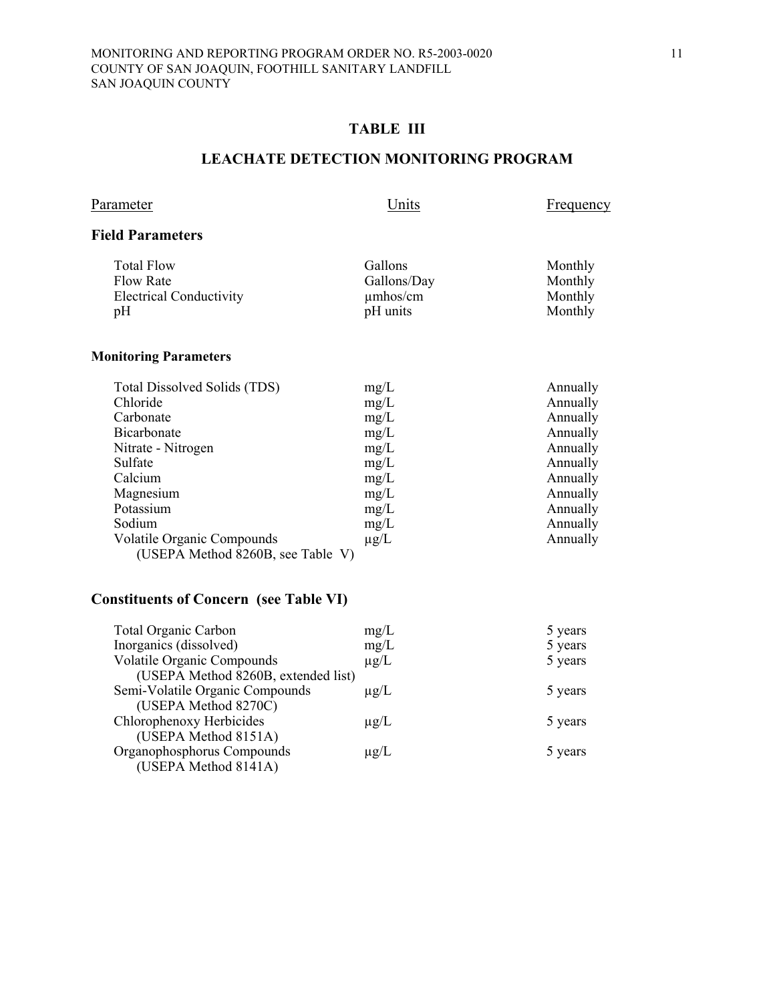## **TABLE III**

## **LEACHATE DETECTION MONITORING PROGRAM**

| Parameter                      | Units         | <b>Frequency</b> |
|--------------------------------|---------------|------------------|
| <b>Field Parameters</b>        |               |                  |
| <b>Total Flow</b>              | Gallons       | Monthly          |
| <b>Flow Rate</b>               | Gallons/Day   | Monthly          |
| <b>Electrical Conductivity</b> | $\mu$ mhos/cm | Monthly          |
| pH                             | pH units      | Monthly          |

## **Monitoring Parameters**

| Total Dissolved Solids (TDS)      | mg/L      | Annually |
|-----------------------------------|-----------|----------|
| Chloride                          | mg/L      | Annually |
| Carbonate                         | mg/L      | Annually |
| <b>Bicarbonate</b>                | mg/L      | Annually |
| Nitrate - Nitrogen                | mg/L      | Annually |
| Sulfate                           | mg/L      | Annually |
| Calcium                           | mg/L      | Annually |
| Magnesium                         | mg/L      | Annually |
| Potassium                         | mg/L      | Annually |
| Sodium                            | mg/L      | Annually |
| <b>Volatile Organic Compounds</b> | $\mu$ g/L | Annually |
| (USEPA Method 8260B, see Table V) |           |          |

# **Constituents of Concern (see Table VI)**

| <b>Total Organic Carbon</b>         | mg/L      | 5 years |
|-------------------------------------|-----------|---------|
| Inorganics (dissolved)              | mg/L      | 5 years |
| <b>Volatile Organic Compounds</b>   | $\mu$ g/L | 5 years |
| (USEPA Method 8260B, extended list) |           |         |
| Semi-Volatile Organic Compounds     | $\mu$ g/L | 5 years |
| (USEPA Method 8270C)                |           |         |
| Chlorophenoxy Herbicides            | $\mu$ g/L | 5 years |
| (USEPA Method 8151A)                |           |         |
| Organophosphorus Compounds          | $\mu$ g/L | 5 years |
| (USEPA Method 8141A)                |           |         |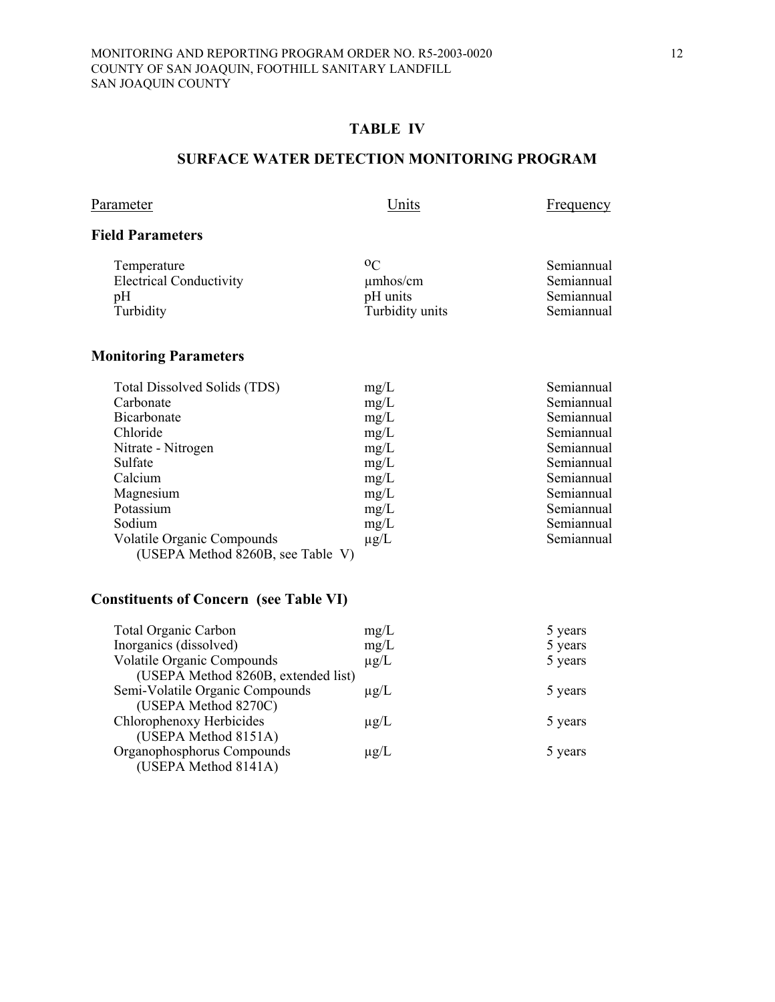## **TABLE IV**

### **SURFACE WATER DETECTION MONITORING PROGRAM**

| Parameter |
|-----------|
|-----------|

Units Frequency

## **Field Parameters**

| Temperature                    | 0 <sup>C</sup>  | Semiannual |
|--------------------------------|-----------------|------------|
| <b>Electrical Conductivity</b> | $\mu$ mhos/cm   | Semiannual |
| pH                             | pH units        | Semiannual |
| Turbidity                      | Turbidity units | Semiannual |

# **Monitoring Parameters**

| mg/L                              | Semiannual |
|-----------------------------------|------------|
| mg/L                              | Semiannual |
| mg/L                              | Semiannual |
| mg/L                              | Semiannual |
| mg/L                              | Semiannual |
| mg/L                              | Semiannual |
| mg/L                              | Semiannual |
| mg/L                              | Semiannual |
| mg/L                              | Semiannual |
| mg/L                              | Semiannual |
| $\mu$ g/L                         | Semiannual |
| (USEPA Method 8260B, see Table V) |            |
|                                   |            |

# **Constituents of Concern (see Table VI)**

| <b>Total Organic Carbon</b>         | mg/L      | 5 years |
|-------------------------------------|-----------|---------|
| Inorganics (dissolved)              | mg/L      | 5 years |
| <b>Volatile Organic Compounds</b>   | $\mu$ g/L | 5 years |
| (USEPA Method 8260B, extended list) |           |         |
| Semi-Volatile Organic Compounds     | $\mu$ g/L | 5 years |
| (USEPA Method 8270C)                |           |         |
| Chlorophenoxy Herbicides            | $\mu$ g/L | 5 years |
| (USEPA Method 8151A)                |           |         |
| Organophosphorus Compounds          | $\mu$ g/L | 5 years |
| (USEPA Method 8141A)                |           |         |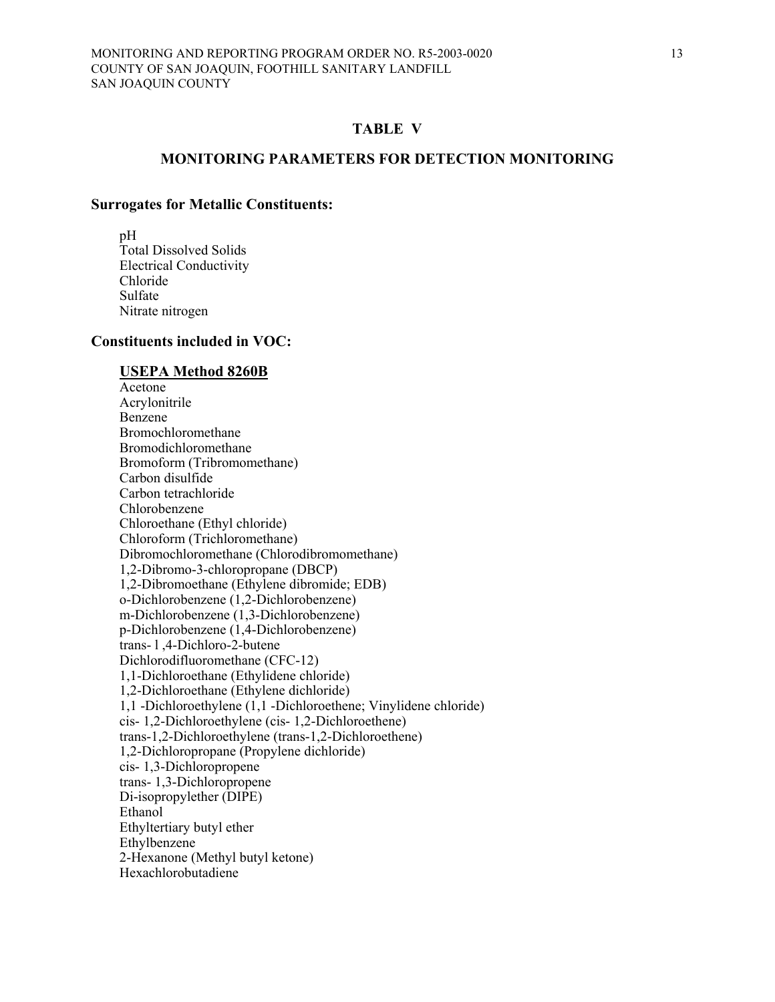#### **MONITORING PARAMETERS FOR DETECTION MONITORING**

#### **Surrogates for Metallic Constituents:**

 pH Total Dissolved Solids Electrical Conductivity Chloride Sulfate Nitrate nitrogen

#### **Constituents included in VOC:**

## **USEPA Method 8260B**

 Acetone Acrylonitrile Benzene Bromochloromethane Bromodichloromethane Bromoform (Tribromomethane) Carbon disulfide Carbon tetrachloride Chlorobenzene Chloroethane (Ethyl chloride) Chloroform (Trichloromethane) Dibromochloromethane (Chlorodibromomethane) 1,2-Dibromo-3-chloropropane (DBCP) 1,2-Dibromoethane (Ethylene dibromide; EDB) o-Dichlorobenzene (1,2-Dichlorobenzene) m-Dichlorobenzene (1,3-Dichlorobenzene) p-Dichlorobenzene (1,4-Dichlorobenzene) trans- l ,4-Dichloro-2-butene Dichlorodifluoromethane (CFC-12) 1,1-Dichloroethane (Ethylidene chloride) 1,2-Dichloroethane (Ethylene dichloride) 1,1 -Dichloroethylene (1,1 -Dichloroethene; Vinylidene chloride) cis- 1,2-Dichloroethylene (cis- 1,2-Dichloroethene) trans-1,2-Dichloroethylene (trans-1,2-Dichloroethene) 1,2-Dichloropropane (Propylene dichloride) cis- 1,3-Dichloropropene trans- 1,3-Dichloropropene Di-isopropylether (DIPE) Ethanol Ethyltertiary butyl ether Ethylbenzene 2-Hexanone (Methyl butyl ketone) Hexachlorobutadiene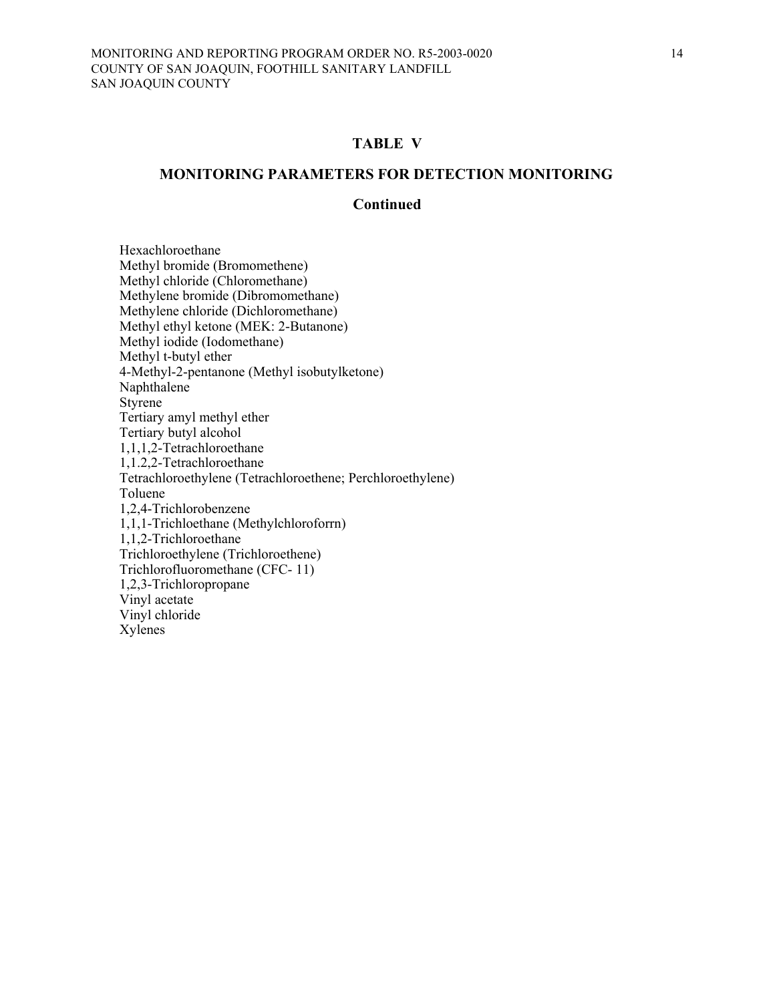#### **MONITORING PARAMETERS FOR DETECTION MONITORING**

#### **Continued**

 Hexachloroethane Methyl bromide (Bromomethene) Methyl chloride (Chloromethane) Methylene bromide (Dibromomethane) Methylene chloride (Dichloromethane) Methyl ethyl ketone (MEK: 2-Butanone) Methyl iodide (Iodomethane) Methyl t-butyl ether 4-Methyl-2-pentanone (Methyl isobutylketone) Naphthalene Styrene Tertiary amyl methyl ether Tertiary butyl alcohol 1,1,1,2-Tetrachloroethane 1,1.2,2-Tetrachloroethane Tetrachloroethylene (Tetrachloroethene; Perchloroethylene) Toluene 1,2,4-Trichlorobenzene 1,1,1-Trichloethane (Methylchloroforrn) 1,1,2-Trichloroethane Trichloroethylene (Trichloroethene) Trichlorofluoromethane (CFC- 11) 1,2,3-Trichloropropane Vinyl acetate Vinyl chloride Xylenes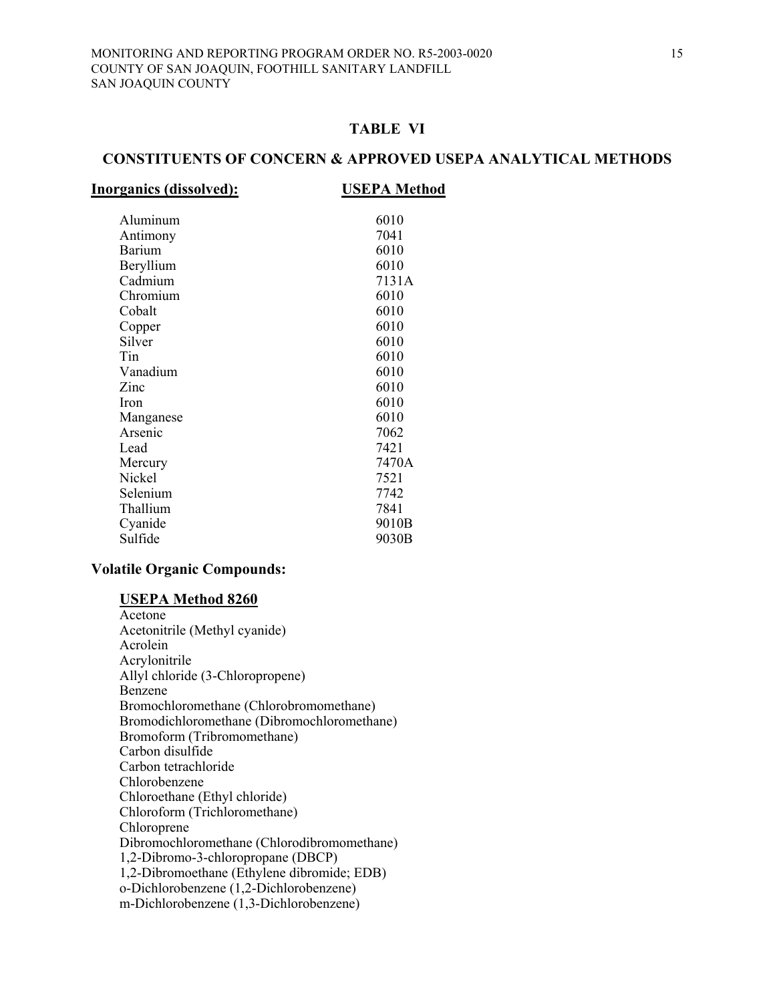#### **CONSTITUENTS OF CONCERN & APPROVED USEPA ANALYTICAL METHODS**

#### **Inorganics (dissolved): USEPA Method**

| Aluminum      | 6010  |
|---------------|-------|
| Antimony      | 7041  |
| <b>Barium</b> | 6010  |
| Beryllium     | 6010  |
| Cadmium       | 7131A |
| Chromium      | 6010  |
| Cobalt        | 6010  |
| Copper        | 6010  |
| Silver        | 6010  |
| Tin           | 6010  |
| Vanadium      | 6010  |
|               |       |
| Zinc          | 6010  |
| <b>Iron</b>   | 6010  |
| Manganese     | 6010  |
| Arsenic       | 7062  |
| Lead          | 7421  |
| Mercury       | 7470A |
| Nickel        | 7521  |
| Selenium      | 7742  |
| Thallium      | 7841  |
|               |       |
| Cyanide       | 9010B |
| Sulfide       | 9030B |
|               |       |

#### **Volatile Organic Compounds:**

#### **USEPA Method 8260**

 Acetone Acetonitrile (Methyl cyanide) Acrolein Acrylonitrile Allyl chloride (3-Chloropropene) Benzene Bromochloromethane (Chlorobromomethane) Bromodichloromethane (Dibromochloromethane) Bromoform (Tribromomethane) Carbon disulfide Carbon tetrachloride Chlorobenzene Chloroethane (Ethyl chloride) Chloroform (Trichloromethane) Chloroprene Dibromochloromethane (Chlorodibromomethane) 1,2-Dibromo-3-chloropropane (DBCP) 1,2-Dibromoethane (Ethylene dibromide; EDB) o-Dichlorobenzene (1,2-Dichlorobenzene) m-Dichlorobenzene (1,3-Dichlorobenzene)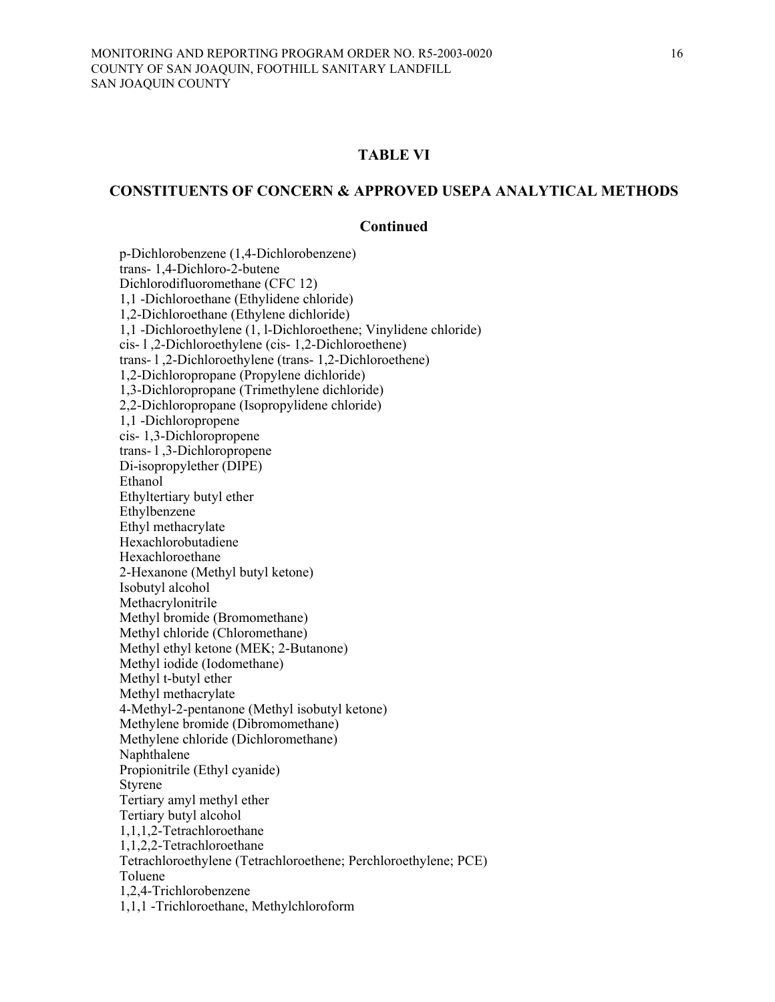#### **CONSTITUENTS OF CONCERN & APPROVED USEPA ANALYTICAL METHODS**

#### **Continued**

p-Dichlorobenzene (1,4-Dichlorobenzene) trans- 1,4-Dichloro-2-butene Dichlorodifluoromethane (CFC 12) 1,1 -Dichloroethane (Ethylidene chloride) 1,2-Dichloroethane (Ethylene dichloride) 1,1 -Dichloroethylene (1, l-Dichloroethene; Vinylidene chloride) cis- l ,2-Dichloroethylene (cis- 1,2-Dichloroethene) trans- l ,2-Dichloroethylene (trans- 1,2-Dichloroethene) 1,2-Dichloropropane (Propylene dichloride) 1,3-Dichloropropane (Trimethylene dichloride) 2,2-Dichloropropane (Isopropylidene chloride) 1,1 -Dichloropropene cis- 1,3-Dichloropropene trans- l ,3-Dichloropropene Di-isopropylether (DIPE) Ethanol Ethyltertiary butyl ether Ethylbenzene Ethyl methacrylate Hexachlorobutadiene Hexachloroethane 2-Hexanone (Methyl butyl ketone) Isobutyl alcohol Methacrylonitrile Methyl bromide (Bromomethane) Methyl chloride (Chloromethane) Methyl ethyl ketone (MEK; 2-Butanone) Methyl iodide (Iodomethane) Methyl t-butyl ether Methyl methacrylate 4-Methyl-2-pentanone (Methyl isobutyl ketone) Methylene bromide (Dibromomethane) Methylene chloride (Dichloromethane) Naphthalene Propionitrile (Ethyl cyanide) Styrene Tertiary amyl methyl ether Tertiary butyl alcohol 1,1,1,2-Tetrachloroethane 1,1,2,2-Tetrachloroethane Tetrachloroethylene (Tetrachloroethene; Perchloroethylene; PCE) Toluene 1,2,4-Trichlorobenzene 1,1,1 -Trichloroethane, Methylchloroform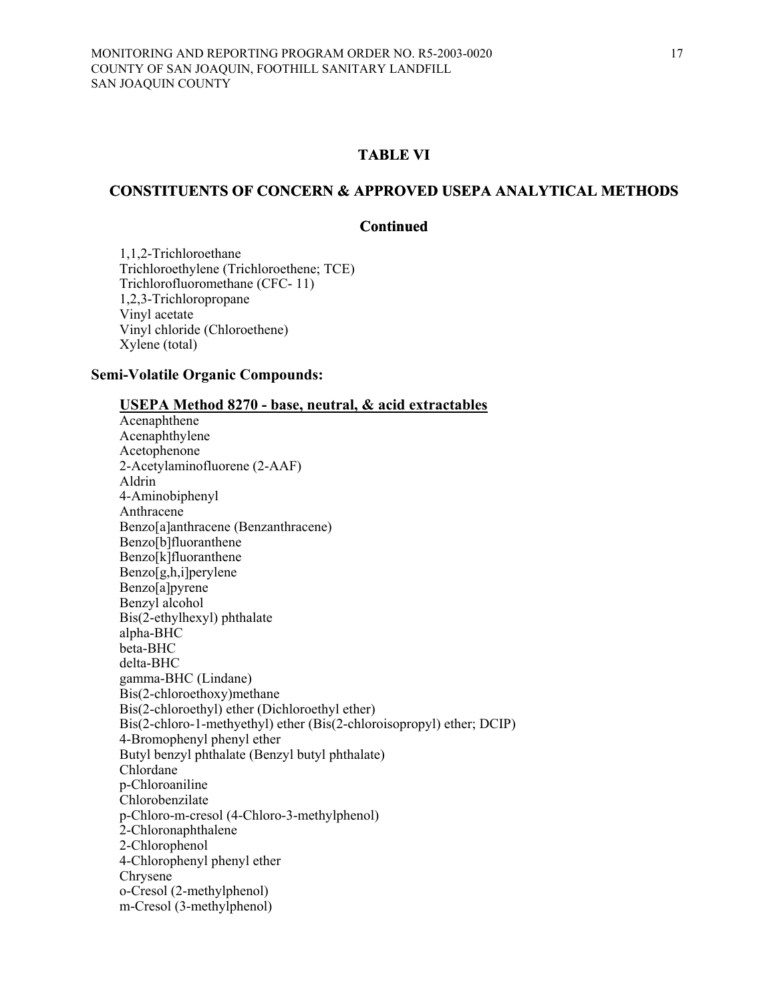#### **CONSTITUENTS OF CONCERN & APPROVED USEPA ANALYTICAL METHODS**

#### **Continued**

 1,1,2-Trichloroethane Trichloroethylene (Trichloroethene; TCE) Trichlorofluoromethane (CFC- 11) 1,2,3-Trichloropropane Vinyl acetate Vinyl chloride (Chloroethene) Xylene (total)

#### **Semi-Volatile Organic Compounds:**

#### **USEPA Method 8270 - base, neutral, & acid extractables**

 Acenaphthene Acenaphthylene Acetophenone 2-Acetylaminofluorene (2-AAF) Aldrin 4-Aminobiphenyl Anthracene Benzo[a]anthracene (Benzanthracene) Benzo[b]fluoranthene Benzo[k]fluoranthene Benzo[g,h,i]perylene Benzo[a]pyrene Benzyl alcohol Bis(2-ethylhexyl) phthalate alpha-BHC beta-BHC delta-BHC gamma-BHC (Lindane) Bis(2-chloroethoxy)methane Bis(2-chloroethyl) ether (Dichloroethyl ether) Bis(2-chloro-1-methyethyl) ether (Bis(2-chloroisopropyl) ether; DCIP) 4-Bromophenyl phenyl ether Butyl benzyl phthalate (Benzyl butyl phthalate) Chlordane p-Chloroaniline Chlorobenzilate p-Chloro-m-cresol (4-Chloro-3-methylphenol) 2-Chloronaphthalene 2-Chlorophenol 4-Chlorophenyl phenyl ether Chrysene o-Cresol (2-methylphenol) m-Cresol (3-methylphenol)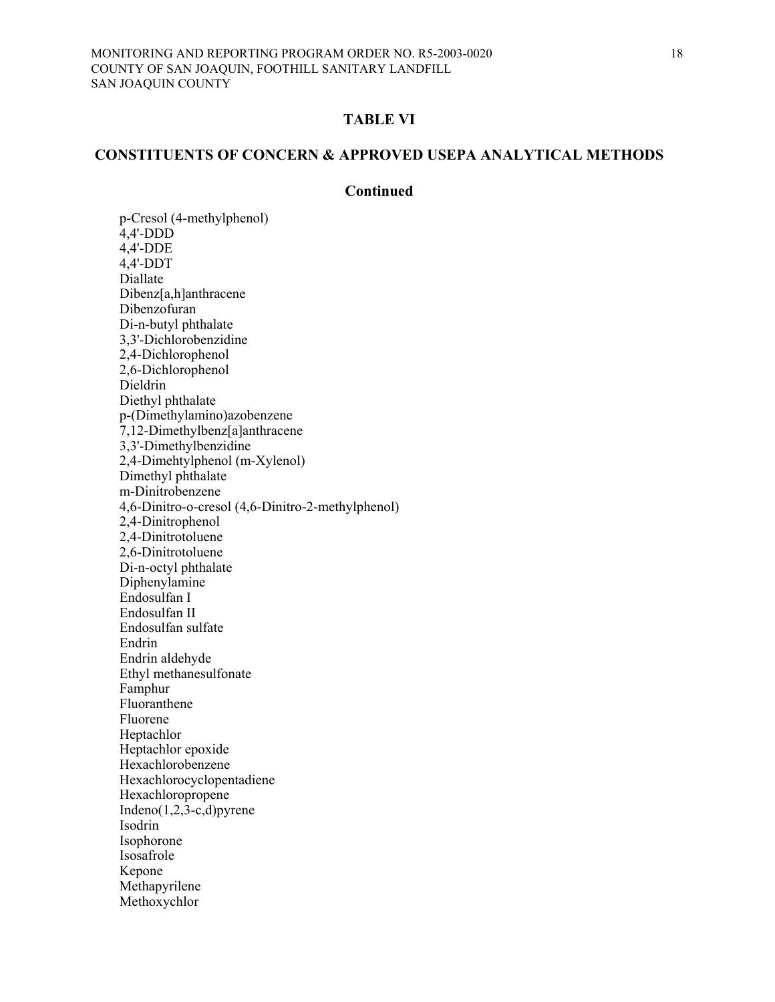### **CONSTITUENTS OF CONCERN & APPROVED USEPA ANALYTICAL METHODS**

#### **Continued**

 p-Cresol (4-methylphenol) 4,4'-DDD 4,4'-DDE 4,4'-DDT Diallate Dibenz[a,h]anthracene Dibenzofuran Di-n-butyl phthalate 3,3'-Dichlorobenzidine 2,4-Dichlorophenol 2,6-Dichlorophenol Dieldrin Diethyl phthalate p-(Dimethylamino)azobenzene 7,12-Dimethylbenz[a]anthracene 3,3'-Dimethylbenzidine 2,4-Dimehtylphenol (m-Xylenol) Dimethyl phthalate m-Dinitrobenzene 4,6-Dinitro-o-cresol (4,6-Dinitro-2-methylphenol) 2,4-Dinitrophenol 2,4-Dinitrotoluene 2,6-Dinitrotoluene Di-n-octyl phthalate Diphenylamine Endosulfan I Endosulfan II Endosulfan sulfate Endrin Endrin aldehyde Ethyl methanesulfonate Famphur Fluoranthene Fluorene Heptachlor Heptachlor epoxide Hexachlorobenzene Hexachlorocyclopentadiene Hexachloropropene Indeno(1,2,3-c,d)pyrene Isodrin Isophorone Isosafrole Kepone Methapyrilene Methoxychlor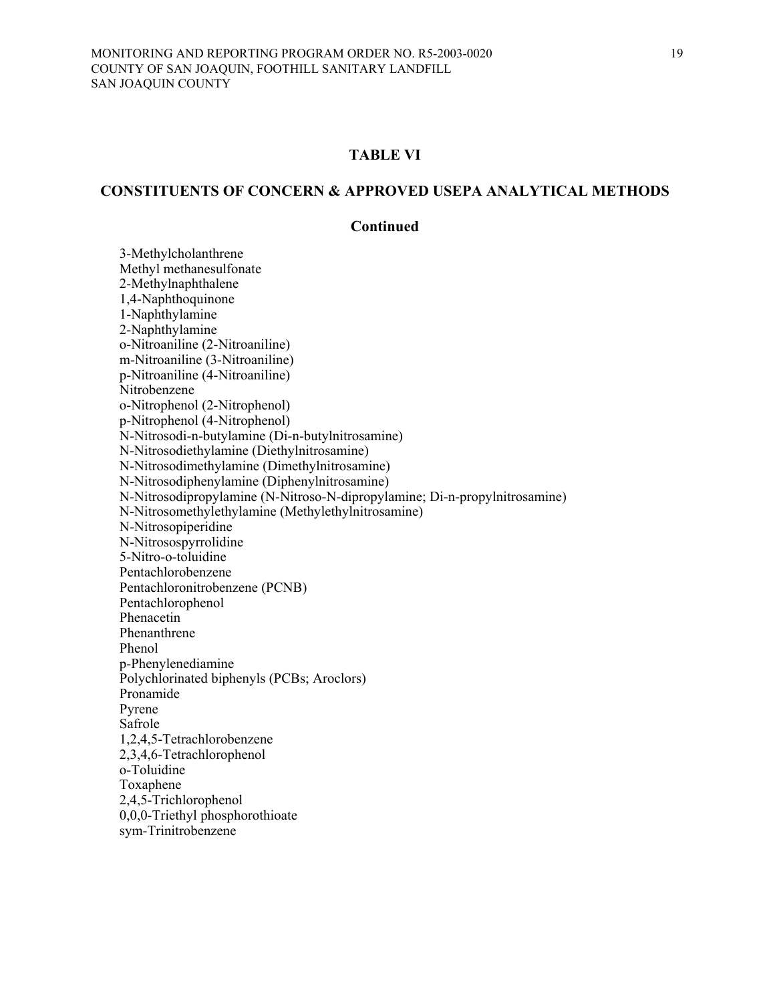#### **CONSTITUENTS OF CONCERN & APPROVED USEPA ANALYTICAL METHODS**

#### **Continued**

 3-Methylcholanthrene Methyl methanesulfonate 2-Methylnaphthalene 1,4-Naphthoquinone 1-Naphthylamine 2-Naphthylamine o-Nitroaniline (2-Nitroaniline) m-Nitroaniline (3-Nitroaniline) p-Nitroaniline (4-Nitroaniline) Nitrobenzene o-Nitrophenol (2-Nitrophenol) p-Nitrophenol (4-Nitrophenol) N-Nitrosodi-n-butylamine (Di-n-butylnitrosamine) N-Nitrosodiethylamine (Diethylnitrosamine) N-Nitrosodimethylamine (Dimethylnitrosamine) N-Nitrosodiphenylamine (Diphenylnitrosamine) N-Nitrosodipropylamine (N-Nitroso-N-dipropylamine; Di-n-propylnitrosamine) N-Nitrosomethylethylamine (Methylethylnitrosamine) N-Nitrosopiperidine N-Nitrosospyrrolidine 5-Nitro-o-toluidine Pentachlorobenzene Pentachloronitrobenzene (PCNB) Pentachlorophenol Phenacetin Phenanthrene Phenol p-Phenylenediamine Polychlorinated biphenyls (PCBs; Aroclors) Pronamide Pyrene Safrole 1,2,4,5-Tetrachlorobenzene 2,3,4,6-Tetrachlorophenol o-Toluidine Toxaphene 2,4,5-Trichlorophenol 0,0,0-Triethyl phosphorothioate sym-Trinitrobenzene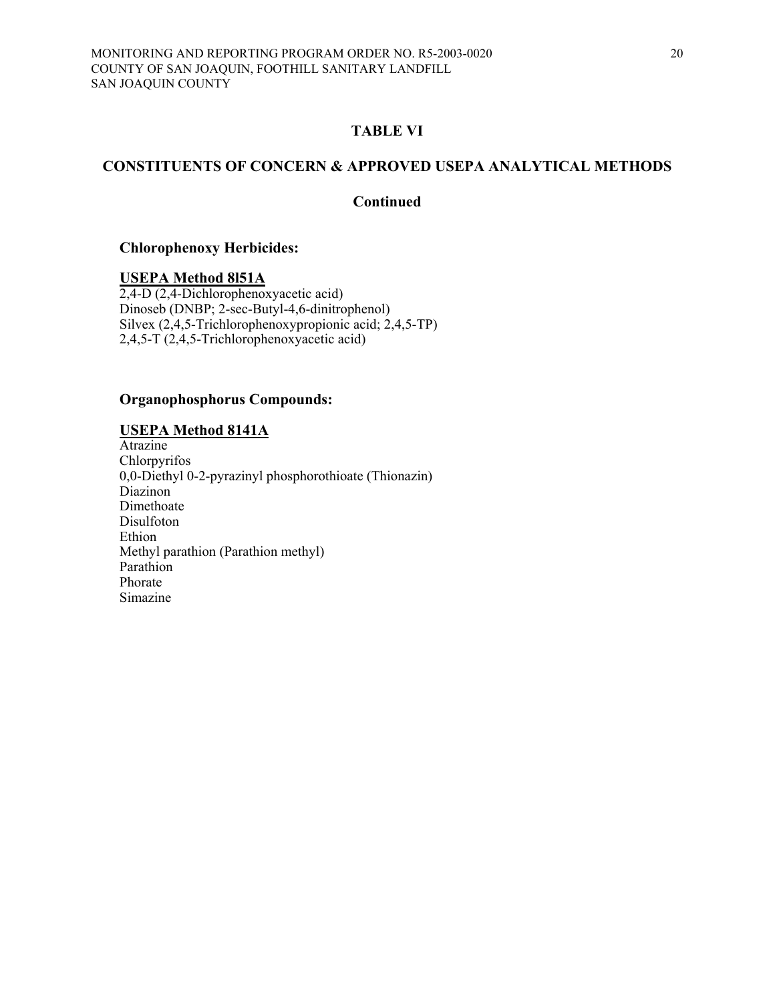## **CONSTITUENTS OF CONCERN & APPROVED USEPA ANALYTICAL METHODS**

## **Continued**

#### **Chlorophenoxy Herbicides:**

#### **USEPA Method 8l51A**

2,4-D (2,4-Dichlorophenoxyacetic acid) Dinoseb (DNBP; 2-sec-Butyl-4,6-dinitrophenol) Silvex (2,4,5-Trichlorophenoxypropionic acid; 2,4,5-TP) 2,4,5-T (2,4,5-Trichlorophenoxyacetic acid)

#### **Organophosphorus Compounds:**

#### **USEPA Method 8141A**

Atrazine Chlorpyrifos 0,0-Diethyl 0-2-pyrazinyl phosphorothioate (Thionazin) Diazinon Dimethoate Disulfoton Ethion Methyl parathion (Parathion methyl) Parathion Phorate Simazine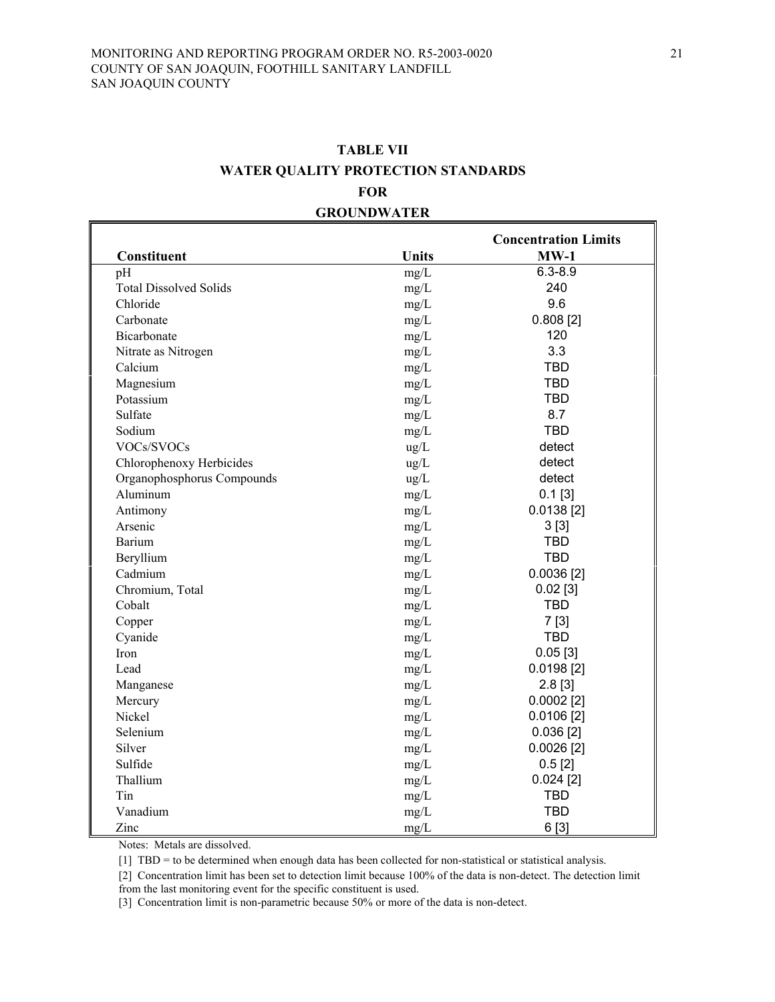# **TABLE VII WATER QUALITY PROTECTION STANDARDS FOR GROUNDWATER**

| Constituent                   | <b>Units</b> | <b>Concentration Limits</b><br>$MW-1$ |
|-------------------------------|--------------|---------------------------------------|
| pH                            | mg/L         | $6.3 - 8.9$                           |
| <b>Total Dissolved Solids</b> | mg/L         | 240                                   |
| Chloride                      | mg/L         | 9.6                                   |
| Carbonate                     | mg/L         | 0.808[2]                              |
| Bicarbonate                   | mg/L         | 120                                   |
| Nitrate as Nitrogen           | mg/L         | 3.3                                   |
| Calcium                       | mg/L         | <b>TBD</b>                            |
| Magnesium                     | mg/L         | <b>TBD</b>                            |
| Potassium                     | mg/L         | <b>TBD</b>                            |
| Sulfate                       | mg/L         | 8.7                                   |
| Sodium                        | mg/L         | <b>TBD</b>                            |
| VOCs/SVOCs                    | ug/L         | detect                                |
| Chlorophenoxy Herbicides      | ug/L         | detect                                |
| Organophosphorus Compounds    | ug/L         | detect                                |
| Aluminum                      | mg/L         | $0.1$ [3]                             |
| Antimony                      | mg/L         | $0.0138$ [2]                          |
| Arsenic                       | mg/L         | 3[3]                                  |
| Barium                        | mg/L         | <b>TBD</b>                            |
| Beryllium                     | mg/L         | <b>TBD</b>                            |
| Cadmium                       | mg/L         | $0.0036$ [2]                          |
| Chromium, Total               | mg/L         | $0.02$ [3]                            |
| Cobalt                        | mg/L         | <b>TBD</b>                            |
| Copper                        | mg/L         | 7[3]                                  |
| Cyanide                       | mg/L         | <b>TBD</b>                            |
| Iron                          | mg/L         | 0.05[3]                               |
| Lead                          | mg/L         | $0.0198$ [2]                          |
| Manganese                     | mg/L         | $2.8$ [3]                             |
| Mercury                       | mg/L         | $0.0002$ [2]                          |
| Nickel                        | mg/L         | $0.0106$ [2]                          |
| Selenium                      | mg/L         | $0.036$ [2]                           |
| Silver                        | mg/L         | $0.0026$ [2]                          |
| Sulfide                       | mg/L         | 0.5[2]                                |
| Thallium                      | mg/L         | $0.024$ [2]                           |
| Tin                           | mg/L         | <b>TBD</b>                            |
| Vanadium                      | mg/L         | <b>TBD</b>                            |
| Zinc                          | mg/L         | 6 [3]                                 |

Notes: Metals are dissolved.

[1] TBD = to be determined when enough data has been collected for non-statistical or statistical analysis.

[2] Concentration limit has been set to detection limit because 100% of the data is non-detect. The detection limit from the last monitoring event for the specific constituent is used.

[3] Concentration limit is non-parametric because 50% or more of the data is non-detect.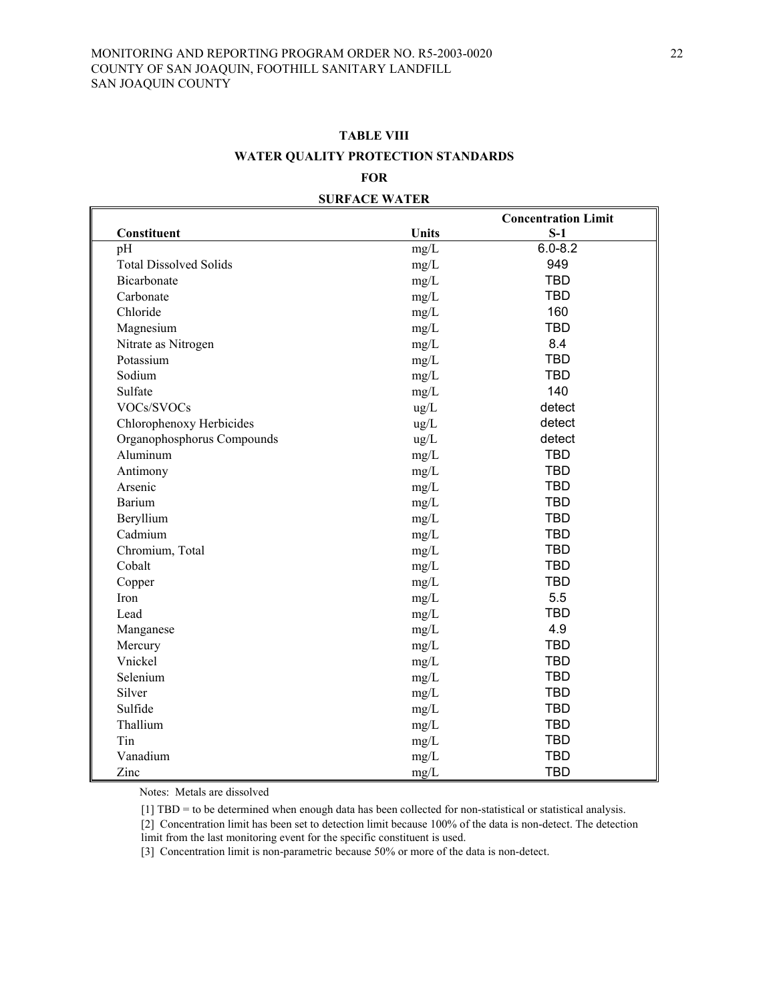| <b>TABLE VIII</b>                  |
|------------------------------------|
| WATER QUALITY PROTECTION STANDARDS |

#### **FOR**

| <b>SURFACE WATER</b> |  |
|----------------------|--|
|                      |  |
|                      |  |

|                               |                    | <b>Concentration Limit</b> |
|-------------------------------|--------------------|----------------------------|
| Constituent                   | <b>Units</b>       | $S-1$                      |
| pH                            | mg/L               | $6.0 - 8.2$                |
| <b>Total Dissolved Solids</b> | mg/L               | 949                        |
| Bicarbonate                   | mg/L               | <b>TBD</b>                 |
| Carbonate                     | mg/L               | <b>TBD</b>                 |
| Chloride                      | mg/L               | 160                        |
| Magnesium                     | mg/L               | <b>TBD</b>                 |
| Nitrate as Nitrogen           | mg/L               | 8.4                        |
| Potassium                     | mg/L               | <b>TBD</b>                 |
| Sodium                        | mg/L               | <b>TBD</b>                 |
| Sulfate                       | mg/L               | 140                        |
| VOCs/SVOCs                    | ug/L               | detect                     |
| Chlorophenoxy Herbicides      | ug/L               | detect                     |
| Organophosphorus Compounds    | ug/L               | detect                     |
| Aluminum                      | mg/L               | <b>TBD</b>                 |
| Antimony                      | mg/L               | <b>TBD</b>                 |
| Arsenic                       | mg/L               | <b>TBD</b>                 |
| Barium                        | mg/L               | <b>TBD</b>                 |
| Beryllium                     | mg/L               | <b>TBD</b>                 |
| Cadmium                       | mg/L               | <b>TBD</b>                 |
| Chromium, Total               | mg/L               | <b>TBD</b>                 |
| Cobalt                        | mg/L               | <b>TBD</b>                 |
| Copper                        | mg/L               | <b>TBD</b>                 |
| Iron                          | mg/L               | 5.5                        |
| Lead                          | mg/L               | <b>TBD</b>                 |
| Manganese                     | mg/L               | 4.9                        |
| Mercury                       | mg/L               | <b>TBD</b>                 |
| Vnickel                       | mg/L               | <b>TBD</b>                 |
| Selenium                      | mg/L               | <b>TBD</b>                 |
| Silver                        | mg/L               | <b>TBD</b>                 |
| Sulfide                       | mg/L               | <b>TBD</b>                 |
| Thallium                      | mg/L               | <b>TBD</b>                 |
| Tin                           | mg/L               | <b>TBD</b>                 |
| Vanadium                      | mg/L               | <b>TBD</b>                 |
| Zinc                          | $\underline{mg}/L$ | <b>TBD</b>                 |

Notes: Metals are dissolved

 $\mathsf I$ 

[1] TBD = to be determined when enough data has been collected for non-statistical or statistical analysis.

[2] Concentration limit has been set to detection limit because 100% of the data is non-detect. The detection

limit from the last monitoring event for the specific constituent is used.

[3] Concentration limit is non-parametric because 50% or more of the data is non-detect.

 $\blacksquare$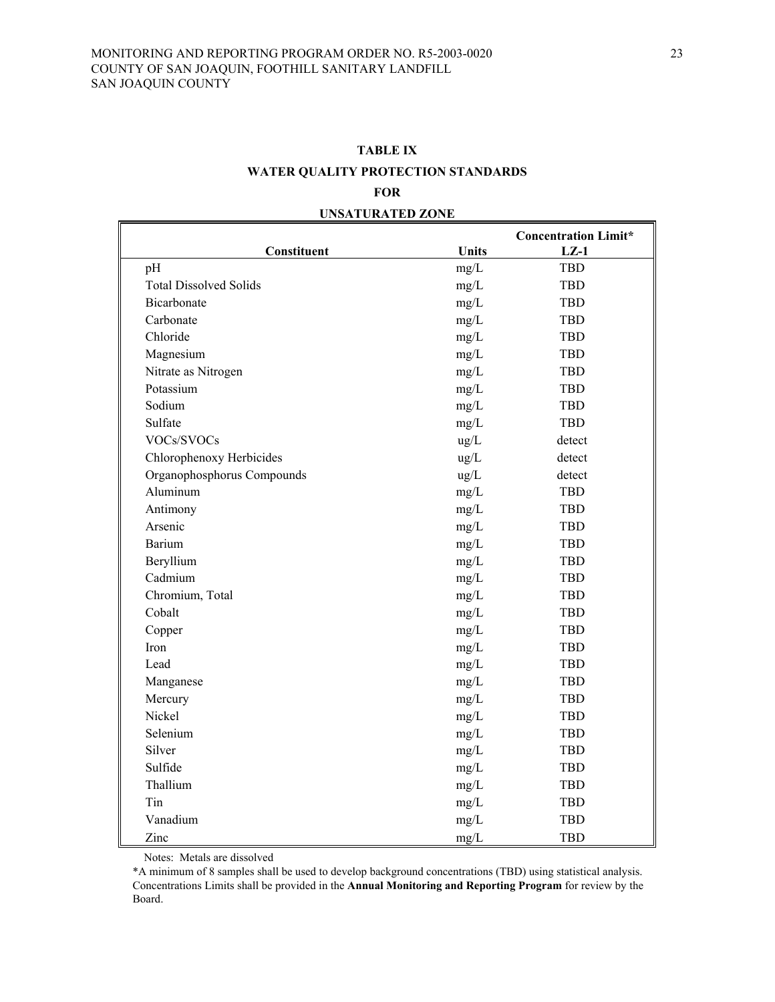# **TABLE IX WATER QUALITY PROTECTION STANDARDS FOR**

|                               |              | <b>Concentration Limit*</b> |
|-------------------------------|--------------|-----------------------------|
| Constituent                   | <b>Units</b> | $LZ-1$                      |
| pH                            | mg/L         | <b>TBD</b>                  |
| <b>Total Dissolved Solids</b> | mg/L         | <b>TBD</b>                  |
| Bicarbonate                   | mg/L         | <b>TBD</b>                  |
| Carbonate                     | mg/L         | <b>TBD</b>                  |
| Chloride                      | mg/L         | <b>TBD</b>                  |
| Magnesium                     | mg/L         | <b>TBD</b>                  |
| Nitrate as Nitrogen           | mg/L         | <b>TBD</b>                  |
| Potassium                     | mg/L         | <b>TBD</b>                  |
| Sodium                        | mg/L         | <b>TBD</b>                  |
| Sulfate                       | $mg/L$       | <b>TBD</b>                  |
| VOCs/SVOCs                    | ug/L         | detect                      |
| Chlorophenoxy Herbicides      | ug/L         | detect                      |
| Organophosphorus Compounds    | ug/L         | detect                      |
| Aluminum                      | mg/L         | <b>TBD</b>                  |
| Antimony                      | mg/L         | <b>TBD</b>                  |
| Arsenic                       | $mg/L$       | <b>TBD</b>                  |
| <b>Barium</b>                 | mg/L         | <b>TBD</b>                  |
| Beryllium                     | mg/L         | <b>TBD</b>                  |
| Cadmium                       | mg/L         | <b>TBD</b>                  |
| Chromium, Total               | mg/L         | <b>TBD</b>                  |
| Cobalt                        | mg/L         | <b>TBD</b>                  |
| Copper                        | mg/L         | <b>TBD</b>                  |
| Iron                          | mg/L         | <b>TBD</b>                  |
| Lead                          | mg/L         | <b>TBD</b>                  |
| Manganese                     | mg/L         | <b>TBD</b>                  |
| Mercury                       | mg/L         | <b>TBD</b>                  |
| Nickel                        | mg/L         | <b>TBD</b>                  |
| Selenium                      | mg/L         | <b>TBD</b>                  |
| Silver                        | mg/L         | <b>TBD</b>                  |
| Sulfide                       | mg/L         | <b>TBD</b>                  |
| Thallium                      | mg/L         | <b>TBD</b>                  |
| Tin                           | mg/L         | <b>TBD</b>                  |
| Vanadium                      | mg/L         | <b>TBD</b>                  |
| Zinc                          | mg/L         | <b>TBD</b>                  |

#### **UNSATURATED ZONE**

Notes: Metals are dissolved

\*A minimum of 8 samples shall be used to develop background concentrations (TBD) using statistical analysis. Concentrations Limits shall be provided in the **Annual Monitoring and Reporting Program** for review by the Board.